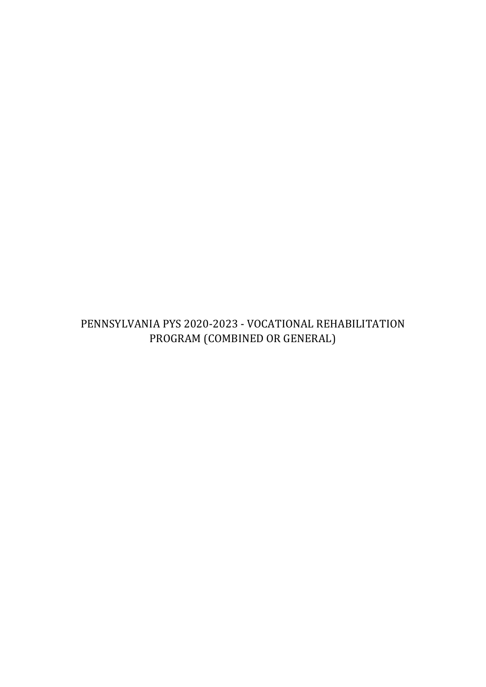# <span id="page-0-0"></span>PENNSYLVANIA PYS 2020-2023 - VOCATIONAL REHABILITATION PROGRAM (COMBINED OR GENERAL)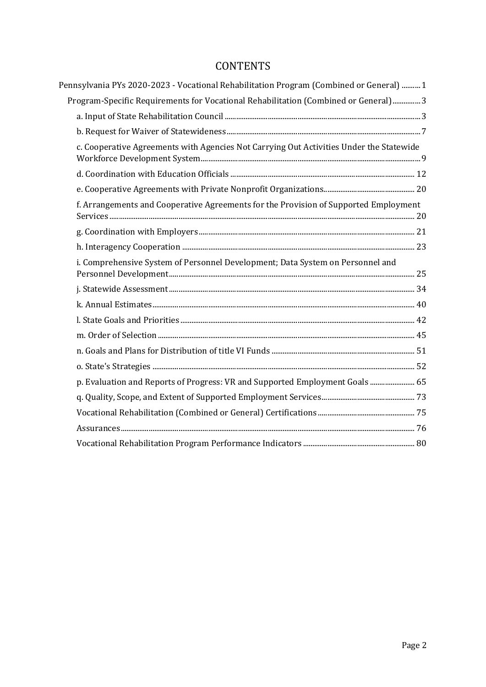# **CONTENTS**

| Pennsylvania PYs 2020-2023 - Vocational Rehabilitation Program (Combined or General)  1 |  |
|-----------------------------------------------------------------------------------------|--|
| Program-Specific Requirements for Vocational Rehabilitation (Combined or General)3      |  |
|                                                                                         |  |
|                                                                                         |  |
| c. Cooperative Agreements with Agencies Not Carrying Out Activities Under the Statewide |  |
|                                                                                         |  |
|                                                                                         |  |
| f. Arrangements and Cooperative Agreements for the Provision of Supported Employment    |  |
|                                                                                         |  |
|                                                                                         |  |
| i. Comprehensive System of Personnel Development; Data System on Personnel and          |  |
|                                                                                         |  |
|                                                                                         |  |
|                                                                                         |  |
|                                                                                         |  |
|                                                                                         |  |
|                                                                                         |  |
| p. Evaluation and Reports of Progress: VR and Supported Employment Goals  65            |  |
|                                                                                         |  |
|                                                                                         |  |
|                                                                                         |  |
|                                                                                         |  |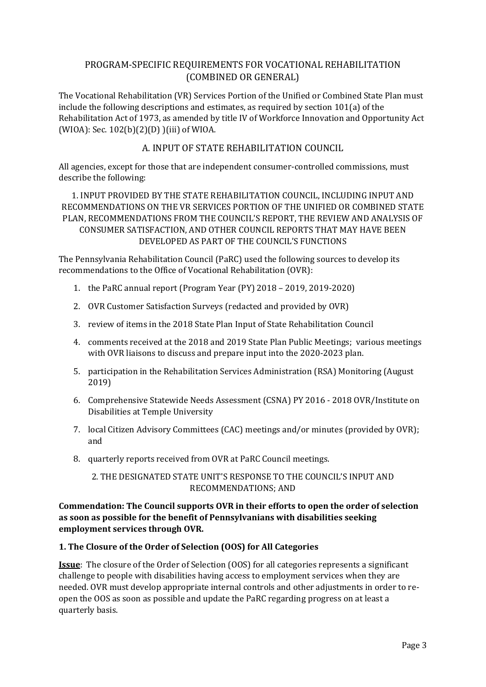# <span id="page-2-0"></span>PROGRAM-SPECIFIC REQUIREMENTS FOR VOCATIONAL REHABILITATION (COMBINED OR GENERAL)

The Vocational Rehabilitation (VR) Services Portion of the Unified or Combined State Plan must include the following descriptions and estimates, as required by section 101(a) of the Rehabilitation Act of 1973, as amended by title IV of Workforce Innovation and Opportunity Act (WIOA): Sec. 102(b)(2)(D) )(iii) of WIOA.

# A. INPUT OF STATE REHABILITATION COUNCIL

<span id="page-2-1"></span>All agencies, except for those that are independent consumer-controlled commissions, must describe the following:

1. INPUT PROVIDED BY THE STATE REHABILITATION COUNCIL, INCLUDING INPUT AND RECOMMENDATIONS ON THE VR SERVICES PORTION OF THE UNIFIED OR COMBINED STATE PLAN, RECOMMENDATIONS FROM THE COUNCIL'S REPORT, THE REVIEW AND ANALYSIS OF CONSUMER SATISFACTION, AND OTHER COUNCIL REPORTS THAT MAY HAVE BEEN DEVELOPED AS PART OF THE COUNCIL'S FUNCTIONS

The Pennsylvania Rehabilitation Council (PaRC) used the following sources to develop its recommendations to the Office of Vocational Rehabilitation (OVR):

- 1. the PaRC annual report (Program Year (PY) 2018 2019, 2019-2020)
- 2. OVR Customer Satisfaction Surveys (redacted and provided by OVR)
- 3. review of items in the 2018 State Plan Input of State Rehabilitation Council
- 4. comments received at the 2018 and 2019 State Plan Public Meetings; various meetings with OVR liaisons to discuss and prepare input into the 2020-2023 plan.
- 5. participation in the Rehabilitation Services Administration (RSA) Monitoring (August 2019)
- 6. Comprehensive Statewide Needs Assessment (CSNA) PY 2016 2018 OVR/Institute on Disabilities at Temple University
- 7. local Citizen Advisory Committees (CAC) meetings and/or minutes (provided by OVR); and
- 8. quarterly reports received from OVR at PaRC Council meetings.

## 2. THE DESIGNATED STATE UNIT'S RESPONSE TO THE COUNCIL'S INPUT AND RECOMMENDATIONS; AND

**Commendation: The Council supports OVR in their efforts to open the order of selection as soon as possible for the benefit of Pennsylvanians with disabilities seeking employment services through OVR.** 

### **1. The Closure of the Order of Selection (OOS) for All Categories**

**Issue**: The closure of the Order of Selection (OOS) for all categories represents a significant challenge to people with disabilities having access to employment services when they are needed. OVR must develop appropriate internal controls and other adjustments in order to reopen the OOS as soon as possible and update the PaRC regarding progress on at least a quarterly basis.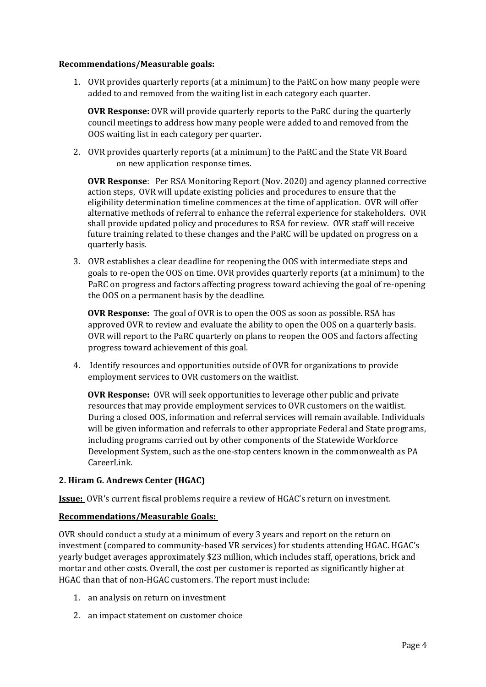#### **Recommendations/Measurable goals:**

1. OVR provides quarterly reports (at a minimum) to the PaRC on how many people were added to and removed from the waiting list in each category each quarter.

**OVR Response:** OVR will provide quarterly reports to the PaRC during the quarterly council meetings to address how many people were added to and removed from the OOS waiting list in each category per quarter**.**

2. OVR provides quarterly reports (at a minimum) to the PaRC and the State VR Board on new application response times.

**OVR Response**: Per RSA Monitoring Report (Nov. 2020) and agency planned corrective action steps, OVR will update existing policies and procedures to ensure that the eligibility determination timeline commences at the time of application. OVR will offer alternative methods of referral to enhance the referral experience for stakeholders. OVR shall provide updated policy and procedures to RSA for review. OVR staff will receive future training related to these changes and the PaRC will be updated on progress on a quarterly basis.

3. OVR establishes a clear deadline for reopening the OOS with intermediate steps and goals to re-open the OOS on time. OVR provides quarterly reports (at a minimum) to the PaRC on progress and factors affecting progress toward achieving the goal of re-opening the OOS on a permanent basis by the deadline.

**OVR Response:** The goal of OVR is to open the OOS as soon as possible. RSA has approved OVR to review and evaluate the ability to open the OOS on a quarterly basis. OVR will report to the PaRC quarterly on plans to reopen the OOS and factors affecting progress toward achievement of this goal.

4. Identify resources and opportunities outside of OVR for organizations to provide employment services to OVR customers on the waitlist.

**OVR Response:** OVR will seek opportunities to leverage other public and private resources that may provide employment services to OVR customers on the waitlist. During a closed OOS, information and referral services will remain available. Individuals will be given information and referrals to other appropriate Federal and State programs, including programs carried out by other components of the Statewide Workforce Development System, such as the one-stop centers known in the commonwealth as PA CareerLink.

### **2. Hiram G. Andrews Center (HGAC)**

**Issue:** OVR's current fiscal problems require a review of HGAC's return on investment.

### **Recommendations/Measurable Goals:**

OVR should conduct a study at a minimum of every 3 years and report on the return on investment (compared to community-based VR services) for students attending HGAC. HGAC's yearly budget averages approximately \$23 million, which includes staff, operations, brick and mortar and other costs. Overall, the cost per customer is reported as significantly higher at HGAC than that of non-HGAC customers. The report must include:

- 1. an analysis on return on investment
- 2. an impact statement on customer choice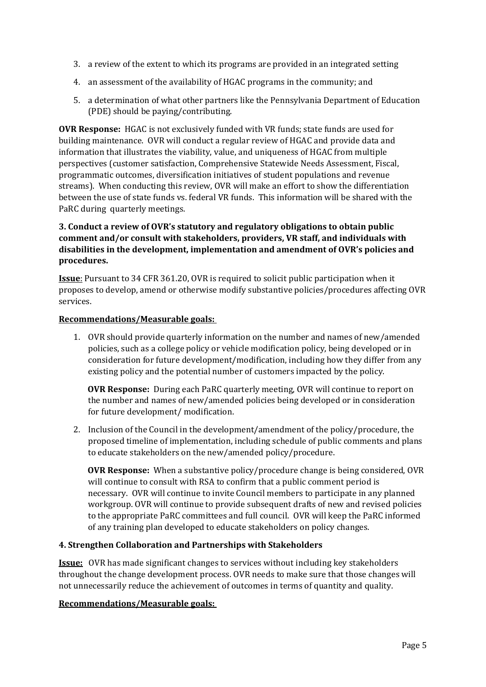- 3. a review of the extent to which its programs are provided in an integrated setting
- 4. an assessment of the availability of HGAC programs in the community; and
- 5. a determination of what other partners like the Pennsylvania Department of Education (PDE) should be paying/contributing.

**OVR Response:** HGAC is not exclusively funded with VR funds; state funds are used for building maintenance. OVR will conduct a regular review of HGAC and provide data and information that illustrates the viability, value, and uniqueness of HGAC from multiple perspectives (customer satisfaction, Comprehensive Statewide Needs Assessment, Fiscal, programmatic outcomes, diversification initiatives of student populations and revenue streams). When conducting this review, OVR will make an effort to show the differentiation between the use of state funds vs. federal VR funds. This information will be shared with the PaRC during quarterly meetings.

# **3. Conduct a review of OVR's statutory and regulatory obligations to obtain public comment and/or consult with stakeholders, providers, VR staff, and individuals with disabilities in the development, implementation and amendment of OVR's policies and procedures.**

**Issue**: Pursuant to 34 CFR 361.20, OVR is required to solicit public participation when it proposes to develop, amend or otherwise modify substantive policies/procedures affecting OVR services.

#### **Recommendations/Measurable goals:**

1. OVR should provide quarterly information on the number and names of new/amended policies, such as a college policy or vehicle modification policy, being developed or in consideration for future development/modification, including how they differ from any existing policy and the potential number of customers impacted by the policy.

**OVR Response:** During each PaRC quarterly meeting, OVR will continue to report on the number and names of new/amended policies being developed or in consideration for future development/ modification.

2. Inclusion of the Council in the development/amendment of the policy/procedure, the proposed timeline of implementation, including schedule of public comments and plans to educate stakeholders on the new/amended policy/procedure.

**OVR Response:** When a substantive policy/procedure change is being considered, OVR will continue to consult with RSA to confirm that a public comment period is necessary. OVR will continue to invite Council members to participate in any planned workgroup. OVR will continue to provide subsequent drafts of new and revised policies to the appropriate PaRC committees and full council. OVR will keep the PaRC informed of any training plan developed to educate stakeholders on policy changes.

#### **4. Strengthen Collaboration and Partnerships with Stakeholders**

**Issue:** OVR has made significant changes to services without including key stakeholders throughout the change development process. OVR needs to make sure that those changes will not unnecessarily reduce the achievement of outcomes in terms of quantity and quality.

#### **Recommendations/Measurable goals:**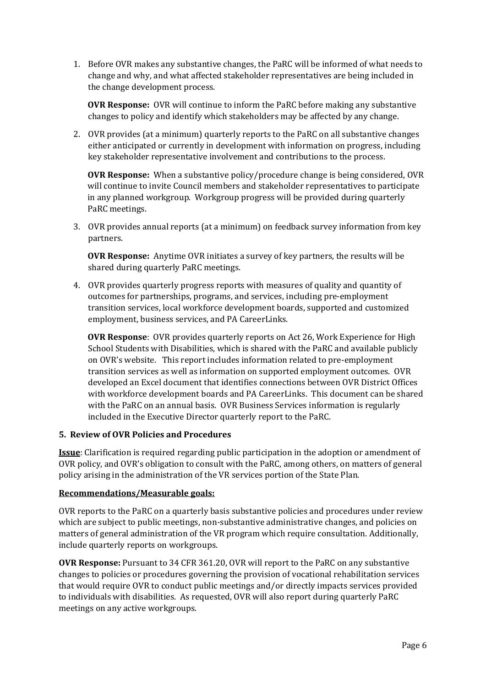1. Before OVR makes any substantive changes, the PaRC will be informed of what needs to change and why, and what affected stakeholder representatives are being included in the change development process.

**OVR Response:** OVR will continue to inform the PaRC before making any substantive changes to policy and identify which stakeholders may be affected by any change.

2. OVR provides (at a minimum) quarterly reports to the PaRC on all substantive changes either anticipated or currently in development with information on progress, including key stakeholder representative involvement and contributions to the process.

**OVR Response:** When a substantive policy/procedure change is being considered, OVR will continue to invite Council members and stakeholder representatives to participate in any planned workgroup. Workgroup progress will be provided during quarterly PaRC meetings.

3. OVR provides annual reports (at a minimum) on feedback survey information from key partners.

**OVR Response:** Anytime OVR initiates a survey of key partners, the results will be shared during quarterly PaRC meetings.

4. OVR provides quarterly progress reports with measures of quality and quantity of outcomes for partnerships, programs, and services, including pre-employment transition services, local workforce development boards, supported and customized employment, business services, and PA CareerLinks.

**OVR Response**: OVR provides quarterly reports on Act 26, Work Experience for High School Students with Disabilities, which is shared with the PaRC and available publicly on OVR's website. This report includes information related to pre-employment transition services as well as information on supported employment outcomes. OVR developed an Excel document that identifies connections between OVR District Offices with workforce development boards and PA CareerLinks. This document can be shared with the PaRC on an annual basis. OVR Business Services information is regularly included in the Executive Director quarterly report to the PaRC.

### **5. Review of OVR Policies and Procedures**

**Issue**: Clarification is required regarding public participation in the adoption or amendment of OVR policy, and OVR's obligation to consult with the PaRC, among others, on matters of general policy arising in the administration of the VR services portion of the State Plan.

### **Recommendations/Measurable goals:**

OVR reports to the PaRC on a quarterly basis substantive policies and procedures under review which are subject to public meetings, non-substantive administrative changes, and policies on matters of general administration of the VR program which require consultation. Additionally, include quarterly reports on workgroups.

**OVR Response:** Pursuant to 34 CFR 361.20, OVR will report to the PaRC on any substantive changes to policies or procedures governing the provision of vocational rehabilitation services that would require OVR to conduct public meetings and/or directly impacts services provided to individuals with disabilities. As requested, OVR will also report during quarterly PaRC meetings on any active workgroups.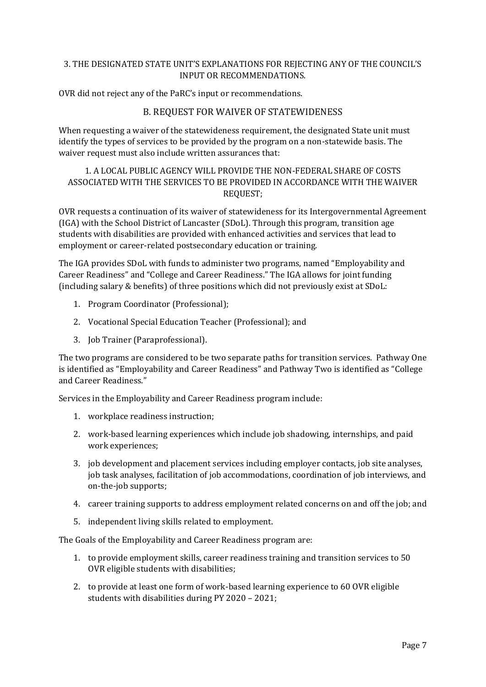### 3. THE DESIGNATED STATE UNIT'S EXPLANATIONS FOR REJECTING ANY OF THE COUNCIL'S INPUT OR RECOMMENDATIONS.

<span id="page-6-0"></span>OVR did not reject any of the PaRC's input or recommendations.

## B. REQUEST FOR WAIVER OF STATEWIDENESS

When requesting a waiver of the statewideness requirement, the designated State unit must identify the types of services to be provided by the program on a non-statewide basis. The waiver request must also include written assurances that:

## 1. A LOCAL PUBLIC AGENCY WILL PROVIDE THE NON-FEDERAL SHARE OF COSTS ASSOCIATED WITH THE SERVICES TO BE PROVIDED IN ACCORDANCE WITH THE WAIVER REQUEST;

OVR requests a continuation of its waiver of statewideness for its Intergovernmental Agreement (IGA) with the School District of Lancaster (SDoL). Through this program, transition age students with disabilities are provided with enhanced activities and services that lead to employment or career-related postsecondary education or training.

The IGA provides SDoL with funds to administer two programs, named "Employability and Career Readiness" and "College and Career Readiness." The IGA allows for joint funding (including salary & benefits) of three positions which did not previously exist at SDoL:

- 1. Program Coordinator (Professional);
- 2. Vocational Special Education Teacher (Professional); and
- 3. Job Trainer (Paraprofessional).

The two programs are considered to be two separate paths for transition services. Pathway One is identified as "Employability and Career Readiness" and Pathway Two is identified as "College and Career Readiness."

Services in the Employability and Career Readiness program include:

- 1. workplace readiness instruction;
- 2. work-based learning experiences which include job shadowing, internships, and paid work experiences;
- 3. job development and placement services including employer contacts, job site analyses, job task analyses, facilitation of job accommodations, coordination of job interviews, and on-the-job supports;
- 4. career training supports to address employment related concerns on and off the job; and
- 5. independent living skills related to employment.

The Goals of the Employability and Career Readiness program are:

- 1. to provide employment skills, career readiness training and transition services to 50 OVR eligible students with disabilities;
- 2. to provide at least one form of work-based learning experience to 60 OVR eligible students with disabilities during PY 2020 – 2021;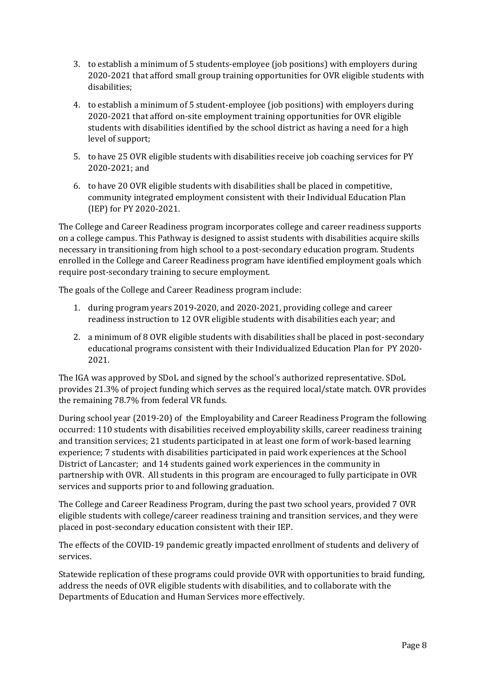- 3. to establish a minimum of 5 students-employee (job positions) with employers during 2020-2021 that afford small group training opportunities for OVR eligible students with disabilities;
- 4. to establish a minimum of 5 student-employee (job positions) with employers during 2020-2021 that afford on-site employment training opportunities for OVR eligible students with disabilities identified by the school district as having a need for a high level of support;
- 5. to have 25 OVR eligible students with disabilities receive job coaching services for PY 2020-2021; and
- 6. to have 20 OVR eligible students with disabilities shall be placed in competitive, community integrated employment consistent with their Individual Education Plan (IEP) for PY 2020-2021.

The College and Career Readiness program incorporates college and career readiness supports on a college campus. This Pathway is designed to assist students with disabilities acquire skills necessary in transitioning from high school to a post-secondary education program. Students enrolled in the College and Career Readiness program have identified employment goals which require post-secondary training to secure employment.

The goals of the College and Career Readiness program include:

- 1. during program years 2019-2020, and 2020-2021, providing college and career readiness instruction to 12 OVR eligible students with disabilities each year; and
- 2. a minimum of 8 OVR eligible students with disabilities shall be placed in post-secondary educational programs consistent with their Individualized Education Plan for PY 2020- 2021.

The IGA was approved by SDoL and signed by the school's authorized representative. SDoL provides 21.3% of project funding which serves as the required local/state match. OVR provides the remaining 78.7% from federal VR funds.

During school year (2019-20) of the Employability and Career Readiness Program the following occurred: 110 students with disabilities received employability skills, career readiness training and transition services; 21 students participated in at least one form of work-based learning experience; 7 students with disabilities participated in paid work experiences at the School District of Lancaster; and 14 students gained work experiences in the community in partnership with OVR. All students in this program are encouraged to fully participate in OVR services and supports prior to and following graduation.

The College and Career Readiness Program, during the past two school years, provided 7 OVR eligible students with college/career readiness training and transition services, and they were placed in post-secondary education consistent with their IEP.

The effects of the COVID-19 pandemic greatly impacted enrollment of students and delivery of services.

Statewide replication of these programs could provide OVR with opportunities to braid funding, address the needs of OVR eligible students with disabilities, and to collaborate with the Departments of Education and Human Services more effectively.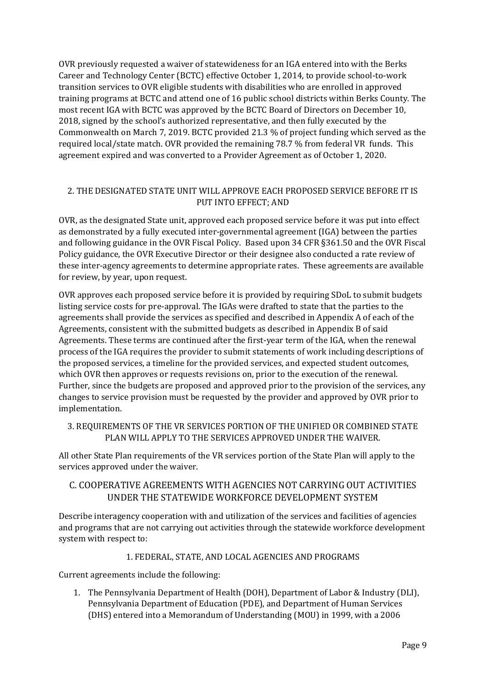OVR previously requested a waiver of statewideness for an IGA entered into with the Berks Career and Technology Center (BCTC) effective October 1, 2014, to provide school-to-work transition services to OVR eligible students with disabilities who are enrolled in approved training programs at BCTC and attend one of 16 public school districts within Berks County. The most recent IGA with BCTC was approved by the BCTC Board of Directors on December 10, 2018, signed by the school's authorized representative, and then fully executed by the Commonwealth on March 7, 2019. BCTC provided 21.3 % of project funding which served as the required local/state match. OVR provided the remaining 78.7 % from federal VR funds. This agreement expired and was converted to a Provider Agreement as of October 1, 2020.

# 2. THE DESIGNATED STATE UNIT WILL APPROVE EACH PROPOSED SERVICE BEFORE IT IS PUT INTO EFFECT; AND

OVR, as the designated State unit, approved each proposed service before it was put into effect as demonstrated by a fully executed inter-governmental agreement (IGA) between the parties and following guidance in the OVR Fiscal Policy. Based upon 34 CFR §361.50 and the OVR Fiscal Policy guidance, the OVR Executive Director or their designee also conducted a rate review of these inter-agency agreements to determine appropriate rates. These agreements are available for review, by year, upon request.

OVR approves each proposed service before it is provided by requiring SDoL to submit budgets listing service costs for pre-approval. The IGAs were drafted to state that the parties to the agreements shall provide the services as specified and described in Appendix A of each of the Agreements, consistent with the submitted budgets as described in Appendix B of said Agreements. These terms are continued after the first-year term of the IGA, when the renewal process of the IGA requires the provider to submit statements of work including descriptions of the proposed services, a timeline for the provided services, and expected student outcomes, which OVR then approves or requests revisions on, prior to the execution of the renewal. Further, since the budgets are proposed and approved prior to the provision of the services, any changes to service provision must be requested by the provider and approved by OVR prior to implementation.

3. REQUIREMENTS OF THE VR SERVICES PORTION OF THE UNIFIED OR COMBINED STATE PLAN WILL APPLY TO THE SERVICES APPROVED UNDER THE WAIVER.

All other State Plan requirements of the VR services portion of the State Plan will apply to the services approved under the waiver.

# <span id="page-8-0"></span>C. COOPERATIVE AGREEMENTS WITH AGENCIES NOT CARRYING OUT ACTIVITIES UNDER THE STATEWIDE WORKFORCE DEVELOPMENT SYSTEM

Describe interagency cooperation with and utilization of the services and facilities of agencies and programs that are not carrying out activities through the statewide workforce development system with respect to:

### 1. FEDERAL, STATE, AND LOCAL AGENCIES AND PROGRAMS

Current agreements include the following:

1. The Pennsylvania Department of Health (DOH), Department of Labor & Industry (DLI), Pennsylvania Department of Education (PDE), and Department of Human Services (DHS) entered into a Memorandum of Understanding (MOU) in 1999, with a 2006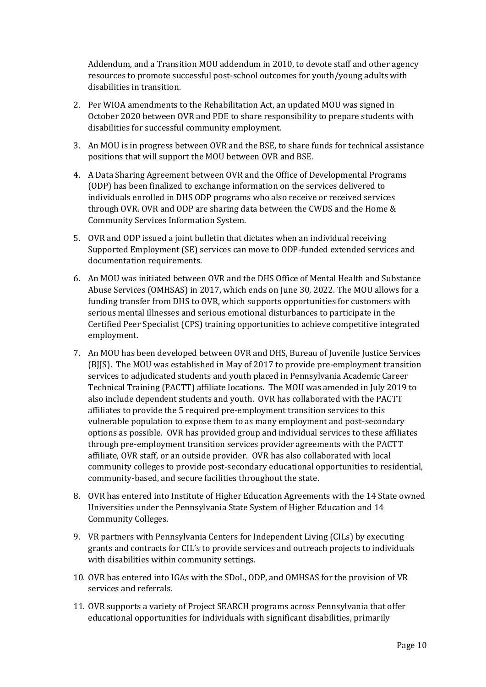Addendum, and a Transition MOU addendum in 2010, to devote staff and other agency resources to promote successful post-school outcomes for youth/young adults with disabilities in transition.

- 2. Per WIOA amendments to the Rehabilitation Act, an updated MOU was signed in October 2020 between OVR and PDE to share responsibility to prepare students with disabilities for successful community employment.
- 3. An MOU is in progress between OVR and the BSE, to share funds for technical assistance positions that will support the MOU between OVR and BSE.
- 4. A Data Sharing Agreement between OVR and the Office of Developmental Programs (ODP) has been finalized to exchange information on the services delivered to individuals enrolled in DHS ODP programs who also receive or received services through OVR. OVR and ODP are sharing data between the CWDS and the Home & Community Services Information System.
- 5. OVR and ODP issued a joint bulletin that dictates when an individual receiving Supported Employment (SE) services can move to ODP-funded extended services and documentation requirements.
- 6. An MOU was initiated between OVR and the DHS Office of Mental Health and Substance Abuse Services (OMHSAS) in 2017, which ends on June 30, 2022. The MOU allows for a funding transfer from DHS to OVR, which supports opportunities for customers with serious mental illnesses and serious emotional disturbances to participate in the Certified Peer Specialist (CPS) training opportunities to achieve competitive integrated employment.
- 7. An MOU has been developed between OVR and DHS, Bureau of Juvenile Justice Services (BJJS). The MOU was established in May of 2017 to provide pre-employment transition services to adjudicated students and youth placed in Pennsylvania Academic Career Technical Training (PACTT) affiliate locations. The MOU was amended in July 2019 to also include dependent students and youth. OVR has collaborated with the PACTT affiliates to provide the 5 required pre-employment transition services to this vulnerable population to expose them to as many employment and post-secondary options as possible. OVR has provided group and individual services to these affiliates through pre-employment transition services provider agreements with the PACTT affiliate, OVR staff, or an outside provider. OVR has also collaborated with local community colleges to provide post-secondary educational opportunities to residential, community-based, and secure facilities throughout the state.
- 8. OVR has entered into Institute of Higher Education Agreements with the 14 State owned Universities under the Pennsylvania State System of Higher Education and 14 Community Colleges.
- 9. VR partners with Pennsylvania Centers for Independent Living (CILs) by executing grants and contracts for CIL's to provide services and outreach projects to individuals with disabilities within community settings.
- 10. OVR has entered into IGAs with the SDoL, ODP, and OMHSAS for the provision of VR services and referrals.
- 11. OVR supports a variety of Project SEARCH programs across Pennsylvania that offer educational opportunities for individuals with significant disabilities, primarily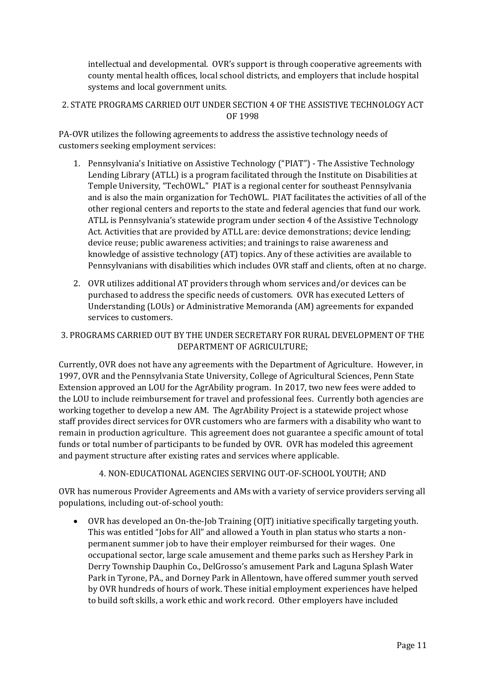intellectual and developmental. OVR's support is through cooperative agreements with county mental health offices, local school districts, and employers that include hospital systems and local government units.

## 2. STATE PROGRAMS CARRIED OUT UNDER SECTION 4 OF THE ASSISTIVE TECHNOLOGY ACT OF 1998

PA-OVR utilizes the following agreements to address the assistive technology needs of customers seeking employment services:

- 1. Pennsylvania's Initiative on Assistive Technology ("PIAT") The Assistive Technology Lending Library (ATLL) is a program facilitated through the Institute on Disabilities at Temple University, "TechOWL." PIAT is a regional center for southeast Pennsylvania and is also the main organization for TechOWL. PIAT facilitates the activities of all of the other regional centers and reports to the state and federal agencies that fund our work. ATLL is Pennsylvania's statewide program under section 4 of the Assistive Technology Act. Activities that are provided by ATLL are: device demonstrations; device lending; device reuse; public awareness activities; and trainings to raise awareness and knowledge of assistive technology (AT) topics. Any of these activities are available to Pennsylvanians with disabilities which includes OVR staff and clients, often at no charge.
- 2. OVR utilizes additional AT providers through whom services and/or devices can be purchased to address the specific needs of customers. OVR has executed Letters of Understanding (LOUs) or Administrative Memoranda (AM) agreements for expanded services to customers.

# 3. PROGRAMS CARRIED OUT BY THE UNDER SECRETARY FOR RURAL DEVELOPMENT OF THE DEPARTMENT OF AGRICULTURE;

Currently, OVR does not have any agreements with the Department of Agriculture. However, in 1997, OVR and the Pennsylvania State University, College of Agricultural Sciences, Penn State Extension approved an LOU for the AgrAbility program. In 2017, two new fees were added to the LOU to include reimbursement for travel and professional fees. Currently both agencies are working together to develop a new AM. The AgrAbility Project is a statewide project whose staff provides direct services for OVR customers who are farmers with a disability who want to remain in production agriculture. This agreement does not guarantee a specific amount of total funds or total number of participants to be funded by OVR. OVR has modeled this agreement and payment structure after existing rates and services where applicable.

4. NON-EDUCATIONAL AGENCIES SERVING OUT-OF-SCHOOL YOUTH; AND

OVR has numerous Provider Agreements and AMs with a variety of service providers serving all populations, including out-of-school youth:

• OVR has developed an On-the-Job Training (OJT) initiative specifically targeting youth. This was entitled "Jobs for All" and allowed a Youth in plan status who starts a nonpermanent summer job to have their employer reimbursed for their wages. One occupational sector, large scale amusement and theme parks such as Hershey Park in Derry Township Dauphin Co., DelGrosso's amusement Park and Laguna Splash Water Park in Tyrone, PA., and Dorney Park in Allentown, have offered summer youth served by OVR hundreds of hours of work. These initial employment experiences have helped to build soft skills, a work ethic and work record. Other employers have included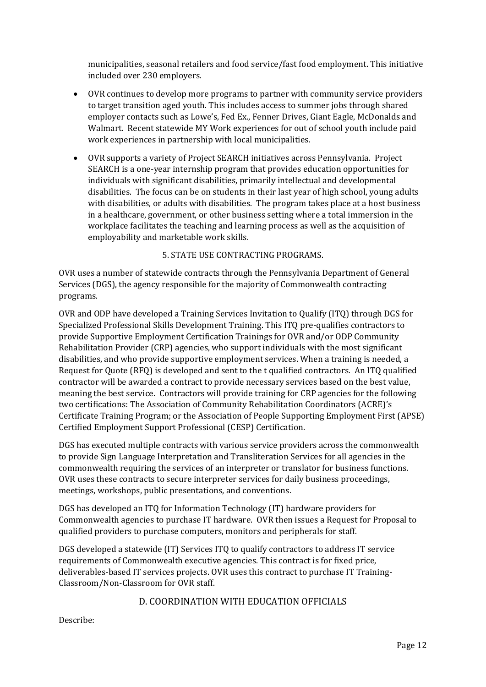municipalities, seasonal retailers and food service/fast food employment. This initiative included over 230 employers.

- OVR continues to develop more programs to partner with community service providers to target transition aged youth. This includes access to summer jobs through shared employer contacts such as Lowe's, Fed Ex., Fenner Drives, Giant Eagle, McDonalds and Walmart. Recent statewide MY Work experiences for out of school youth include paid work experiences in partnership with local municipalities.
- OVR supports a variety of Project SEARCH initiatives across Pennsylvania. Project SEARCH is a one-year internship program that provides education opportunities for individuals with significant disabilities, primarily intellectual and developmental disabilities. The focus can be on students in their last year of high school, young adults with disabilities, or adults with disabilities. The program takes place at a host business in a healthcare, government, or other business setting where a total immersion in the workplace facilitates the teaching and learning process as well as the acquisition of employability and marketable work skills.

### 5. STATE USE CONTRACTING PROGRAMS.

OVR uses a number of statewide contracts through the Pennsylvania Department of General Services (DGS), the agency responsible for the majority of Commonwealth contracting programs.

OVR and ODP have developed a Training Services Invitation to Qualify (ITQ) through DGS for Specialized Professional Skills Development Training. This ITQ pre-qualifies contractors to provide Supportive Employment Certification Trainings for OVR and/or ODP Community Rehabilitation Provider (CRP) agencies, who support individuals with the most significant disabilities, and who provide supportive employment services. When a training is needed, a Request for Quote (RFQ) is developed and sent to the t qualified contractors. An ITQ qualified contractor will be awarded a contract to provide necessary services based on the best value, meaning the best service. Contractors will provide training for CRP agencies for the following two certifications: The Association of Community Rehabilitation Coordinators (ACRE)'s Certificate Training Program; or the Association of People Supporting Employment First (APSE) Certified Employment Support Professional (CESP) Certification.

DGS has executed multiple contracts with various service providers across the commonwealth to provide Sign Language Interpretation and Transliteration Services for all agencies in the commonwealth requiring the services of an interpreter or translator for business functions. OVR uses these contracts to secure interpreter services for daily business proceedings, meetings, workshops, public presentations, and conventions.

DGS has developed an ITQ for Information Technology (IT) hardware providers for Commonwealth agencies to purchase IT hardware. OVR then issues a Request for Proposal to qualified providers to purchase computers, monitors and peripherals for staff.

DGS developed a statewide (IT) Services ITQ to qualify contractors to address IT service requirements of Commonwealth executive agencies. This contract is for fixed price, deliverables-based IT services projects. OVR uses this contract to purchase IT Training-Classroom/Non-Classroom for OVR staff.

# D. COORDINATION WITH EDUCATION OFFICIALS

<span id="page-11-0"></span>Describe: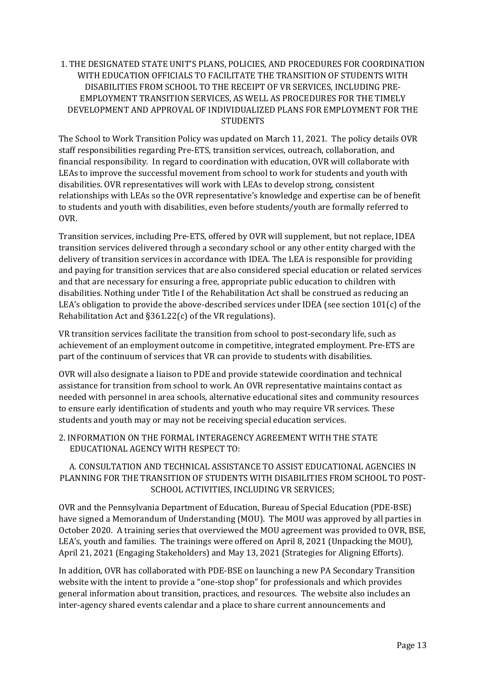## 1. THE DESIGNATED STATE UNIT'S PLANS, POLICIES, AND PROCEDURES FOR COORDINATION WITH EDUCATION OFFICIALS TO FACILITATE THE TRANSITION OF STUDENTS WITH DISABILITIES FROM SCHOOL TO THE RECEIPT OF VR SERVICES, INCLUDING PRE-EMPLOYMENT TRANSITION SERVICES, AS WELL AS PROCEDURES FOR THE TIMELY DEVELOPMENT AND APPROVAL OF INDIVIDUALIZED PLANS FOR EMPLOYMENT FOR THE STUDENTS

The School to Work Transition Policy was updated on March 11, 2021. The policy details OVR staff responsibilities regarding Pre-ETS, transition services, outreach, collaboration, and financial responsibility. In regard to coordination with education, OVR will collaborate with LEAs to improve the successful movement from school to work for students and youth with disabilities. OVR representatives will work with LEAs to develop strong, consistent relationships with LEAs so the OVR representative's knowledge and expertise can be of benefit to students and youth with disabilities, even before students/youth are formally referred to OVR.

Transition services, including Pre-ETS, offered by OVR will supplement, but not replace, IDEA transition services delivered through a secondary school or any other entity charged with the delivery of transition services in accordance with IDEA. The LEA is responsible for providing and paying for transition services that are also considered special education or related services and that are necessary for ensuring a free, appropriate public education to children with disabilities. Nothing under Title I of the Rehabilitation Act shall be construed as reducing an LEA's obligation to provide the above-described services under IDEA (see section 101(c) of the Rehabilitation Act and §361.22(c) of the VR regulations).

VR transition services facilitate the transition from school to post-secondary life, such as achievement of an employment outcome in competitive, integrated employment. Pre-ETS are part of the continuum of services that VR can provide to students with disabilities.

OVR will also designate a liaison to PDE and provide statewide coordination and technical assistance for transition from school to work. An OVR representative maintains contact as needed with personnel in area schools, alternative educational sites and community resources to ensure early identification of students and youth who may require VR services. These students and youth may or may not be receiving special education services.

2. INFORMATION ON THE FORMAL INTERAGENCY AGREEMENT WITH THE STATE EDUCATIONAL AGENCY WITH RESPECT TO:

A. CONSULTATION AND TECHNICAL ASSISTANCE TO ASSIST EDUCATIONAL AGENCIES IN PLANNING FOR THE TRANSITION OF STUDENTS WITH DISABILITIES FROM SCHOOL TO POST-SCHOOL ACTIVITIES, INCLUDING VR SERVICES;

OVR and the Pennsylvania Department of Education, Bureau of Special Education (PDE-BSE) have signed a Memorandum of Understanding (MOU). The MOU was approved by all parties in October 2020. A training series that overviewed the MOU agreement was provided to OVR, BSE, LEA's, youth and families. The trainings were offered on April 8, 2021 (Unpacking the MOU), April 21, 2021 (Engaging Stakeholders) and May 13, 2021 (Strategies for Aligning Efforts).

In addition, OVR has collaborated with PDE-BSE on launching a new PA Secondary Transition website with the intent to provide a "one-stop shop" for professionals and which provides general information about transition, practices, and resources. The website also includes an inter-agency shared events calendar and a place to share current announcements and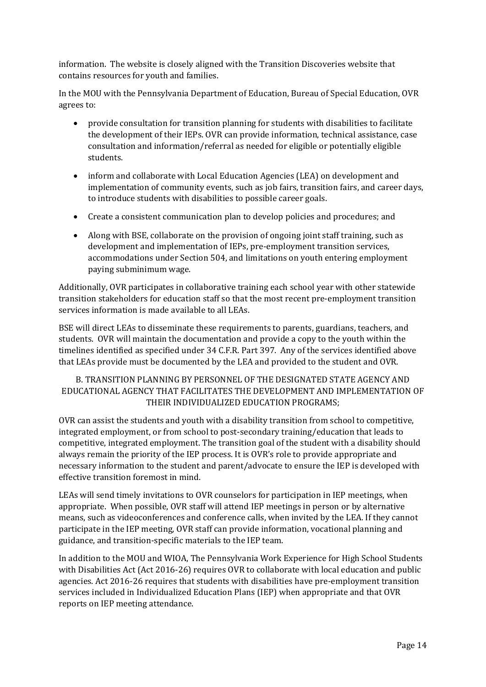information. The website is closely aligned with the Transition Discoveries website that contains resources for youth and families.

In the MOU with the Pennsylvania Department of Education, Bureau of Special Education, OVR agrees to:

- provide consultation for transition planning for students with disabilities to facilitate the development of their IEPs. OVR can provide information, technical assistance, case consultation and information/referral as needed for eligible or potentially eligible students.
- inform and collaborate with Local Education Agencies (LEA) on development and implementation of community events, such as job fairs, transition fairs, and career days, to introduce students with disabilities to possible career goals.
- Create a consistent communication plan to develop policies and procedures; and
- Along with BSE, collaborate on the provision of ongoing joint staff training, such as development and implementation of IEPs, pre-employment transition services, accommodations under Section 504, and limitations on youth entering employment paying subminimum wage.

Additionally, OVR participates in collaborative training each school year with other statewide transition stakeholders for education staff so that the most recent pre-employment transition services information is made available to all LEAs.

BSE will direct LEAs to disseminate these requirements to parents, guardians, teachers, and students. OVR will maintain the documentation and provide a copy to the youth within the timelines identified as specified under 34 C.F.R. Part 397. Any of the services identified above that LEAs provide must be documented by the LEA and provided to the student and OVR.

## B. TRANSITION PLANNING BY PERSONNEL OF THE DESIGNATED STATE AGENCY AND EDUCATIONAL AGENCY THAT FACILITATES THE DEVELOPMENT AND IMPLEMENTATION OF THEIR INDIVIDUALIZED EDUCATION PROGRAMS;

OVR can assist the students and youth with a disability transition from school to competitive, integrated employment, or from school to post-secondary training/education that leads to competitive, integrated employment. The transition goal of the student with a disability should always remain the priority of the IEP process. It is OVR's role to provide appropriate and necessary information to the student and parent/advocate to ensure the IEP is developed with effective transition foremost in mind.

LEAs will send timely invitations to OVR counselors for participation in IEP meetings, when appropriate. When possible, OVR staff will attend IEP meetings in person or by alternative means, such as videoconferences and conference calls, when invited by the LEA. If they cannot participate in the IEP meeting, OVR staff can provide information, vocational planning and guidance, and transition-specific materials to the IEP team.

In addition to the MOU and WIOA, The Pennsylvania Work Experience for High School Students with Disabilities Act (Act 2016-26) requires OVR to collaborate with local education and public agencies. Act 2016-26 requires that students with disabilities have pre-employment transition services included in Individualized Education Plans (IEP) when appropriate and that OVR reports on IEP meeting attendance.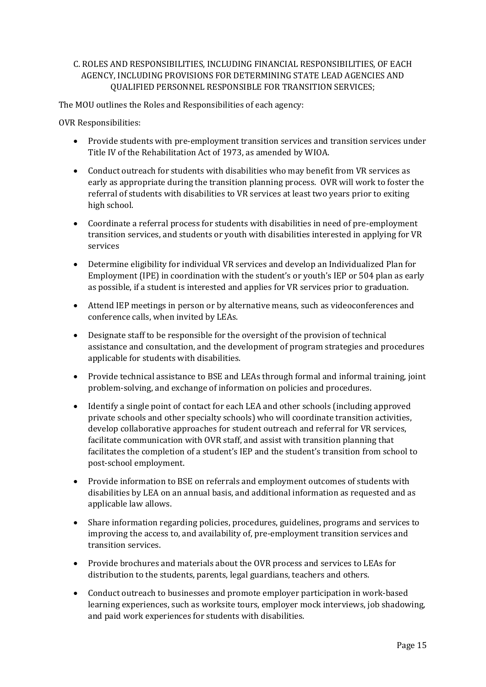## C. ROLES AND RESPONSIBILITIES, INCLUDING FINANCIAL RESPONSIBILITIES, OF EACH AGENCY, INCLUDING PROVISIONS FOR DETERMINING STATE LEAD AGENCIES AND QUALIFIED PERSONNEL RESPONSIBLE FOR TRANSITION SERVICES;

The MOU outlines the Roles and Responsibilities of each agency:

OVR Responsibilities:

- Provide students with pre-employment transition services and transition services under Title IV of the Rehabilitation Act of 1973, as amended by WIOA.
- Conduct outreach for students with disabilities who may benefit from VR services as early as appropriate during the transition planning process. OVR will work to foster the referral of students with disabilities to VR services at least two years prior to exiting high school.
- Coordinate a referral process for students with disabilities in need of pre-employment transition services, and students or youth with disabilities interested in applying for VR services
- Determine eligibility for individual VR services and develop an Individualized Plan for Employment (IPE) in coordination with the student's or youth's IEP or 504 plan as early as possible, if a student is interested and applies for VR services prior to graduation.
- Attend IEP meetings in person or by alternative means, such as videoconferences and conference calls, when invited by LEAs.
- Designate staff to be responsible for the oversight of the provision of technical assistance and consultation, and the development of program strategies and procedures applicable for students with disabilities.
- Provide technical assistance to BSE and LEAs through formal and informal training, joint problem-solving, and exchange of information on policies and procedures.
- Identify a single point of contact for each LEA and other schools (including approved private schools and other specialty schools) who will coordinate transition activities, develop collaborative approaches for student outreach and referral for VR services, facilitate communication with OVR staff, and assist with transition planning that facilitates the completion of a student's IEP and the student's transition from school to post-school employment.
- Provide information to BSE on referrals and employment outcomes of students with disabilities by LEA on an annual basis, and additional information as requested and as applicable law allows.
- Share information regarding policies, procedures, guidelines, programs and services to improving the access to, and availability of, pre-employment transition services and transition services.
- Provide brochures and materials about the OVR process and services to LEAs for distribution to the students, parents, legal guardians, teachers and others.
- Conduct outreach to businesses and promote employer participation in work-based learning experiences, such as worksite tours, employer mock interviews, job shadowing, and paid work experiences for students with disabilities.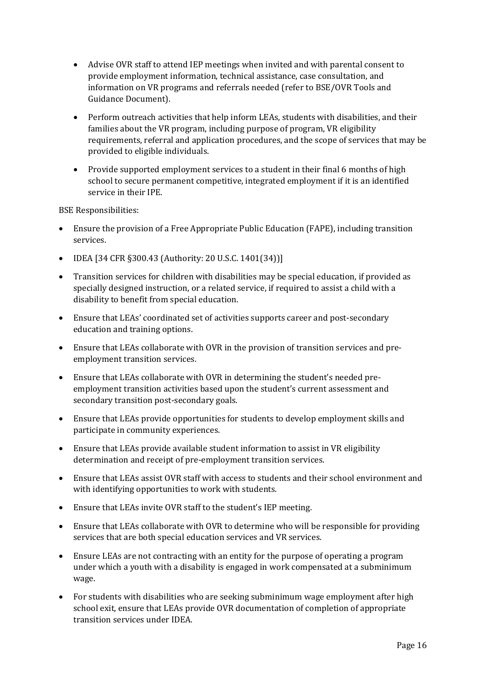- Advise OVR staff to attend IEP meetings when invited and with parental consent to provide employment information, technical assistance, case consultation, and information on VR programs and referrals needed (refer to BSE/OVR Tools and Guidance Document).
- Perform outreach activities that help inform LEAs, students with disabilities, and their families about the VR program, including purpose of program, VR eligibility requirements, referral and application procedures, and the scope of services that may be provided to eligible individuals.
- Provide supported employment services to a student in their final 6 months of high school to secure permanent competitive, integrated employment if it is an identified service in their IPE.

BSE Responsibilities:

- Ensure the provision of a Free Appropriate Public Education (FAPE), including transition services.
- IDEA [34 CFR §300.43 (Authority: 20 U.S.C. 1401(34))]
- Transition services for children with disabilities may be special education, if provided as specially designed instruction, or a related service, if required to assist a child with a disability to benefit from special education.
- Ensure that LEAs' coordinated set of activities supports career and post-secondary education and training options.
- Ensure that LEAs collaborate with OVR in the provision of transition services and preemployment transition services.
- Ensure that LEAs collaborate with OVR in determining the student's needed preemployment transition activities based upon the student's current assessment and secondary transition post-secondary goals.
- Ensure that LEAs provide opportunities for students to develop employment skills and participate in community experiences.
- Ensure that LEAs provide available student information to assist in VR eligibility determination and receipt of pre-employment transition services.
- Ensure that LEAs assist OVR staff with access to students and their school environment and with identifying opportunities to work with students.
- Ensure that LEAs invite OVR staff to the student's IEP meeting.
- Ensure that LEAs collaborate with OVR to determine who will be responsible for providing services that are both special education services and VR services.
- Ensure LEAs are not contracting with an entity for the purpose of operating a program under which a youth with a disability is engaged in work compensated at a subminimum wage.
- For students with disabilities who are seeking subminimum wage employment after high school exit, ensure that LEAs provide OVR documentation of completion of appropriate transition services under IDEA.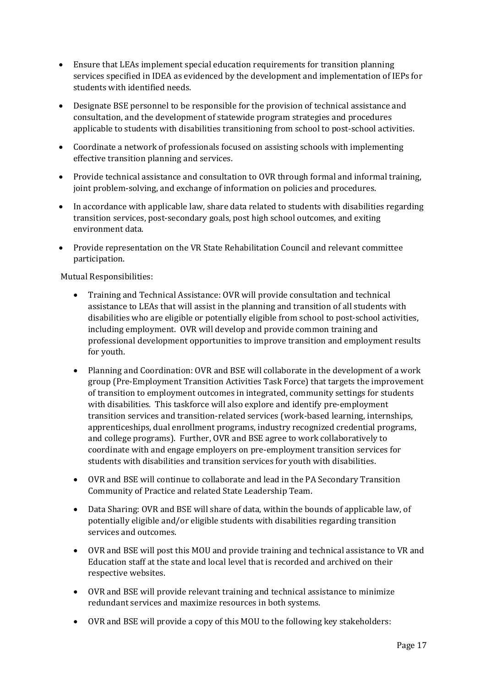- Ensure that LEAs implement special education requirements for transition planning services specified in IDEA as evidenced by the development and implementation of IEPs for students with identified needs.
- Designate BSE personnel to be responsible for the provision of technical assistance and consultation, and the development of statewide program strategies and procedures applicable to students with disabilities transitioning from school to post-school activities.
- Coordinate a network of professionals focused on assisting schools with implementing effective transition planning and services.
- Provide technical assistance and consultation to OVR through formal and informal training, joint problem-solving, and exchange of information on policies and procedures.
- In accordance with applicable law, share data related to students with disabilities regarding transition services, post-secondary goals, post high school outcomes, and exiting environment data.
- Provide representation on the VR State Rehabilitation Council and relevant committee participation.

Mutual Responsibilities:

- Training and Technical Assistance: OVR will provide consultation and technical assistance to LEAs that will assist in the planning and transition of all students with disabilities who are eligible or potentially eligible from school to post-school activities, including employment. OVR will develop and provide common training and professional development opportunities to improve transition and employment results for youth.
- Planning and Coordination: OVR and BSE will collaborate in the development of a work group (Pre-Employment Transition Activities Task Force) that targets the improvement of transition to employment outcomes in integrated, community settings for students with disabilities. This taskforce will also explore and identify pre-employment transition services and transition-related services (work-based learning, internships, apprenticeships, dual enrollment programs, industry recognized credential programs, and college programs). Further, OVR and BSE agree to work collaboratively to coordinate with and engage employers on pre-employment transition services for students with disabilities and transition services for youth with disabilities.
- OVR and BSE will continue to collaborate and lead in the PA Secondary Transition Community of Practice and related State Leadership Team.
- Data Sharing: OVR and BSE will share of data, within the bounds of applicable law, of potentially eligible and/or eligible students with disabilities regarding transition services and outcomes.
- OVR and BSE will post this MOU and provide training and technical assistance to VR and Education staff at the state and local level that is recorded and archived on their respective websites.
- OVR and BSE will provide relevant training and technical assistance to minimize redundant services and maximize resources in both systems.
- OVR and BSE will provide a copy of this MOU to the following key stakeholders: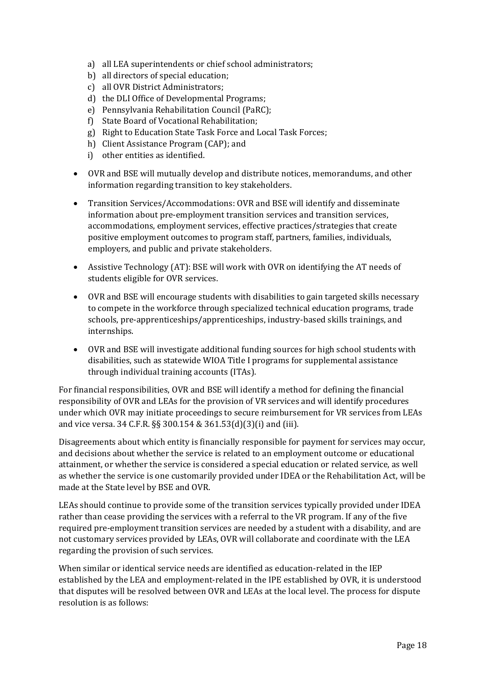- a) all LEA superintendents or chief school administrators;
- b) all directors of special education;
- c) all OVR District Administrators;
- d) the DLI Office of Developmental Programs;
- e) Pennsylvania Rehabilitation Council (PaRC);
- f) State Board of Vocational Rehabilitation;
- g) Right to Education State Task Force and Local Task Forces;
- h) Client Assistance Program (CAP); and
- i) other entities as identified.
- OVR and BSE will mutually develop and distribute notices, memorandums, and other information regarding transition to key stakeholders.
- Transition Services/Accommodations: OVR and BSE will identify and disseminate information about pre-employment transition services and transition services, accommodations, employment services, effective practices/strategies that create positive employment outcomes to program staff, partners, families, individuals, employers, and public and private stakeholders.
- Assistive Technology (AT): BSE will work with OVR on identifying the AT needs of students eligible for OVR services.
- OVR and BSE will encourage students with disabilities to gain targeted skills necessary to compete in the workforce through specialized technical education programs, trade schools, pre-apprenticeships/apprenticeships, industry-based skills trainings, and internships.
- OVR and BSE will investigate additional funding sources for high school students with disabilities, such as statewide WIOA Title I programs for supplemental assistance through individual training accounts (ITAs).

For financial responsibilities, OVR and BSE will identify a method for defining the financial responsibility of OVR and LEAs for the provision of VR services and will identify procedures under which OVR may initiate proceedings to secure reimbursement for VR services from LEAs and vice versa. 34 C.F.R. §§ 300.154 & 361.53(d)(3)(i) and (iii).

Disagreements about which entity is financially responsible for payment for services may occur, and decisions about whether the service is related to an employment outcome or educational attainment, or whether the service is considered a special education or related service, as well as whether the service is one customarily provided under IDEA or the Rehabilitation Act, will be made at the State level by BSE and OVR.

LEAs should continue to provide some of the transition services typically provided under IDEA rather than cease providing the services with a referral to the VR program. If any of the five required pre-employment transition services are needed by a student with a disability, and are not customary services provided by LEAs, OVR will collaborate and coordinate with the LEA regarding the provision of such services.

When similar or identical service needs are identified as education-related in the IEP established by the LEA and employment-related in the IPE established by OVR, it is understood that disputes will be resolved between OVR and LEAs at the local level. The process for dispute resolution is as follows: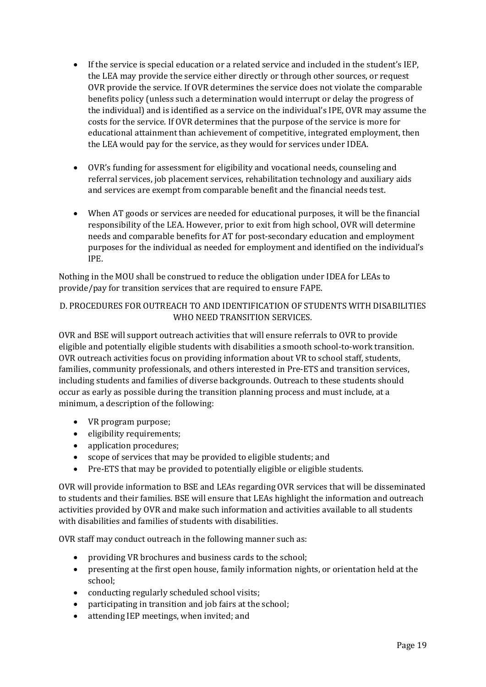- If the service is special education or a related service and included in the student's IEP, the LEA may provide the service either directly or through other sources, or request OVR provide the service. If OVR determines the service does not violate the comparable benefits policy (unless such a determination would interrupt or delay the progress of the individual) and is identified as a service on the individual's IPE, OVR may assume the costs for the service. If OVR determines that the purpose of the service is more for educational attainment than achievement of competitive, integrated employment, then the LEA would pay for the service, as they would for services under IDEA.
- OVR's funding for assessment for eligibility and vocational needs, counseling and referral services, job placement services, rehabilitation technology and auxiliary aids and services are exempt from comparable benefit and the financial needs test.
- When AT goods or services are needed for educational purposes, it will be the financial responsibility of the LEA. However, prior to exit from high school, OVR will determine needs and comparable benefits for AT for post-secondary education and employment purposes for the individual as needed for employment and identified on the individual's IPE.

Nothing in the MOU shall be construed to reduce the obligation under IDEA for LEAs to provide/pay for transition services that are required to ensure FAPE.

## D. PROCEDURES FOR OUTREACH TO AND IDENTIFICATION OF STUDENTS WITH DISABILITIES WHO NEED TRANSITION SERVICES.

OVR and BSE will support outreach activities that will ensure referrals to OVR to provide eligible and potentially eligible students with disabilities a smooth school-to-work transition. OVR outreach activities focus on providing information about VR to school staff, students, families, community professionals, and others interested in Pre-ETS and transition services, including students and families of diverse backgrounds. Outreach to these students should occur as early as possible during the transition planning process and must include, at a minimum, a description of the following:

- VR program purpose;
- eligibility requirements;
- application procedures;
- scope of services that may be provided to eligible students; and
- Pre-ETS that may be provided to potentially eligible or eligible students.

OVR will provide information to BSE and LEAs regarding OVR services that will be disseminated to students and their families. BSE will ensure that LEAs highlight the information and outreach activities provided by OVR and make such information and activities available to all students with disabilities and families of students with disabilities.

OVR staff may conduct outreach in the following manner such as:

- providing VR brochures and business cards to the school;
- presenting at the first open house, family information nights, or orientation held at the school;
- conducting regularly scheduled school visits;
- participating in transition and job fairs at the school;
- attending IEP meetings, when invited; and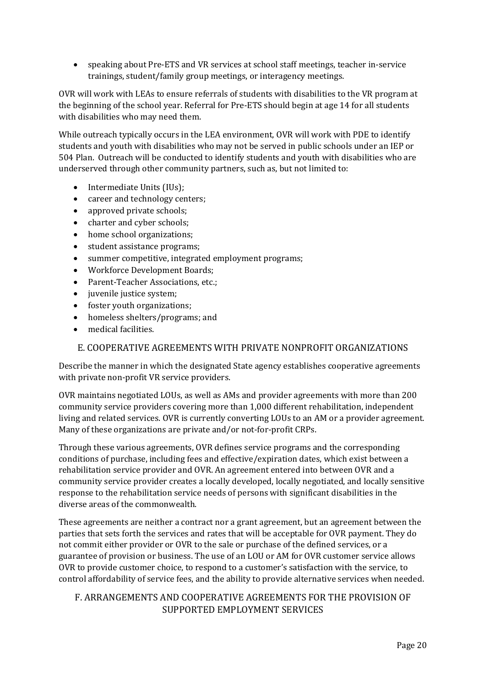• speaking about Pre-ETS and VR services at school staff meetings, teacher in-service trainings, student/family group meetings, or interagency meetings.

OVR will work with LEAs to ensure referrals of students with disabilities to the VR program at the beginning of the school year. Referral for Pre-ETS should begin at age 14 for all students with disabilities who may need them.

While outreach typically occurs in the LEA environment, OVR will work with PDE to identify students and youth with disabilities who may not be served in public schools under an IEP or 504 Plan. Outreach will be conducted to identify students and youth with disabilities who are underserved through other community partners, such as, but not limited to:

- Intermediate Units (IUs);
- career and technology centers;
- approved private schools:
- charter and cyber schools;
- home school organizations;
- student assistance programs;
- summer competitive, integrated employment programs;
- Workforce Development Boards;
- Parent-Teacher Associations, etc.:
- juvenile justice system;
- foster youth organizations;
- homeless shelters/programs; and
- medical facilities.

## E. COOPERATIVE AGREEMENTS WITH PRIVATE NONPROFIT ORGANIZATIONS

<span id="page-19-0"></span>Describe the manner in which the designated State agency establishes cooperative agreements with private non-profit VR service providers.

OVR maintains negotiated LOUs, as well as AMs and provider agreements with more than 200 community service providers covering more than 1,000 different rehabilitation, independent living and related services. OVR is currently converting LOUs to an AM or a provider agreement. Many of these organizations are private and/or not-for-profit CRPs.

Through these various agreements, OVR defines service programs and the corresponding conditions of purchase, including fees and effective/expiration dates, which exist between a rehabilitation service provider and OVR. An agreement entered into between OVR and a community service provider creates a locally developed, locally negotiated, and locally sensitive response to the rehabilitation service needs of persons with significant disabilities in the diverse areas of the commonwealth.

These agreements are neither a contract nor a grant agreement, but an agreement between the parties that sets forth the services and rates that will be acceptable for OVR payment. They do not commit either provider or OVR to the sale or purchase of the defined services, or a guarantee of provision or business. The use of an LOU or AM for OVR customer service allows OVR to provide customer choice, to respond to a customer's satisfaction with the service, to control affordability of service fees, and the ability to provide alternative services when needed.

# <span id="page-19-1"></span>F. ARRANGEMENTS AND COOPERATIVE AGREEMENTS FOR THE PROVISION OF SUPPORTED EMPLOYMENT SERVICES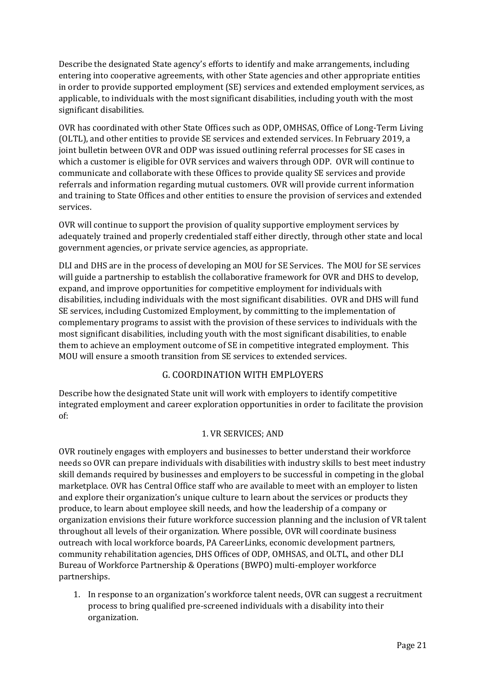Describe the designated State agency's efforts to identify and make arrangements, including entering into cooperative agreements, with other State agencies and other appropriate entities in order to provide supported employment (SE) services and extended employment services, as applicable, to individuals with the most significant disabilities, including youth with the most significant disabilities.

OVR has coordinated with other State Offices such as ODP, OMHSAS, Office of Long-Term Living (OLTL), and other entities to provide SE services and extended services. In February 2019, a joint bulletin between OVR and ODP was issued outlining referral processes for SE cases in which a customer is eligible for OVR services and waivers through ODP. OVR will continue to communicate and collaborate with these Offices to provide quality SE services and provide referrals and information regarding mutual customers. OVR will provide current information and training to State Offices and other entities to ensure the provision of services and extended services.

OVR will continue to support the provision of quality supportive employment services by adequately trained and properly credentialed staff either directly, through other state and local government agencies, or private service agencies, as appropriate.

DLI and DHS are in the process of developing an MOU for SE Services. The MOU for SE services will guide a partnership to establish the collaborative framework for OVR and DHS to develop, expand, and improve opportunities for competitive employment for individuals with disabilities, including individuals with the most significant disabilities. OVR and DHS will fund SE services, including Customized Employment, by committing to the implementation of complementary programs to assist with the provision of these services to individuals with the most significant disabilities, including youth with the most significant disabilities, to enable them to achieve an employment outcome of SE in competitive integrated employment. This MOU will ensure a smooth transition from SE services to extended services.

# G. COORDINATION WITH EMPLOYERS

<span id="page-20-0"></span>Describe how the designated State unit will work with employers to identify competitive integrated employment and career exploration opportunities in order to facilitate the provision of:

# 1. VR SERVICES; AND

OVR routinely engages with employers and businesses to better understand their workforce needs so OVR can prepare individuals with disabilities with industry skills to best meet industry skill demands required by businesses and employers to be successful in competing in the global marketplace. OVR has Central Office staff who are available to meet with an employer to listen and explore their organization's unique culture to learn about the services or products they produce, to learn about employee skill needs, and how the leadership of a company or organization envisions their future workforce succession planning and the inclusion of VR talent throughout all levels of their organization. Where possible, OVR will coordinate business outreach with local workforce boards, PA CareerLinks, economic development partners, community rehabilitation agencies, DHS Offices of ODP, OMHSAS, and OLTL, and other DLI Bureau of Workforce Partnership & Operations (BWPO) multi-employer workforce partnerships.

1. In response to an organization's workforce talent needs, OVR can suggest a recruitment process to bring qualified pre-screened individuals with a disability into their organization.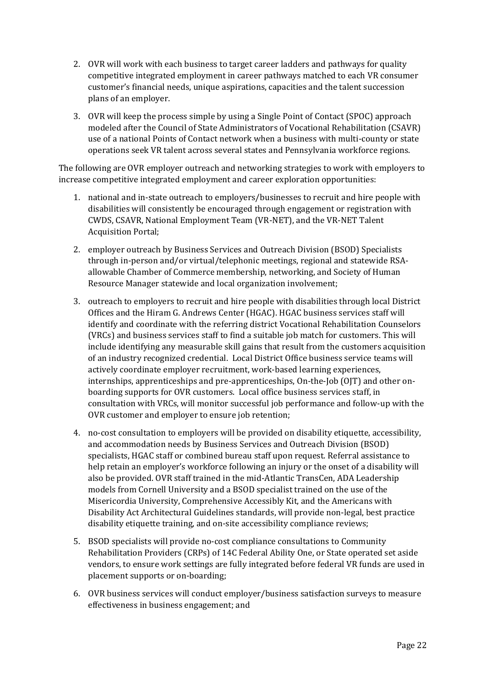- 2. OVR will work with each business to target career ladders and pathways for quality competitive integrated employment in career pathways matched to each VR consumer customer's financial needs, unique aspirations, capacities and the talent succession plans of an employer.
- 3. OVR will keep the process simple by using a Single Point of Contact (SPOC) approach modeled after the Council of State Administrators of Vocational Rehabilitation (CSAVR) use of a national Points of Contact network when a business with multi-county or state operations seek VR talent across several states and Pennsylvania workforce regions.

The following are OVR employer outreach and networking strategies to work with employers to increase competitive integrated employment and career exploration opportunities:

- 1. national and in-state outreach to employers/businesses to recruit and hire people with disabilities will consistently be encouraged through engagement or registration with CWDS, CSAVR, National Employment Team (VR-NET), and the VR-NET Talent Acquisition Portal;
- 2. employer outreach by Business Services and Outreach Division (BSOD) Specialists through in-person and/or virtual/telephonic meetings, regional and statewide RSAallowable Chamber of Commerce membership, networking, and Society of Human Resource Manager statewide and local organization involvement;
- 3. outreach to employers to recruit and hire people with disabilities through local District Offices and the Hiram G. Andrews Center (HGAC). HGAC business services staff will identify and coordinate with the referring district Vocational Rehabilitation Counselors (VRCs) and business services staff to find a suitable job match for customers. This will include identifying any measurable skill gains that result from the customers acquisition of an industry recognized credential. Local District Office business service teams will actively coordinate employer recruitment, work-based learning experiences, internships, apprenticeships and pre-apprenticeships, On-the-Job (OJT) and other onboarding supports for OVR customers. Local office business services staff, in consultation with VRCs, will monitor successful job performance and follow-up with the OVR customer and employer to ensure job retention;
- 4. no-cost consultation to employers will be provided on disability etiquette, accessibility, and accommodation needs by Business Services and Outreach Division (BSOD) specialists, HGAC staff or combined bureau staff upon request. Referral assistance to help retain an employer's workforce following an injury or the onset of a disability will also be provided. OVR staff trained in the mid-Atlantic TransCen, ADA Leadership models from Cornell University and a BSOD specialist trained on the use of the Misericordia University, Comprehensive Accessibly Kit, and the Americans with Disability Act Architectural Guidelines standards, will provide non-legal, best practice disability etiquette training, and on-site accessibility compliance reviews;
- 5. BSOD specialists will provide no-cost compliance consultations to Community Rehabilitation Providers (CRPs) of 14C Federal Ability One, or State operated set aside vendors, to ensure work settings are fully integrated before federal VR funds are used in placement supports or on-boarding;
- 6. OVR business services will conduct employer/business satisfaction surveys to measure effectiveness in business engagement; and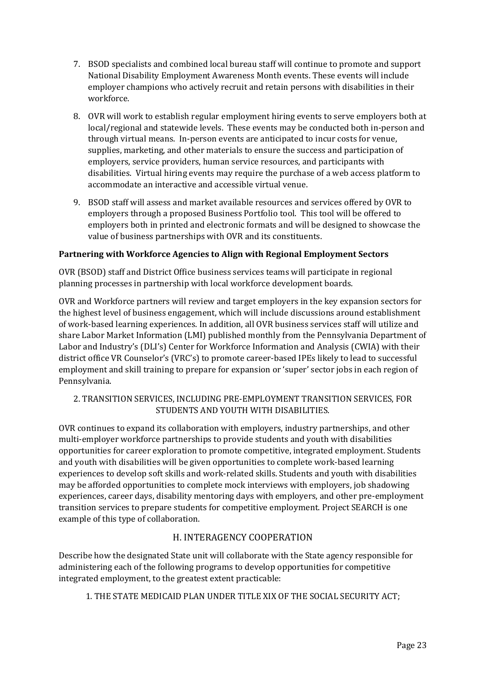- 7. BSOD specialists and combined local bureau staff will continue to promote and support National Disability Employment Awareness Month events. These events will include employer champions who actively recruit and retain persons with disabilities in their workforce.
- 8. OVR will work to establish regular employment hiring events to serve employers both at local/regional and statewide levels. These events may be conducted both in-person and through virtual means. In-person events are anticipated to incur costs for venue, supplies, marketing, and other materials to ensure the success and participation of employers, service providers, human service resources, and participants with disabilities. Virtual hiring events may require the purchase of a web access platform to accommodate an interactive and accessible virtual venue.
- 9. BSOD staff will assess and market available resources and services offered by OVR to employers through a proposed Business Portfolio tool. This tool will be offered to employers both in printed and electronic formats and will be designed to showcase the value of business partnerships with OVR and its constituents.

## **Partnering with Workforce Agencies to Align with Regional Employment Sectors**

OVR (BSOD) staff and District Office business services teams will participate in regional planning processes in partnership with local workforce development boards.

OVR and Workforce partners will review and target employers in the key expansion sectors for the highest level of business engagement, which will include discussions around establishment of work-based learning experiences. In addition, all OVR business services staff will utilize and share Labor Market Information (LMI) published monthly from the Pennsylvania Department of Labor and Industry's (DLI's) Center for Workforce Information and Analysis (CWIA) with their district office VR Counselor's (VRC's) to promote career-based IPEs likely to lead to successful employment and skill training to prepare for expansion or 'super' sector jobs in each region of Pennsylvania.

### 2. TRANSITION SERVICES, INCLUDING PRE-EMPLOYMENT TRANSITION SERVICES, FOR STUDENTS AND YOUTH WITH DISABILITIES.

OVR continues to expand its collaboration with employers, industry partnerships, and other multi-employer workforce partnerships to provide students and youth with disabilities opportunities for career exploration to promote competitive, integrated employment. Students and youth with disabilities will be given opportunities to complete work-based learning experiences to develop soft skills and work-related skills. Students and youth with disabilities may be afforded opportunities to complete mock interviews with employers, job shadowing experiences, career days, disability mentoring days with employers, and other pre-employment transition services to prepare students for competitive employment. Project SEARCH is one example of this type of collaboration.

# H. INTERAGENCY COOPERATION

<span id="page-22-0"></span>Describe how the designated State unit will collaborate with the State agency responsible for administering each of the following programs to develop opportunities for competitive integrated employment, to the greatest extent practicable:

1. THE STATE MEDICAID PLAN UNDER TITLE XIX OF THE SOCIAL SECURITY ACT;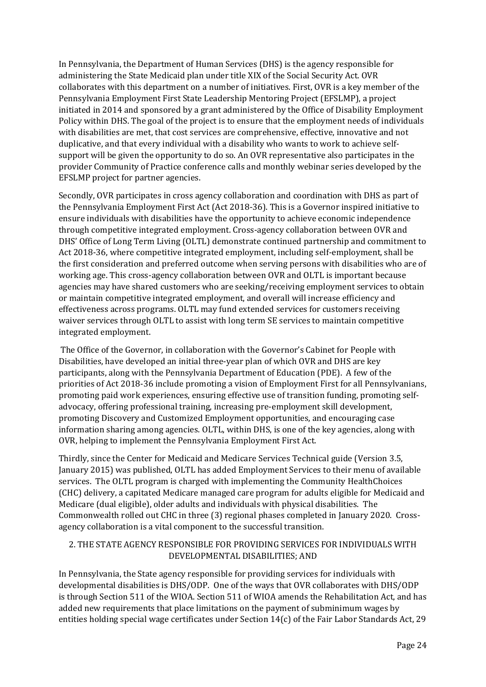In Pennsylvania, the Department of Human Services (DHS) is the agency responsible for administering the State Medicaid plan under title XIX of the Social Security Act. OVR collaborates with this department on a number of initiatives. First, OVR is a key member of the Pennsylvania Employment First State Leadership Mentoring Project (EFSLMP), a project initiated in 2014 and sponsored by a grant administered by the Office of Disability Employment Policy within DHS. The goal of the project is to ensure that the employment needs of individuals with disabilities are met, that cost services are comprehensive, effective, innovative and not duplicative, and that every individual with a disability who wants to work to achieve selfsupport will be given the opportunity to do so. An OVR representative also participates in the provider Community of Practice conference calls and monthly webinar series developed by the EFSLMP project for partner agencies.

Secondly, OVR participates in cross agency collaboration and coordination with DHS as part of the Pennsylvania Employment First Act (Act 2018-36). This is a Governor inspired initiative to ensure individuals with disabilities have the opportunity to achieve economic independence through competitive integrated employment. Cross-agency collaboration between OVR and DHS' Office of Long Term Living (OLTL) demonstrate continued partnership and commitment to Act 2018-36, where competitive integrated employment, including self-employment, shall be the first consideration and preferred outcome when serving persons with disabilities who are of working age. This cross-agency collaboration between OVR and OLTL is important because agencies may have shared customers who are seeking/receiving employment services to obtain or maintain competitive integrated employment, and overall will increase efficiency and effectiveness across programs. OLTL may fund extended services for customers receiving waiver services through OLTL to assist with long term SE services to maintain competitive integrated employment.

The Office of the Governor, in collaboration with the Governor's Cabinet for People with Disabilities, have developed an initial three-year plan of which OVR and DHS are key participants, along with the Pennsylvania Department of Education (PDE). A few of the priorities of Act 2018-36 include promoting a vision of Employment First for all Pennsylvanians, promoting paid work experiences, ensuring effective use of transition funding, promoting selfadvocacy, offering professional training, increasing pre-employment skill development, promoting Discovery and Customized Employment opportunities, and encouraging case information sharing among agencies. OLTL, within DHS, is one of the key agencies, along with OVR, helping to implement the Pennsylvania Employment First Act.

Thirdly, since the Center for Medicaid and Medicare Services Technical guide (Version 3.5, January 2015) was published, OLTL has added Employment Services to their menu of available services. The OLTL program is charged with implementing the Community HealthChoices (CHC) delivery, a capitated Medicare managed care program for adults eligible for Medicaid and Medicare (dual eligible), older adults and individuals with physical disabilities. The Commonwealth rolled out CHC in three (3) regional phases completed in January 2020. Crossagency collaboration is a vital component to the successful transition.

# 2. THE STATE AGENCY RESPONSIBLE FOR PROVIDING SERVICES FOR INDIVIDUALS WITH DEVELOPMENTAL DISABILITIES; AND

In Pennsylvania, the State agency responsible for providing services for individuals with developmental disabilities is DHS/ODP. One of the ways that OVR collaborates with DHS/ODP is through Section 511 of the WIOA. Section 511 of WIOA amends the Rehabilitation Act, and has added new requirements that place limitations on the payment of subminimum wages by entities holding special wage certificates under Section 14(c) of the Fair Labor Standards Act, 29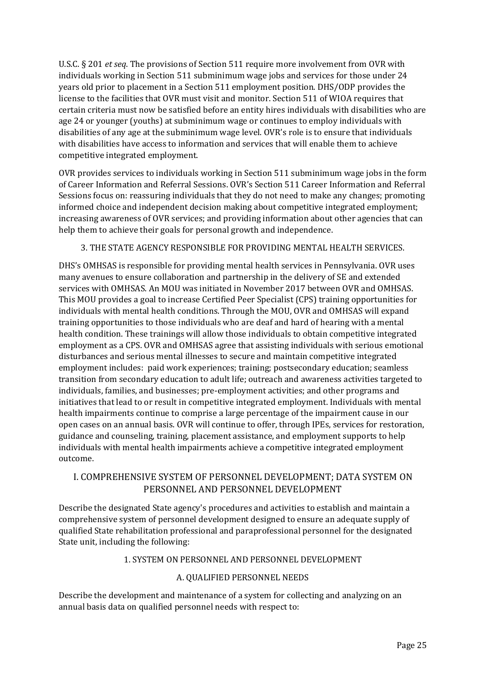U.S.C. § 201 *et seq*. The provisions of Section 511 require more involvement from OVR with individuals working in Section 511 subminimum wage jobs and services for those under 24 years old prior to placement in a Section 511 employment position. DHS/ODP provides the license to the facilities that OVR must visit and monitor. Section 511 of WIOA requires that certain criteria must now be satisfied before an entity hires individuals with disabilities who are age 24 or younger (youths) at subminimum wage or continues to employ individuals with disabilities of any age at the subminimum wage level. OVR's role is to ensure that individuals with disabilities have access to information and services that will enable them to achieve competitive integrated employment.

OVR provides services to individuals working in Section 511 subminimum wage jobs in the form of Career Information and Referral Sessions. OVR's Section 511 Career Information and Referral Sessions focus on: reassuring individuals that they do not need to make any changes; promoting informed choice and independent decision making about competitive integrated employment; increasing awareness of OVR services; and providing information about other agencies that can help them to achieve their goals for personal growth and independence.

3. THE STATE AGENCY RESPONSIBLE FOR PROVIDING MENTAL HEALTH SERVICES.

DHS's OMHSAS is responsible for providing mental health services in Pennsylvania. OVR uses many avenues to ensure collaboration and partnership in the delivery of SE and extended services with OMHSAS. An MOU was initiated in November 2017 between OVR and OMHSAS. This MOU provides a goal to increase Certified Peer Specialist (CPS) training opportunities for individuals with mental health conditions. Through the MOU, OVR and OMHSAS will expand training opportunities to those individuals who are deaf and hard of hearing with a mental health condition. These trainings will allow those individuals to obtain competitive integrated employment as a CPS. OVR and OMHSAS agree that assisting individuals with serious emotional disturbances and serious mental illnesses to secure and maintain competitive integrated employment includes: paid work experiences; training; postsecondary education; seamless transition from secondary education to adult life; outreach and awareness activities targeted to individuals, families, and businesses; pre-employment activities; and other programs and initiatives that lead to or result in competitive integrated employment. Individuals with mental health impairments continue to comprise a large percentage of the impairment cause in our open cases on an annual basis. OVR will continue to offer, through IPEs, services for restoration, guidance and counseling, training, placement assistance, and employment supports to help individuals with mental health impairments achieve a competitive integrated employment outcome.

# <span id="page-24-0"></span>I. COMPREHENSIVE SYSTEM OF PERSONNEL DEVELOPMENT; DATA SYSTEM ON PERSONNEL AND PERSONNEL DEVELOPMENT

Describe the designated State agency's procedures and activities to establish and maintain a comprehensive system of personnel development designed to ensure an adequate supply of qualified State rehabilitation professional and paraprofessional personnel for the designated State unit, including the following:

# 1. SYSTEM ON PERSONNEL AND PERSONNEL DEVELOPMENT

### A. QUALIFIED PERSONNEL NEEDS

Describe the development and maintenance of a system for collecting and analyzing on an annual basis data on qualified personnel needs with respect to: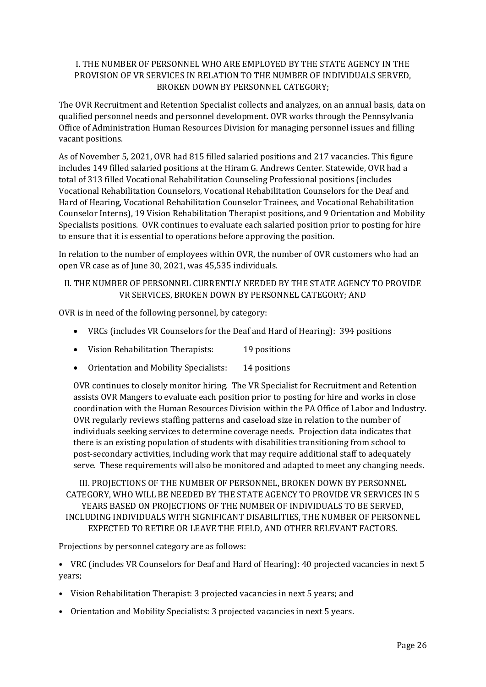## I. THE NUMBER OF PERSONNEL WHO ARE EMPLOYED BY THE STATE AGENCY IN THE PROVISION OF VR SERVICES IN RELATION TO THE NUMBER OF INDIVIDUALS SERVED, BROKEN DOWN BY PERSONNEL CATEGORY;

The OVR Recruitment and Retention Specialist collects and analyzes, on an annual basis, data on qualified personnel needs and personnel development. OVR works through the Pennsylvania Office of Administration Human Resources Division for managing personnel issues and filling vacant positions.

As of November 5, 2021, OVR had 815 filled salaried positions and 217 vacancies. This figure includes 149 filled salaried positions at the Hiram G. Andrews Center. Statewide, OVR had a total of 313 filled Vocational Rehabilitation Counseling Professional positions (includes Vocational Rehabilitation Counselors, Vocational Rehabilitation Counselors for the Deaf and Hard of Hearing, Vocational Rehabilitation Counselor Trainees, and Vocational Rehabilitation Counselor Interns), 19 Vision Rehabilitation Therapist positions, and 9 Orientation and Mobility Specialists positions. OVR continues to evaluate each salaried position prior to posting for hire to ensure that it is essential to operations before approving the position.

In relation to the number of employees within OVR, the number of OVR customers who had an open VR case as of June 30, 2021, was 45,535 individuals.

## II. THE NUMBER OF PERSONNEL CURRENTLY NEEDED BY THE STATE AGENCY TO PROVIDE VR SERVICES, BROKEN DOWN BY PERSONNEL CATEGORY; AND

OVR is in need of the following personnel, by category:

- VRCs (includes VR Counselors for the Deaf and Hard of Hearing): 394 positions
- Vision Rehabilitation Therapists: 19 positions
- Orientation and Mobility Specialists: 14 positions

OVR continues to closely monitor hiring. The VR Specialist for Recruitment and Retention assists OVR Mangers to evaluate each position prior to posting for hire and works in close coordination with the Human Resources Division within the PA Office of Labor and Industry. OVR regularly reviews staffing patterns and caseload size in relation to the number of individuals seeking services to determine coverage needs. Projection data indicates that there is an existing population of students with disabilities transitioning from school to post-secondary activities, including work that may require additional staff to adequately serve. These requirements will also be monitored and adapted to meet any changing needs.

III. PROJECTIONS OF THE NUMBER OF PERSONNEL, BROKEN DOWN BY PERSONNEL CATEGORY, WHO WILL BE NEEDED BY THE STATE AGENCY TO PROVIDE VR SERVICES IN 5 YEARS BASED ON PROJECTIONS OF THE NUMBER OF INDIVIDUALS TO BE SERVED, INCLUDING INDIVIDUALS WITH SIGNIFICANT DISABILITIES, THE NUMBER OF PERSONNEL EXPECTED TO RETIRE OR LEAVE THE FIELD, AND OTHER RELEVANT FACTORS.

Projections by personnel category are as follows:

• VRC (includes VR Counselors for Deaf and Hard of Hearing): 40 projected vacancies in next 5 years;

- Vision Rehabilitation Therapist: 3 projected vacancies in next 5 years; and
- Orientation and Mobility Specialists: 3 projected vacancies in next 5 years.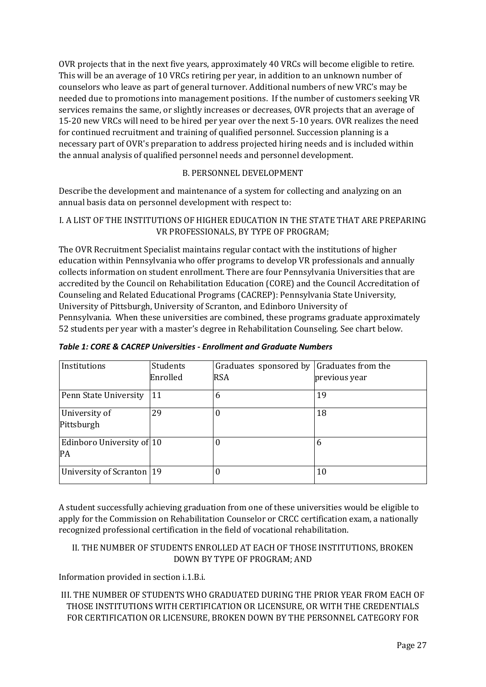OVR projects that in the next five years, approximately 40 VRCs will become eligible to retire. This will be an average of 10 VRCs retiring per year, in addition to an unknown number of counselors who leave as part of general turnover. Additional numbers of new VRC's may be needed due to promotions into management positions. If the number of customers seeking VR services remains the same, or slightly increases or decreases, OVR projects that an average of 15-20 new VRCs will need to be hired per year over the next 5-10 years. OVR realizes the need for continued recruitment and training of qualified personnel. Succession planning is a necessary part of OVR's preparation to address projected hiring needs and is included within the annual analysis of qualified personnel needs and personnel development.

# B. PERSONNEL DEVELOPMENT

Describe the development and maintenance of a system for collecting and analyzing on an annual basis data on personnel development with respect to:

## I. A LIST OF THE INSTITUTIONS OF HIGHER EDUCATION IN THE STATE THAT ARE PREPARING VR PROFESSIONALS, BY TYPE OF PROGRAM;

The OVR Recruitment Specialist maintains regular contact with the institutions of higher education within Pennsylvania who offer programs to develop VR professionals and annually collects information on student enrollment. There are four Pennsylvania Universities that are accredited by the Council on Rehabilitation Education (CORE) and the Council Accreditation of Counseling and Related Educational Programs (CACREP): Pennsylvania State University, University of Pittsburgh, University of Scranton, and Edinboro University of Pennsylvania. When these universities are combined, these programs graduate approximately 52 students per year with a master's degree in Rehabilitation Counseling. See chart below.

| Institutions                    | Students | Graduates sponsored by | Graduates from the |
|---------------------------------|----------|------------------------|--------------------|
|                                 | Enrolled | <b>RSA</b>             | previous year      |
| Penn State University           | 11       | 6                      | 19                 |
| University of<br>Pittsburgh     | 29       | 0                      | 18                 |
| Edinboro University of 10<br>PA |          | 0                      | 6                  |
| University of Scranton   19     |          | 0                      | 10                 |

*Table 1: CORE & CACREP Universities - Enrollment and Graduate Numbers*

A student successfully achieving graduation from one of these universities would be eligible to apply for the Commission on Rehabilitation Counselor or CRCC certification exam, a nationally recognized professional certification in the field of vocational rehabilitation.

## II. THE NUMBER OF STUDENTS ENROLLED AT EACH OF THOSE INSTITUTIONS, BROKEN DOWN BY TYPE OF PROGRAM; AND

Information provided in section i.1.B.i.

III. THE NUMBER OF STUDENTS WHO GRADUATED DURING THE PRIOR YEAR FROM EACH OF THOSE INSTITUTIONS WITH CERTIFICATION OR LICENSURE, OR WITH THE CREDENTIALS FOR CERTIFICATION OR LICENSURE, BROKEN DOWN BY THE PERSONNEL CATEGORY FOR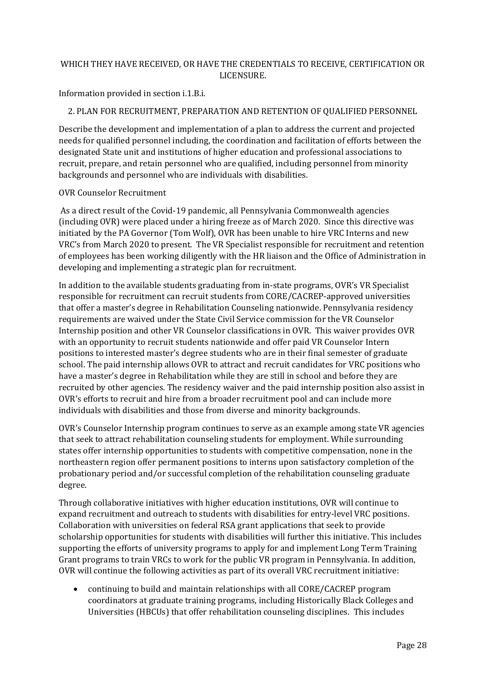## WHICH THEY HAVE RECEIVED, OR HAVE THE CREDENTIALS TO RECEIVE, CERTIFICATION OR LICENSURE.

Information provided in section i.1.B.i.

## 2. PLAN FOR RECRUITMENT, PREPARATION AND RETENTION OF QUALIFIED PERSONNEL

Describe the development and implementation of a plan to address the current and projected needs for qualified personnel including, the coordination and facilitation of efforts between the designated State unit and institutions of higher education and professional associations to recruit, prepare, and retain personnel who are qualified, including personnel from minority backgrounds and personnel who are individuals with disabilities.

#### OVR Counselor Recruitment

As a direct result of the Covid-19 pandemic, all Pennsylvania Commonwealth agencies (including OVR) were placed under a hiring freeze as of March 2020. Since this directive was initiated by the PA Governor (Tom Wolf), OVR has been unable to hire VRC Interns and new VRC's from March 2020 to present. The VR Specialist responsible for recruitment and retention of employees has been working diligently with the HR liaison and the Office of Administration in developing and implementing a strategic plan for recruitment.

In addition to the available students graduating from in-state programs, OVR's VR Specialist responsible for recruitment can recruit students from CORE/CACREP-approved universities that offer a master's degree in Rehabilitation Counseling nationwide. Pennsylvania residency requirements are waived under the State Civil Service commission for the VR Counselor Internship position and other VR Counselor classifications in OVR. This waiver provides OVR with an opportunity to recruit students nationwide and offer paid VR Counselor Intern positions to interested master's degree students who are in their final semester of graduate school. The paid internship allows OVR to attract and recruit candidates for VRC positions who have a master's degree in Rehabilitation while they are still in school and before they are recruited by other agencies. The residency waiver and the paid internship position also assist in OVR's efforts to recruit and hire from a broader recruitment pool and can include more individuals with disabilities and those from diverse and minority backgrounds.

OVR's Counselor Internship program continues to serve as an example among state VR agencies that seek to attract rehabilitation counseling students for employment. While surrounding states offer internship opportunities to students with competitive compensation, none in the northeastern region offer permanent positions to interns upon satisfactory completion of the probationary period and/or successful completion of the rehabilitation counseling graduate degree.

Through collaborative initiatives with higher education institutions, OVR will continue to expand recruitment and outreach to students with disabilities for entry-level VRC positions. Collaboration with universities on federal RSA grant applications that seek to provide scholarship opportunities for students with disabilities will further this initiative. This includes supporting the efforts of university programs to apply for and implement Long Term Training Grant programs to train VRCs to work for the public VR program in Pennsylvania. In addition, OVR will continue the following activities as part of its overall VRC recruitment initiative:

• continuing to build and maintain relationships with all CORE/CACREP program coordinators at graduate training programs, including Historically Black Colleges and Universities (HBCUs) that offer rehabilitation counseling disciplines. This includes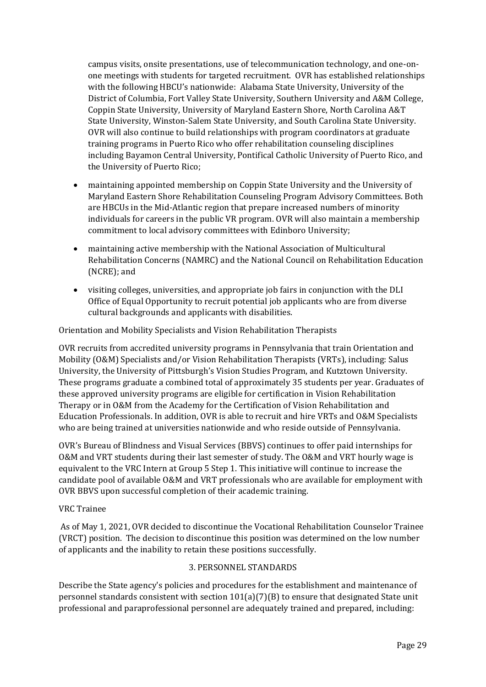campus visits, onsite presentations, use of telecommunication technology, and one-onone meetings with students for targeted recruitment. OVR has established relationships with the following HBCU's nationwide: Alabama State University, University of the District of Columbia, Fort Valley State University, Southern University and A&M College, Coppin State University, University of Maryland Eastern Shore, North Carolina A&T State University, Winston-Salem State University, and South Carolina State University. OVR will also continue to build relationships with program coordinators at graduate training programs in Puerto Rico who offer rehabilitation counseling disciplines including Bayamon Central University, Pontifical Catholic University of Puerto Rico, and the University of Puerto Rico;

- maintaining appointed membership on Coppin State University and the University of Maryland Eastern Shore Rehabilitation Counseling Program Advisory Committees. Both are HBCUs in the Mid-Atlantic region that prepare increased numbers of minority individuals for careers in the public VR program. OVR will also maintain a membership commitment to local advisory committees with Edinboro University;
- maintaining active membership with the National Association of Multicultural Rehabilitation Concerns (NAMRC) and the National Council on Rehabilitation Education (NCRE); and
- visiting colleges, universities, and appropriate job fairs in conjunction with the DLI Office of Equal Opportunity to recruit potential job applicants who are from diverse cultural backgrounds and applicants with disabilities.

Orientation and Mobility Specialists and Vision Rehabilitation Therapists

OVR recruits from accredited university programs in Pennsylvania that train Orientation and Mobility (O&M) Specialists and/or Vision Rehabilitation Therapists (VRTs), including: Salus University, the University of Pittsburgh's Vision Studies Program, and Kutztown University. These programs graduate a combined total of approximately 35 students per year. Graduates of these approved university programs are eligible for certification in Vision Rehabilitation Therapy or in O&M from the Academy for the Certification of Vision Rehabilitation and Education Professionals. In addition, OVR is able to recruit and hire VRTs and O&M Specialists who are being trained at universities nationwide and who reside outside of Pennsylvania.

OVR's Bureau of Blindness and Visual Services (BBVS) continues to offer paid internships for O&M and VRT students during their last semester of study. The O&M and VRT hourly wage is equivalent to the VRC Intern at Group 5 Step 1. This initiative will continue to increase the candidate pool of available O&M and VRT professionals who are available for employment with OVR BBVS upon successful completion of their academic training.

### VRC Trainee

As of May 1, 2021, OVR decided to discontinue the Vocational Rehabilitation Counselor Trainee (VRCT) position. The decision to discontinue this position was determined on the low number of applicants and the inability to retain these positions successfully.

### 3. PERSONNEL STANDARDS

Describe the State agency's policies and procedures for the establishment and maintenance of personnel standards consistent with section  $101(a)(7)(B)$  to ensure that designated State unit professional and paraprofessional personnel are adequately trained and prepared, including: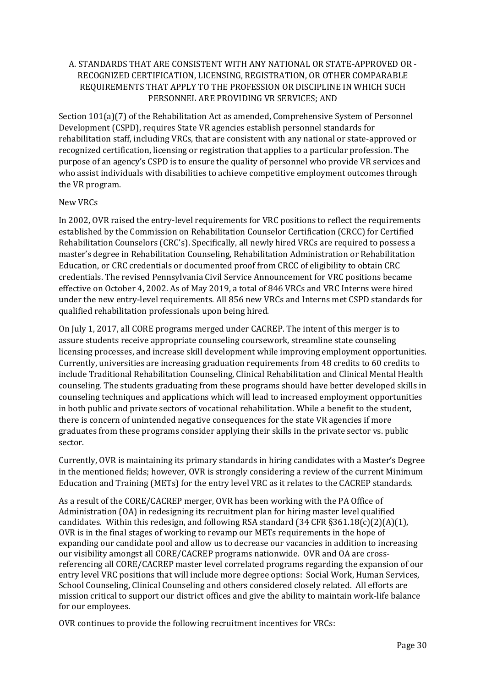## A. STANDARDS THAT ARE CONSISTENT WITH ANY NATIONAL OR STATE-APPROVED OR - RECOGNIZED CERTIFICATION, LICENSING, REGISTRATION, OR OTHER COMPARABLE REQUIREMENTS THAT APPLY TO THE PROFESSION OR DISCIPLINE IN WHICH SUCH PERSONNEL ARE PROVIDING VR SERVICES; AND

Section 101(a)(7) of the Rehabilitation Act as amended, Comprehensive System of Personnel Development (CSPD), requires State VR agencies establish personnel standards for rehabilitation staff, including VRCs, that are consistent with any national or state-approved or recognized certification, licensing or registration that applies to a particular profession. The purpose of an agency's CSPD is to ensure the quality of personnel who provide VR services and who assist individuals with disabilities to achieve competitive employment outcomes through the VR program.

### New VRCs

In 2002, OVR raised the entry-level requirements for VRC positions to reflect the requirements established by the Commission on Rehabilitation Counselor Certification (CRCC) for Certified Rehabilitation Counselors (CRC's). Specifically, all newly hired VRCs are required to possess a master's degree in Rehabilitation Counseling, Rehabilitation Administration or Rehabilitation Education, or CRC credentials or documented proof from CRCC of eligibility to obtain CRC credentials. The revised Pennsylvania Civil Service Announcement for VRC positions became effective on October 4, 2002. As of May 2019, a total of 846 VRCs and VRC Interns were hired under the new entry-level requirements. All 856 new VRCs and Interns met CSPD standards for qualified rehabilitation professionals upon being hired.

On July 1, 2017, all CORE programs merged under CACREP. The intent of this merger is to assure students receive appropriate counseling coursework, streamline state counseling licensing processes, and increase skill development while improving employment opportunities. Currently, universities are increasing graduation requirements from 48 credits to 60 credits to include Traditional Rehabilitation Counseling, Clinical Rehabilitation and Clinical Mental Health counseling. The students graduating from these programs should have better developed skills in counseling techniques and applications which will lead to increased employment opportunities in both public and private sectors of vocational rehabilitation. While a benefit to the student, there is concern of unintended negative consequences for the state VR agencies if more graduates from these programs consider applying their skills in the private sector vs. public sector.

Currently, OVR is maintaining its primary standards in hiring candidates with a Master's Degree in the mentioned fields; however, OVR is strongly considering a review of the current Minimum Education and Training (METs) for the entry level VRC as it relates to the CACREP standards.

As a result of the CORE/CACREP merger, OVR has been working with the PA Office of Administration (OA) in redesigning its recruitment plan for hiring master level qualified candidates. Within this redesign, and following RSA standard  $(34 CFR \frac{1}{5}361.18(c)(2)(A)(1)$ , OVR is in the final stages of working to revamp our METs requirements in the hope of expanding our candidate pool and allow us to decrease our vacancies in addition to increasing our visibility amongst all CORE/CACREP programs nationwide. OVR and OA are crossreferencing all CORE/CACREP master level correlated programs regarding the expansion of our entry level VRC positions that will include more degree options: Social Work, Human Services, School Counseling, Clinical Counseling and others considered closely related. All efforts are mission critical to support our district offices and give the ability to maintain work-life balance for our employees.

OVR continues to provide the following recruitment incentives for VRCs: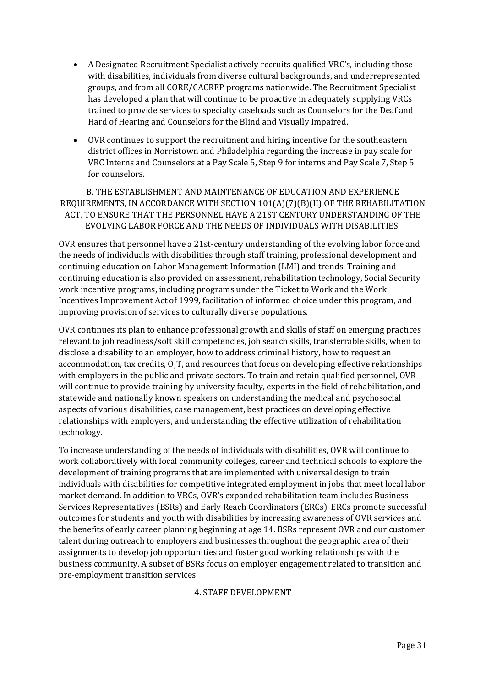- A Designated Recruitment Specialist actively recruits qualified VRC's, including those with disabilities, individuals from diverse cultural backgrounds, and underrepresented groups, and from all CORE/CACREP programs nationwide. The Recruitment Specialist has developed a plan that will continue to be proactive in adequately supplying VRCs trained to provide services to specialty caseloads such as Counselors for the Deaf and Hard of Hearing and Counselors for the Blind and Visually Impaired.
- OVR continues to support the recruitment and hiring incentive for the southeastern district offices in Norristown and Philadelphia regarding the increase in pay scale for VRC Interns and Counselors at a Pay Scale 5, Step 9 for interns and Pay Scale 7, Step 5 for counselors.

B. THE ESTABLISHMENT AND MAINTENANCE OF EDUCATION AND EXPERIENCE REQUIREMENTS, IN ACCORDANCE WITH SECTION 101(A)(7)(B)(II) OF THE REHABILITATION ACT, TO ENSURE THAT THE PERSONNEL HAVE A 21ST CENTURY UNDERSTANDING OF THE EVOLVING LABOR FORCE AND THE NEEDS OF INDIVIDUALS WITH DISABILITIES.

OVR ensures that personnel have a 21st-century understanding of the evolving labor force and the needs of individuals with disabilities through staff training, professional development and continuing education on Labor Management Information (LMI) and trends. Training and continuing education is also provided on assessment, rehabilitation technology, Social Security work incentive programs, including programs under the Ticket to Work and the Work Incentives Improvement Act of 1999, facilitation of informed choice under this program, and improving provision of services to culturally diverse populations.

OVR continues its plan to enhance professional growth and skills of staff on emerging practices relevant to job readiness/soft skill competencies, job search skills, transferrable skills, when to disclose a disability to an employer, how to address criminal history, how to request an accommodation, tax credits, OJT, and resources that focus on developing effective relationships with employers in the public and private sectors. To train and retain qualified personnel, OVR will continue to provide training by university faculty, experts in the field of rehabilitation, and statewide and nationally known speakers on understanding the medical and psychosocial aspects of various disabilities, case management, best practices on developing effective relationships with employers, and understanding the effective utilization of rehabilitation technology.

To increase understanding of the needs of individuals with disabilities, OVR will continue to work collaboratively with local community colleges, career and technical schools to explore the development of training programs that are implemented with universal design to train individuals with disabilities for competitive integrated employment in jobs that meet local labor market demand. In addition to VRCs, OVR's expanded rehabilitation team includes Business Services Representatives (BSRs) and Early Reach Coordinators (ERCs). ERCs promote successful outcomes for students and youth with disabilities by increasing awareness of OVR services and the benefits of early career planning beginning at age 14. BSRs represent OVR and our customer talent during outreach to employers and businesses throughout the geographic area of their assignments to develop job opportunities and foster good working relationships with the business community. A subset of BSRs focus on employer engagement related to transition and pre-employment transition services.

### 4. STAFF DEVELOPMENT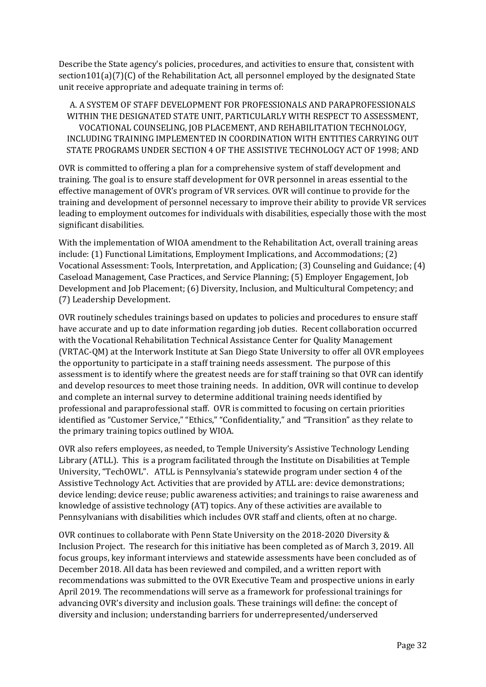Describe the State agency's policies, procedures, and activities to ensure that, consistent with section101(a)(7)(C) of the Rehabilitation Act, all personnel employed by the designated State unit receive appropriate and adequate training in terms of:

A. A SYSTEM OF STAFF DEVELOPMENT FOR PROFESSIONALS AND PARAPROFESSIONALS WITHIN THE DESIGNATED STATE UNIT, PARTICULARLY WITH RESPECT TO ASSESSMENT, VOCATIONAL COUNSELING, JOB PLACEMENT, AND REHABILITATION TECHNOLOGY, INCLUDING TRAINING IMPLEMENTED IN COORDINATION WITH ENTITIES CARRYING OUT STATE PROGRAMS UNDER SECTION 4 OF THE ASSISTIVE TECHNOLOGY ACT OF 1998; AND

OVR is committed to offering a plan for a comprehensive system of staff development and training. The goal is to ensure staff development for OVR personnel in areas essential to the effective management of OVR's program of VR services. OVR will continue to provide for the training and development of personnel necessary to improve their ability to provide VR services leading to employment outcomes for individuals with disabilities, especially those with the most significant disabilities.

With the implementation of WIOA amendment to the Rehabilitation Act, overall training areas include: (1) Functional Limitations, Employment Implications, and Accommodations; (2) Vocational Assessment: Tools, Interpretation, and Application; (3) Counseling and Guidance; (4) Caseload Management, Case Practices, and Service Planning; (5) Employer Engagement, Job Development and Job Placement; (6) Diversity, Inclusion, and Multicultural Competency; and (7) Leadership Development.

OVR routinely schedules trainings based on updates to policies and procedures to ensure staff have accurate and up to date information regarding job duties. Recent collaboration occurred with the Vocational Rehabilitation Technical Assistance Center for Quality Management (VRTAC-QM) at the Interwork Institute at San Diego State University to offer all OVR employees the opportunity to participate in a staff training needs assessment. The purpose of this assessment is to identify where the greatest needs are for staff training so that OVR can identify and develop resources to meet those training needs. In addition, OVR will continue to develop and complete an internal survey to determine additional training needs identified by professional and paraprofessional staff. OVR is committed to focusing on certain priorities identified as "Customer Service," "Ethics," "Confidentiality," and "Transition" as they relate to the primary training topics outlined by WIOA.

OVR also refers employees, as needed, to Temple University's Assistive Technology Lending Library (ATLL). This is a program facilitated through the Institute on Disabilities at Temple University, "TechOWL". ATLL is Pennsylvania's statewide program under section 4 of the Assistive Technology Act. Activities that are provided by ATLL are: device demonstrations; device lending; device reuse; public awareness activities; and trainings to raise awareness and knowledge of assistive technology (AT) topics. Any of these activities are available to Pennsylvanians with disabilities which includes OVR staff and clients, often at no charge.

OVR continues to collaborate with Penn State University on the 2018-2020 Diversity & Inclusion Project. The research for this initiative has been completed as of March 3, 2019. All focus groups, key informant interviews and statewide assessments have been concluded as of December 2018. All data has been reviewed and compiled, and a written report with recommendations was submitted to the OVR Executive Team and prospective unions in early April 2019. The recommendations will serve as a framework for professional trainings for advancing OVR's diversity and inclusion goals. These trainings will define: the concept of diversity and inclusion; understanding barriers for underrepresented/underserved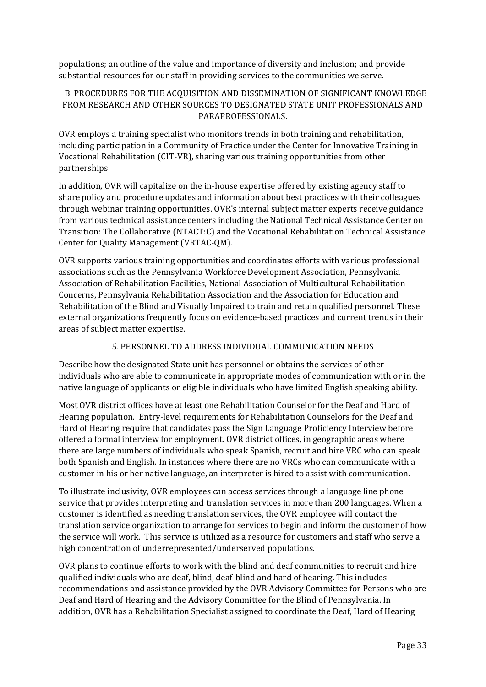populations; an outline of the value and importance of diversity and inclusion; and provide substantial resources for our staff in providing services to the communities we serve.

### B. PROCEDURES FOR THE ACQUISITION AND DISSEMINATION OF SIGNIFICANT KNOWLEDGE FROM RESEARCH AND OTHER SOURCES TO DESIGNATED STATE UNIT PROFESSIONALS AND PARAPROFESSIONALS.

OVR employs a training specialist who monitors trends in both training and rehabilitation, including participation in a Community of Practice under the Center for Innovative Training in Vocational Rehabilitation (CIT-VR), sharing various training opportunities from other partnerships.

In addition, OVR will capitalize on the in-house expertise offered by existing agency staff to share policy and procedure updates and information about best practices with their colleagues through webinar training opportunities. OVR's internal subject matter experts receive guidance from various technical assistance centers including the National Technical Assistance Center on Transition: The Collaborative (NTACT:C) and the Vocational Rehabilitation Technical Assistance Center for Quality Management (VRTAC-QM).

OVR supports various training opportunities and coordinates efforts with various professional associations such as the Pennsylvania Workforce Development Association, Pennsylvania Association of Rehabilitation Facilities, National Association of Multicultural Rehabilitation Concerns, Pennsylvania Rehabilitation Association and the Association for Education and Rehabilitation of the Blind and Visually Impaired to train and retain qualified personnel. These external organizations frequently focus on evidence-based practices and current trends in their areas of subject matter expertise.

## 5. PERSONNEL TO ADDRESS INDIVIDUAL COMMUNICATION NEEDS

Describe how the designated State unit has personnel or obtains the services of other individuals who are able to communicate in appropriate modes of communication with or in the native language of applicants or eligible individuals who have limited English speaking ability.

Most OVR district offices have at least one Rehabilitation Counselor for the Deaf and Hard of Hearing population. Entry-level requirements for Rehabilitation Counselors for the Deaf and Hard of Hearing require that candidates pass the Sign Language Proficiency Interview before offered a formal interview for employment. OVR district offices, in geographic areas where there are large numbers of individuals who speak Spanish, recruit and hire VRC who can speak both Spanish and English. In instances where there are no VRCs who can communicate with a customer in his or her native language, an interpreter is hired to assist with communication.

To illustrate inclusivity, OVR employees can access services through a language line phone service that provides interpreting and translation services in more than 200 languages. When a customer is identified as needing translation services, the OVR employee will contact the translation service organization to arrange for services to begin and inform the customer of how the service will work. This service is utilized as a resource for customers and staff who serve a high concentration of underrepresented/underserved populations.

OVR plans to continue efforts to work with the blind and deaf communities to recruit and hire qualified individuals who are deaf, blind, deaf-blind and hard of hearing. This includes recommendations and assistance provided by the OVR Advisory Committee for Persons who are Deaf and Hard of Hearing and the Advisory Committee for the Blind of Pennsylvania. In addition, OVR has a Rehabilitation Specialist assigned to coordinate the Deaf, Hard of Hearing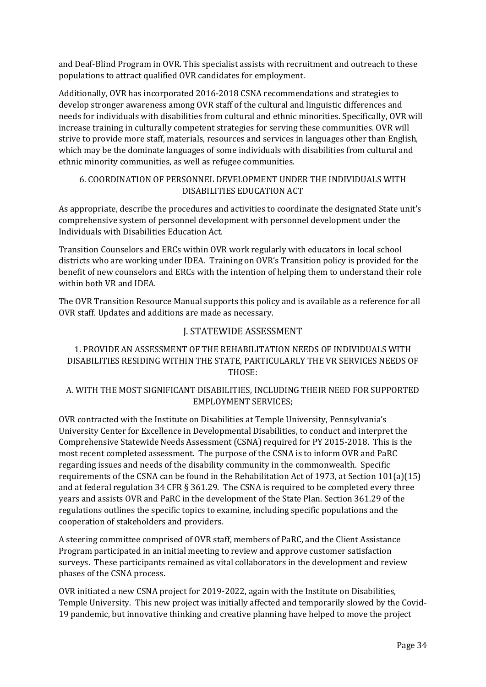and Deaf-Blind Program in OVR. This specialist assists with recruitment and outreach to these populations to attract qualified OVR candidates for employment.

Additionally, OVR has incorporated 2016-2018 CSNA recommendations and strategies to develop stronger awareness among OVR staff of the cultural and linguistic differences and needs for individuals with disabilities from cultural and ethnic minorities. Specifically, OVR will increase training in culturally competent strategies for serving these communities. OVR will strive to provide more staff, materials, resources and services in languages other than English, which may be the dominate languages of some individuals with disabilities from cultural and ethnic minority communities, as well as refugee communities.

# 6. COORDINATION OF PERSONNEL DEVELOPMENT UNDER THE INDIVIDUALS WITH DISABILITIES EDUCATION ACT

As appropriate, describe the procedures and activities to coordinate the designated State unit's comprehensive system of personnel development with personnel development under the Individuals with Disabilities Education Act.

Transition Counselors and ERCs within OVR work regularly with educators in local school districts who are working under IDEA. Training on OVR's Transition policy is provided for the benefit of new counselors and ERCs with the intention of helping them to understand their role within both VR and IDEA.

The OVR Transition Resource Manual supports this policy and is available as a reference for all OVR staff. Updates and additions are made as necessary.

# J. STATEWIDE ASSESSMENT

## <span id="page-33-0"></span>1. PROVIDE AN ASSESSMENT OF THE REHABILITATION NEEDS OF INDIVIDUALS WITH DISABILITIES RESIDING WITHIN THE STATE, PARTICULARLY THE VR SERVICES NEEDS OF THOSE:

## A. WITH THE MOST SIGNIFICANT DISABILITIES, INCLUDING THEIR NEED FOR SUPPORTED EMPLOYMENT SERVICES;

OVR contracted with the Institute on Disabilities at Temple University, Pennsylvania's University Center for Excellence in Developmental Disabilities, to conduct and interpret the Comprehensive Statewide Needs Assessment (CSNA) required for PY 2015-2018. This is the most recent completed assessment. The purpose of the CSNA is to inform OVR and PaRC regarding issues and needs of the disability community in the commonwealth. Specific requirements of the CSNA can be found in the Rehabilitation Act of 1973, at Section 101(a)(15) and at federal regulation 34 CFR § 361.29. The CSNA is required to be completed every three years and assists OVR and PaRC in the development of the State Plan. Section 361.29 of the regulations outlines the specific topics to examine, including specific populations and the cooperation of stakeholders and providers.

A steering committee comprised of OVR staff, members of PaRC, and the Client Assistance Program participated in an initial meeting to review and approve customer satisfaction surveys. These participants remained as vital collaborators in the development and review phases of the CSNA process.

OVR initiated a new CSNA project for 2019-2022, again with the Institute on Disabilities, Temple University. This new project was initially affected and temporarily slowed by the Covid-19 pandemic, but innovative thinking and creative planning have helped to move the project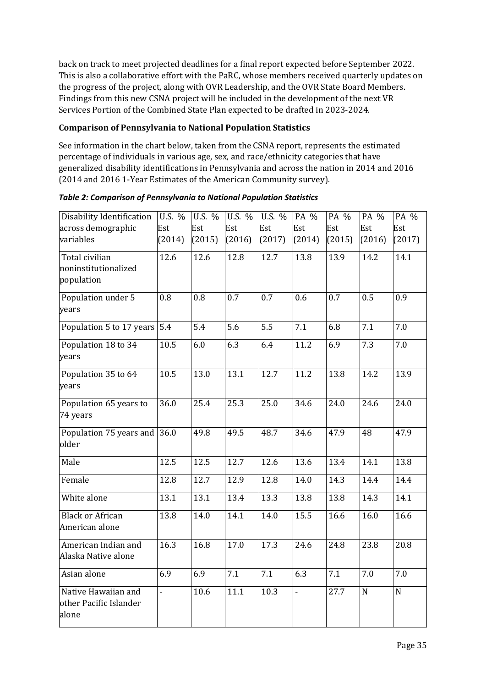back on track to meet projected deadlines for a final report expected before September 2022. This is also a collaborative effort with the PaRC, whose members received quarterly updates on the progress of the project, along with OVR Leadership, and the OVR State Board Members. Findings from this new CSNA project will be included in the development of the next VR Services Portion of the Combined State Plan expected to be drafted in 2023-2024.

## **Comparison of Pennsylvania to National Population Statistics**

See information in the chart below, taken from the CSNA report, represents the estimated percentage of individuals in various age, sex, and race/ethnicity categories that have generalized disability identifications in Pennsylvania and across the nation in 2014 and 2016 (2014 and 2016 1-Year Estimates of the American Community survey).

| Disability Identification                              | U.S. %         | U.S. %        | U.S. %        | U.S. %        | PA %           | PA %          | PA %          | PA %          |
|--------------------------------------------------------|----------------|---------------|---------------|---------------|----------------|---------------|---------------|---------------|
| across demographic<br>variables                        | Est<br>(2014)  | Est<br>(2015) | Est<br>(2016) | Est<br>(2017) | Est<br>(2014)  | Est<br>(2015) | Est<br>(2016) | Est<br>(2017) |
| Total civilian<br>noninstitutionalized<br>population   | 12.6           | 12.6          | 12.8          | 12.7          | 13.8           | 13.9          | 14.2          | 14.1          |
| Population under 5<br>years                            | 0.8            | 0.8           | 0.7           | 0.7           | 0.6            | 0.7           | 0.5           | 0.9           |
| Population 5 to 17 years                               | 5.4            | 5.4           | 5.6           | 5.5           | 7.1            | 6.8           | 7.1           | 7.0           |
| Population 18 to 34<br>years                           | 10.5           | 6.0           | 6.3           | 6.4           | 11.2           | 6.9           | 7.3           | 7.0           |
| Population 35 to 64<br>years                           | 10.5           | 13.0          | 13.1          | 12.7          | 11.2           | 13.8          | 14.2          | 13.9          |
| Population 65 years to<br>74 years                     | 36.0           | 25.4          | 25.3          | 25.0          | 34.6           | 24.0          | 24.6          | 24.0          |
| Population 75 years and<br>older                       | 36.0           | 49.8          | 49.5          | 48.7          | 34.6           | 47.9          | 48            | 47.9          |
| Male                                                   | 12.5           | 12.5          | 12.7          | 12.6          | 13.6           | 13.4          | 14.1          | 13.8          |
| Female                                                 | 12.8           | 12.7          | 12.9          | 12.8          | 14.0           | 14.3          | 14.4          | 14.4          |
| White alone                                            | 13.1           | 13.1          | 13.4          | 13.3          | 13.8           | 13.8          | 14.3          | 14.1          |
| <b>Black or African</b><br>American alone              | 13.8           | 14.0          | 14.1          | 14.0          | 15.5           | 16.6          | 16.0          | 16.6          |
| American Indian and<br>Alaska Native alone             | 16.3           | 16.8          | 17.0          | 17.3          | 24.6           | 24.8          | 23.8          | 20.8          |
| Asian alone                                            | 6.9            | 6.9           | 7.1           | 7.1           | 6.3            | 7.1           | 7.0           | 7.0           |
| Native Hawaiian and<br>other Pacific Islander<br>alone | $\overline{a}$ | 10.6          | 11.1          | 10.3          | $\overline{a}$ | 27.7          | $\mathbf N$   | $\mathbf N$   |

*Table 2: Comparison of Pennsylvania to National Population Statistics*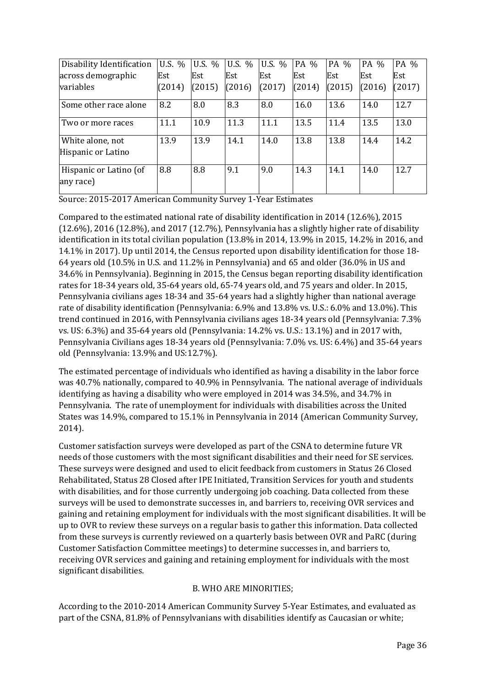| Disability Identification              | U.S. % | U.S. % | U.S. % | U.S. % | PA %   | PA %   | PA %   | PA %   |
|----------------------------------------|--------|--------|--------|--------|--------|--------|--------|--------|
| across demographic                     | Est    | Est    | Est    | Est    | Est    | Est    | Est    | Est    |
| variables                              | (2014) | (2015) | (2016) | (2017) | (2014) | (2015) | (2016) | (2017) |
| Some other race alone                  | 8.2    | 8.0    | 8.3    | 8.0    | 16.0   | 13.6   | 14.0   | 12.7   |
| Two or more races                      | 11.1   | 10.9   | 11.3   | 11.1   | 13.5   | 11.4   | 13.5   | 13.0   |
| White alone, not<br>Hispanic or Latino | 13.9   | 13.9   | 14.1   | 14.0   | 13.8   | 13.8   | 14.4   | 14.2   |
| Hispanic or Latino (of<br>any race)    | 8.8    | 8.8    | 9.1    | 9.0    | 14.3   | 14.1   | 14.0   | 12.7   |

Source: 2015-2017 American Community Survey 1-Year Estimates

Compared to the estimated national rate of disability identification in 2014 (12.6%), 2015 (12.6%), 2016 (12.8%), and 2017 (12.7%), Pennsylvania has a slightly higher rate of disability identification in its total civilian population (13.8% in 2014, 13.9% in 2015, 14.2% in 2016, and 14.1% in 2017). Up until 2014, the Census reported upon disability identification for those 18- 64 years old (10.5% in U.S. and 11.2% in Pennsylvania) and 65 and older (36.0% in US and 34.6% in Pennsylvania). Beginning in 2015, the Census began reporting disability identification rates for 18-34 years old, 35-64 years old, 65-74 years old, and 75 years and older. In 2015, Pennsylvania civilians ages 18-34 and 35-64 years had a slightly higher than national average rate of disability identification (Pennsylvania: 6.9% and 13.8% vs. U.S.: 6.0% and 13.0%). This trend continued in 2016, with Pennsylvania civilians ages 18-34 years old (Pennsylvania: 7.3% vs. US: 6.3%) and 35-64 years old (Pennsylvania: 14.2% vs. U.S.: 13.1%) and in 2017 with, Pennsylvania Civilians ages 18-34 years old (Pennsylvania: 7.0% vs. US: 6.4%) and 35-64 years old (Pennsylvania: 13.9% and US:12.7%).

The estimated percentage of individuals who identified as having a disability in the labor force was 40.7% nationally, compared to 40.9% in Pennsylvania. The national average of individuals identifying as having a disability who were employed in 2014 was 34.5%, and 34.7% in Pennsylvania. The rate of unemployment for individuals with disabilities across the United States was 14.9%, compared to 15.1% in Pennsylvania in 2014 (American Community Survey, 2014).

Customer satisfaction surveys were developed as part of the CSNA to determine future VR needs of those customers with the most significant disabilities and their need for SE services. These surveys were designed and used to elicit feedback from customers in Status 26 Closed Rehabilitated, Status 28 Closed after IPE Initiated, Transition Services for youth and students with disabilities, and for those currently undergoing job coaching. Data collected from these surveys will be used to demonstrate successes in, and barriers to, receiving OVR services and gaining and retaining employment for individuals with the most significant disabilities. It will be up to OVR to review these surveys on a regular basis to gather this information. Data collected from these surveys is currently reviewed on a quarterly basis between OVR and PaRC (during Customer Satisfaction Committee meetings) to determine successes in, and barriers to, receiving OVR services and gaining and retaining employment for individuals with the most significant disabilities.

### B. WHO ARE MINORITIES;

According to the 2010-2014 American Community Survey 5-Year Estimates, and evaluated as part of the CSNA, 81.8% of Pennsylvanians with disabilities identify as Caucasian or white;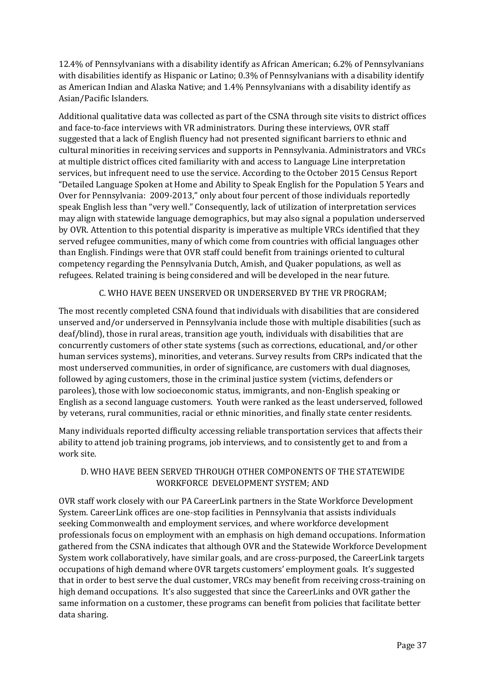12.4% of Pennsylvanians with a disability identify as African American; 6.2% of Pennsylvanians with disabilities identify as Hispanic or Latino; 0.3% of Pennsylvanians with a disability identify as American Indian and Alaska Native; and 1.4% Pennsylvanians with a disability identify as Asian/Pacific Islanders.

Additional qualitative data was collected as part of the CSNA through site visits to district offices and face-to-face interviews with VR administrators. During these interviews, OVR staff suggested that a lack of English fluency had not presented significant barriers to ethnic and cultural minorities in receiving services and supports in Pennsylvania. Administrators and VRCs at multiple district offices cited familiarity with and access to Language Line interpretation services, but infrequent need to use the service. According to the October 2015 Census Report "Detailed Language Spoken at Home and Ability to Speak English for the Population 5 Years and Over for Pennsylvania: 2009-2013," only about four percent of those individuals reportedly speak English less than "very well." Consequently, lack of utilization of interpretation services may align with statewide language demographics, but may also signal a population underserved by OVR. Attention to this potential disparity is imperative as multiple VRCs identified that they served refugee communities, many of which come from countries with official languages other than English. Findings were that OVR staff could benefit from trainings oriented to cultural competency regarding the Pennsylvania Dutch, Amish, and Quaker populations, as well as refugees. Related training is being considered and will be developed in the near future.

# C. WHO HAVE BEEN UNSERVED OR UNDERSERVED BY THE VR PROGRAM;

The most recently completed CSNA found that individuals with disabilities that are considered unserved and/or underserved in Pennsylvania include those with multiple disabilities (such as deaf/blind), those in rural areas, transition age youth, individuals with disabilities that are concurrently customers of other state systems (such as corrections, educational, and/or other human services systems), minorities, and veterans. Survey results from CRPs indicated that the most underserved communities, in order of significance, are customers with dual diagnoses, followed by aging customers, those in the criminal justice system (victims, defenders or parolees), those with low socioeconomic status, immigrants, and non-English speaking or English as a second language customers. Youth were ranked as the least underserved, followed by veterans, rural communities, racial or ethnic minorities, and finally state center residents.

Many individuals reported difficulty accessing reliable transportation services that affects their ability to attend job training programs, job interviews, and to consistently get to and from a work site.

# D. WHO HAVE BEEN SERVED THROUGH OTHER COMPONENTS OF THE STATEWIDE WORKFORCE DEVELOPMENT SYSTEM; AND

OVR staff work closely with our PA CareerLink partners in the State Workforce Development System. CareerLink offices are one-stop facilities in Pennsylvania that assists individuals seeking Commonwealth and employment services, and where workforce development professionals focus on employment with an emphasis on high demand occupations. Information gathered from the CSNA indicates that although OVR and the Statewide Workforce Development System work collaboratively, have similar goals, and are cross-purposed, the CareerLink targets occupations of high demand where OVR targets customers' employment goals. It's suggested that in order to best serve the dual customer, VRCs may benefit from receiving cross-training on high demand occupations. It's also suggested that since the CareerLinks and OVR gather the same information on a customer, these programs can benefit from policies that facilitate better data sharing.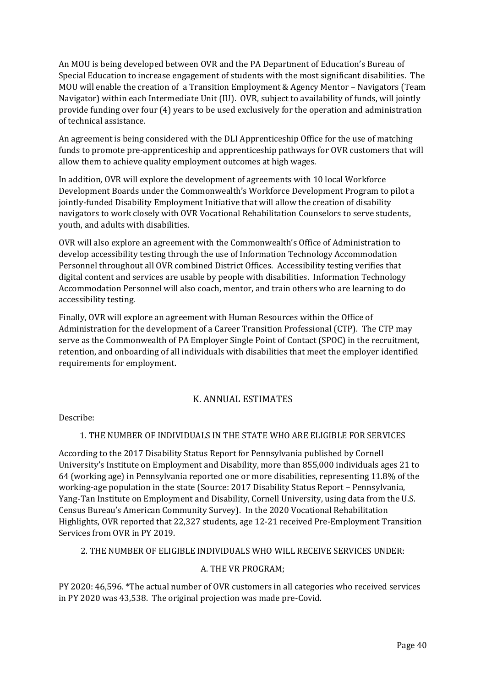An MOU is being developed between OVR and the PA Department of Education's Bureau of Special Education to increase engagement of students with the most significant disabilities. The MOU will enable the creation of a Transition Employment & Agency Mentor – Navigators (Team Navigator) within each Intermediate Unit (IU). OVR, subject to availability of funds, will jointly provide funding over four (4) years to be used exclusively for the operation and administration of technical assistance.

An agreement is being considered with the DLI Apprenticeship Office for the use of matching funds to promote pre-apprenticeship and apprenticeship pathways for OVR customers that will allow them to achieve quality employment outcomes at high wages.

In addition, OVR will explore the development of agreements with 10 local Workforce Development Boards under the Commonwealth's Workforce Development Program to pilot a jointly-funded Disability Employment Initiative that will allow the creation of disability navigators to work closely with OVR Vocational Rehabilitation Counselors to serve students, youth, and adults with disabilities.

OVR will also explore an agreement with the Commonwealth's Office of Administration to develop accessibility testing through the use of Information Technology Accommodation Personnel throughout all OVR combined District Offices. Accessibility testing verifies that digital content and services are usable by people with disabilities. Information Technology Accommodation Personnel will also coach, mentor, and train others who are learning to do accessibility testing.

Finally, OVR will explore an agreement with Human Resources within the Office of Administration for the development of a Career Transition Professional (CTP). The CTP may serve as the Commonwealth of PA Employer Single Point of Contact (SPOC) in the recruitment, retention, and onboarding of all individuals with disabilities that meet the employer identified requirements for employment.

# K. ANNUAL ESTIMATES

Describe:

# 1. THE NUMBER OF INDIVIDUALS IN THE STATE WHO ARE ELIGIBLE FOR SERVICES

According to the 2017 Disability Status Report for Pennsylvania published by Cornell University's Institute on Employment and Disability, more than 855,000 individuals ages 21 to 64 (working age) in Pennsylvania reported one or more disabilities, representing 11.8% of the working-age population in the state (Source: [2017 Disability Status Report](http://www.disabilitystatistics.org/StatusReports/2017-PDF/2017-StatusReport_PA.pdf?CFID=19859851&CFTOKEN=2bc166bd19ce16a0-54E35CEC-F3BA-18D3-E6E4F15E48812AB3) – Pennsylvania, [Yang-Tan Institute on Employment and Disability, Cornell University,](http://www.disabilitystatistics.org/StatusReports/2017-PDF/2017-StatusReport_PA.pdf?CFID=19859851&CFTOKEN=2bc166bd19ce16a0-54E35CEC-F3BA-18D3-E6E4F15E48812AB3) using data from the U.S. Census Bureau's American Community Survey). In the 2020 Vocational Rehabilitation Highlights, OVR reported that 22,327 students, age 12-21 received Pre-Employment Transition Services from OVR in PY 2019.

2. THE NUMBER OF ELIGIBLE INDIVIDUALS WHO WILL RECEIVE SERVICES UNDER:

# A. THE VR PROGRAM;

PY 2020: 46,596. \*The actual number of OVR customers in all categories who received services in PY 2020 was 43,538. The original projection was made pre-Covid.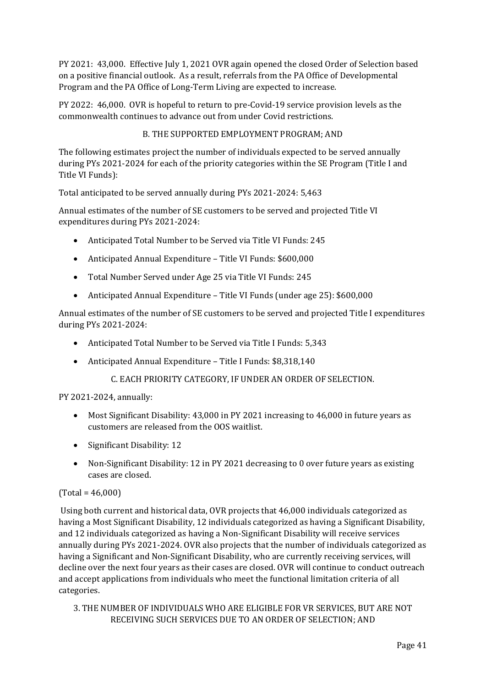PY 2021: 43,000. Effective July 1, 2021 OVR again opened the closed Order of Selection based on a positive financial outlook. As a result, referrals from the PA Office of Developmental Program and the PA Office of Long-Term Living are expected to increase.

PY 2022: 46,000. OVR is hopeful to return to pre-Covid-19 service provision levels as the commonwealth continues to advance out from under Covid restrictions.

# B. THE SUPPORTED EMPLOYMENT PROGRAM; AND

The following estimates project the number of individuals expected to be served annually during PYs 2021-2024 for each of the priority categories within the SE Program (Title I and Title VI Funds):

Total anticipated to be served annually during PYs 2021-2024: 5,463

Annual estimates of the number of SE customers to be served and projected Title VI expenditures during PYs 2021-2024:

- Anticipated Total Number to be Served via Title VI Funds: 245
- Anticipated Annual Expenditure Title VI Funds: \$600,000
- Total Number Served under Age 25 via Title VI Funds: 245
- Anticipated Annual Expenditure Title VI Funds (under age 25): \$600,000

Annual estimates of the number of SE customers to be served and projected Title I expenditures during PYs 2021-2024:

- Anticipated Total Number to be Served via Title I Funds: 5,343
- Anticipated Annual Expenditure Title I Funds: \$8,318,140
	- C. EACH PRIORITY CATEGORY, IF UNDER AN ORDER OF SELECTION.

PY 2021-2024, annually:

- Most Significant Disability: 43,000 in PY 2021 increasing to 46,000 in future years as customers are released from the OOS waitlist.
- Significant Disability: 12
- Non-Significant Disability: 12 in PY 2021 decreasing to 0 over future years as existing cases are closed.

#### $(Total = 46,000)$

Using both current and historical data, OVR projects that 46,000 individuals categorized as having a Most Significant Disability, 12 individuals categorized as having a Significant Disability, and 12 individuals categorized as having a Non-Significant Disability will receive services annually during PYs 2021-2024. OVR also projects that the number of individuals categorized as having a Significant and Non-Significant Disability, who are currently receiving services, will decline over the next four years as their cases are closed. OVR will continue to conduct outreach and accept applications from individuals who meet the functional limitation criteria of all categories.

3. THE NUMBER OF INDIVIDUALS WHO ARE ELIGIBLE FOR VR SERVICES, BUT ARE NOT RECEIVING SUCH SERVICES DUE TO AN ORDER OF SELECTION; AND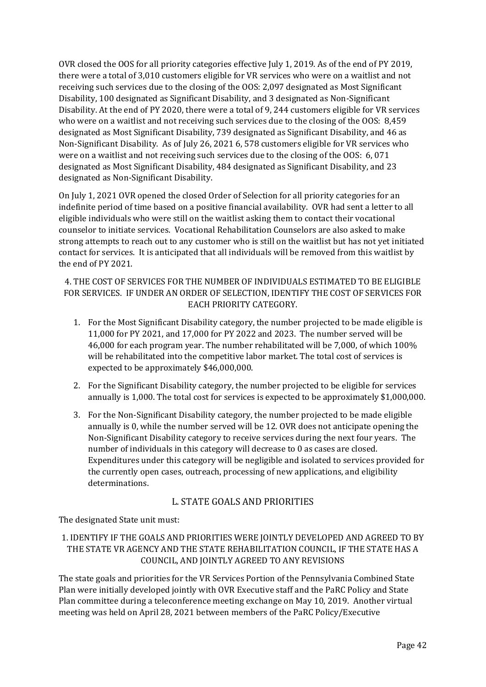OVR closed the OOS for all priority categories effective July 1, 2019. As of the end of PY 2019, there were a total of 3,010 customers eligible for VR services who were on a waitlist and not receiving such services due to the closing of the OOS: 2,097 designated as Most Significant Disability, 100 designated as Significant Disability, and 3 designated as Non-Significant Disability. At the end of PY 2020, there were a total of 9, 244 customers eligible for VR services who were on a waitlist and not receiving such services due to the closing of the OOS: 8,459 designated as Most Significant Disability, 739 designated as Significant Disability, and 46 as Non-Significant Disability. As of July 26, 2021 6, 578 customers eligible for VR services who were on a waitlist and not receiving such services due to the closing of the OOS: 6, 071 designated as Most Significant Disability, 484 designated as Significant Disability, and 23 designated as Non-Significant Disability.

On July 1, 2021 OVR opened the closed Order of Selection for all priority categories for an indefinite period of time based on a positive financial availability. OVR had sent a letter to all eligible individuals who were still on the waitlist asking them to contact their vocational counselor to initiate services. Vocational Rehabilitation Counselors are also asked to make strong attempts to reach out to any customer who is still on the waitlist but has not yet initiated contact for services. It is anticipated that all individuals will be removed from this waitlist by the end of PY 2021.

4. THE COST OF SERVICES FOR THE NUMBER OF INDIVIDUALS ESTIMATED TO BE ELIGIBLE FOR SERVICES. IF UNDER AN ORDER OF SELECTION, IDENTIFY THE COST OF SERVICES FOR EACH PRIORITY CATEGORY.

- 1. For the Most Significant Disability category, the number projected to be made eligible is 11,000 for PY 2021, and 17,000 for PY 2022 and 2023. The number served will be 46,000 for each program year. The number rehabilitated will be 7,000, of which 100% will be rehabilitated into the competitive labor market. The total cost of services is expected to be approximately \$46,000,000.
- 2. For the Significant Disability category, the number projected to be eligible for services annually is 1,000. The total cost for services is expected to be approximately \$1,000,000.
- 3. For the Non-Significant Disability category, the number projected to be made eligible annually is 0, while the number served will be 12. OVR does not anticipate opening the Non-Significant Disability category to receive services during the next four years. The number of individuals in this category will decrease to 0 as cases are closed. Expenditures under this category will be negligible and isolated to services provided for the currently open cases, outreach, processing of new applications, and eligibility determinations.

# L. STATE GOALS AND PRIORITIES

The designated State unit must:

# 1. IDENTIFY IF THE GOALS AND PRIORITIES WERE JOINTLY DEVELOPED AND AGREED TO BY THE STATE VR AGENCY AND THE STATE REHABILITATION COUNCIL, IF THE STATE HAS A COUNCIL, AND JOINTLY AGREED TO ANY REVISIONS

The state goals and priorities for the VR Services Portion of the Pennsylvania Combined State Plan were initially developed jointly with OVR Executive staff and the PaRC Policy and State Plan committee during a teleconference meeting exchange on May 10, 2019. Another virtual meeting was held on April 28, 2021 between members of the PaRC Policy/Executive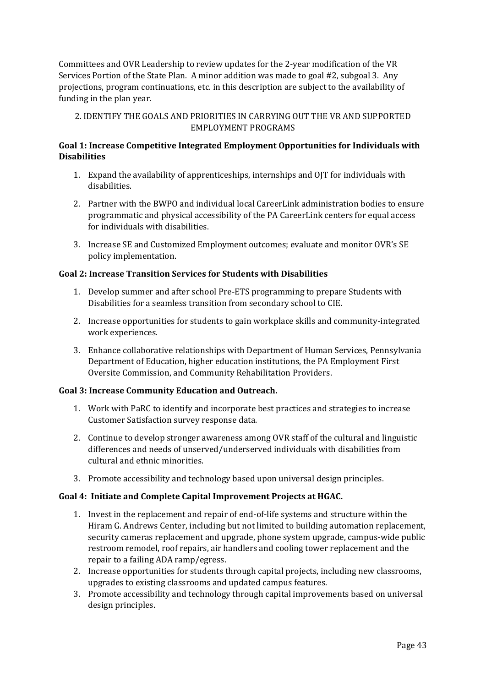Committees and OVR Leadership to review updates for the 2-year modification of the VR Services Portion of the State Plan. A minor addition was made to goal #2, subgoal 3. Any projections, program continuations, etc. in this description are subject to the availability of funding in the plan year.

2. IDENTIFY THE GOALS AND PRIORITIES IN CARRYING OUT THE VR AND SUPPORTED EMPLOYMENT PROGRAMS

### **Goal 1: Increase Competitive Integrated Employment Opportunities for Individuals with Disabilities**

- 1. Expand the availability of apprenticeships, internships and OJT for individuals with disabilities.
- 2. Partner with the BWPO and individual local CareerLink administration bodies to ensure programmatic and physical accessibility of the PA CareerLink centers for equal access for individuals with disabilities.
- 3. Increase SE and Customized Employment outcomes; evaluate and monitor OVR's SE policy implementation.

#### **Goal 2: Increase Transition Services for Students with Disabilities**

- 1. Develop summer and after school Pre-ETS programming to prepare Students with Disabilities for a seamless transition from secondary school to CIE.
- 2. Increase opportunities for students to gain workplace skills and community-integrated work experiences.
- 3. Enhance collaborative relationships with Department of Human Services, Pennsylvania Department of Education, higher education institutions, the PA Employment First Oversite Commission, and Community Rehabilitation Providers.

#### **Goal 3: Increase Community Education and Outreach.**

- 1. Work with PaRC to identify and incorporate best practices and strategies to increase Customer Satisfaction survey response data.
- 2. Continue to develop stronger awareness among OVR staff of the cultural and linguistic differences and needs of unserved/underserved individuals with disabilities from cultural and ethnic minorities.
- 3. Promote accessibility and technology based upon universal design principles.

#### **Goal 4: Initiate and Complete Capital Improvement Projects at HGAC.**

- 1. Invest in the replacement and repair of end-of-life systems and structure within the Hiram G. Andrews Center, including but not limited to building automation replacement, security cameras replacement and upgrade, phone system upgrade, campus-wide public restroom remodel, roof repairs, air handlers and cooling tower replacement and the repair to a failing ADA ramp/egress.
- 2. Increase opportunities for students through capital projects, including new classrooms, upgrades to existing classrooms and updated campus features.
- 3. Promote accessibility and technology through capital improvements based on universal design principles.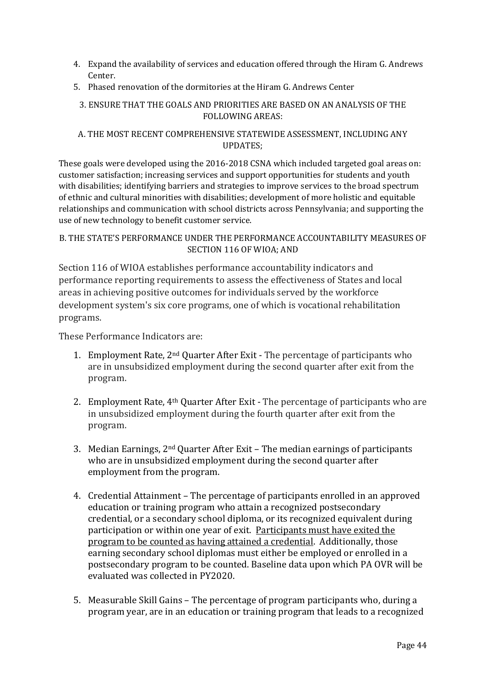- 4. Expand the availability of services and education offered through the Hiram G. Andrews Center.
- 5. Phased renovation of the dormitories at the Hiram G. Andrews Center

# 3. ENSURE THAT THE GOALS AND PRIORITIES ARE BASED ON AN ANALYSIS OF THE FOLLOWING AREAS:

### A. THE MOST RECENT COMPREHENSIVE STATEWIDE ASSESSMENT, INCLUDING ANY UPDATES;

These goals were developed using the 2016-2018 CSNA which included targeted goal areas on: customer satisfaction; increasing services and support opportunities for students and youth with disabilities; identifying barriers and strategies to improve services to the broad spectrum of ethnic and cultural minorities with disabilities; development of more holistic and equitable relationships and communication with school districts across Pennsylvania; and supporting the use of new technology to benefit customer service.

# B. THE STATE'S PERFORMANCE UNDER THE PERFORMANCE ACCOUNTABILITY MEASURES OF SECTION 116 OF WIOA; AND

Section 116 of WIOA establishes performance accountability indicators and performance reporting requirements to assess the effectiveness of States and local areas in achieving positive outcomes for individuals served by the workforce development system's six core programs, one of which is vocational rehabilitation programs.

These Performance Indicators are:

- 1. Employment Rate, 2nd Quarter After Exit The percentage of participants who are in unsubsidized employment during the second quarter after exit from the program.
- 2. Employment Rate, 4th Quarter After Exit The percentage of participants who are in unsubsidized employment during the fourth quarter after exit from the program.
- 3. Median Earnings, 2nd Quarter After Exit The median earnings of participants who are in unsubsidized employment during the second quarter after employment from the program.
- 4. Credential Attainment The percentage of participants enrolled in an approved education or training program who attain a recognized postsecondary credential, or a secondary school diploma, or its recognized equivalent during participation or within one year of exit. Participants must have exited the program to be counted as having attained a credential. Additionally, those earning secondary school diplomas must either be employed or enrolled in a postsecondary program to be counted. Baseline data upon which PA OVR will be evaluated was collected in PY2020.
- 5. Measurable Skill Gains The percentage of program participants who, during a program year, are in an education or training program that leads to a recognized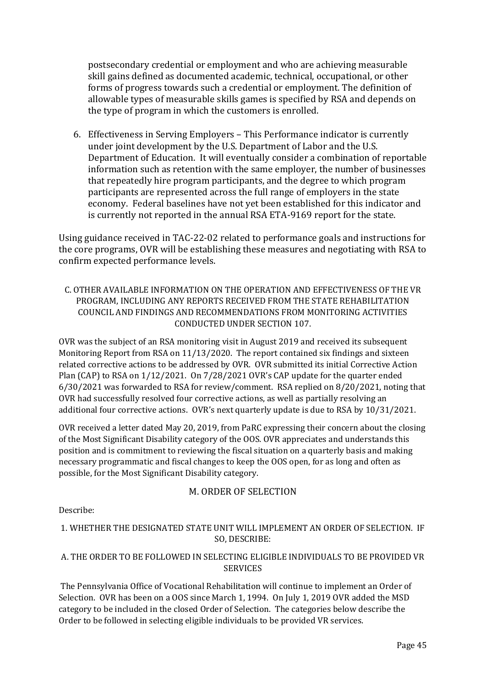postsecondary credential or employment and who are achieving measurable skill gains defined as documented academic, technical, occupational, or other forms of progress towards such a credential or employment. The definition of allowable types of measurable skills games is specified by RSA and depends on the type of program in which the customers is enrolled.

6. Effectiveness in Serving Employers – This Performance indicator is currently under joint development by the U.S. Department of Labor and the U.S. Department of Education. It will eventually consider a combination of reportable information such as retention with the same employer, the number of businesses that repeatedly hire program participants, and the degree to which program participants are represented across the full range of employers in the state economy. Federal baselines have not yet been established for this indicator and is currently not reported in the annual RSA ETA-9169 report for the state.

Using guidance received in TAC-22-02 related to performance goals and instructions for the core programs, OVR will be establishing these measures and negotiating with RSA to confirm expected performance levels.

# C. OTHER AVAILABLE INFORMATION ON THE OPERATION AND EFFECTIVENESS OF THE VR PROGRAM, INCLUDING ANY REPORTS RECEIVED FROM THE STATE REHABILITATION COUNCIL AND FINDINGS AND RECOMMENDATIONS FROM MONITORING ACTIVITIES CONDUCTED UNDER SECTION 107.

OVR was the subject of an RSA monitoring visit in August 2019 and received its subsequent Monitoring Report from RSA on 11/13/2020. The report contained six findings and sixteen related corrective actions to be addressed by OVR. OVR submitted its initial Corrective Action Plan (CAP) to RSA on 1/12/2021. On 7/28/2021 OVR's CAP update for the quarter ended 6/30/2021 was forwarded to RSA for review/comment. RSA replied on 8/20/2021, noting that OVR had successfully resolved four corrective actions, as well as partially resolving an additional four corrective actions. OVR's next quarterly update is due to RSA by 10/31/2021.

OVR received a letter dated May 20, 2019, from PaRC expressing their concern about the closing of the Most Significant Disability category of the OOS. OVR appreciates and understands this position and is commitment to reviewing the fiscal situation on a quarterly basis and making necessary programmatic and fiscal changes to keep the OOS open, for as long and often as possible, for the Most Significant Disability category.

#### M. ORDER OF SELECTION

Describe:

# 1. WHETHER THE DESIGNATED STATE UNIT WILL IMPLEMENT AN ORDER OF SELECTION. IF SO, DESCRIBE:

# A. THE ORDER TO BE FOLLOWED IN SELECTING ELIGIBLE INDIVIDUALS TO BE PROVIDED VR **SERVICES**

The Pennsylvania Office of Vocational Rehabilitation will continue to implement an Order of Selection. OVR has been on a OOS since March 1, 1994. On July 1, 2019 OVR added the MSD category to be included in the closed Order of Selection. The categories below describe the Order to be followed in selecting eligible individuals to be provided VR services.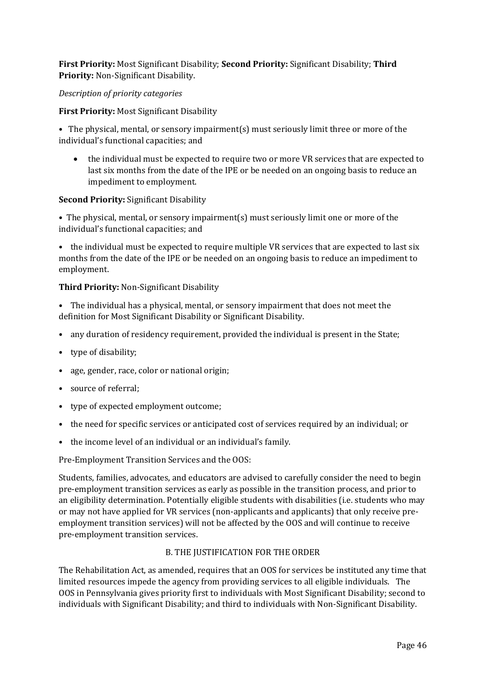**First Priority:** Most Significant Disability; **Second Priority:** Significant Disability; **Third Priority:** Non-Significant Disability.

#### *Description of priority categories*

#### **First Priority:** Most Significant Disability

• The physical, mental, or sensory impairment(s) must seriously limit three or more of the individual's functional capacities; and

• the individual must be expected to require two or more VR services that are expected to last six months from the date of the IPE or be needed on an ongoing basis to reduce an impediment to employment.

#### **Second Priority:** Significant Disability

• The physical, mental, or sensory impairment(s) must seriously limit one or more of the individual's functional capacities; and

• the individual must be expected to require multiple VR services that are expected to last six months from the date of the IPE or be needed on an ongoing basis to reduce an impediment to employment.

#### **Third Priority:** Non-Significant Disability

• The individual has a physical, mental, or sensory impairment that does not meet the definition for Most Significant Disability or Significant Disability.

- any duration of residency requirement, provided the individual is present in the State;
- type of disability;
- age, gender, race, color or national origin;
- source of referral;
- type of expected employment outcome;
- the need for specific services or anticipated cost of services required by an individual; or
- the income level of an individual or an individual's family.

Pre-Employment Transition Services and the OOS:

Students, families, advocates, and educators are advised to carefully consider the need to begin pre-employment transition services as early as possible in the transition process, and prior to an eligibility determination. Potentially eligible students with disabilities (i.e. students who may or may not have applied for VR services (non-applicants and applicants) that only receive preemployment transition services) will not be affected by the OOS and will continue to receive pre-employment transition services.

#### B. THE JUSTIFICATION FOR THE ORDER

The Rehabilitation Act, as amended, requires that an OOS for services be instituted any time that limited resources impede the agency from providing services to all eligible individuals. The OOS in Pennsylvania gives priority first to individuals with Most Significant Disability; second to individuals with Significant Disability; and third to individuals with Non-Significant Disability.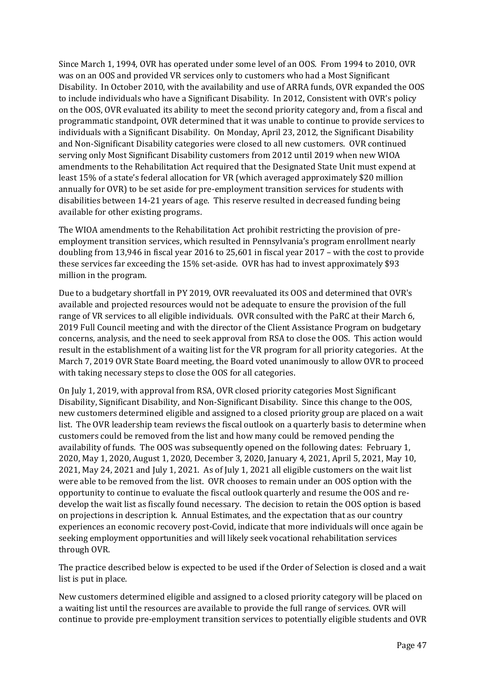Since March 1, 1994, OVR has operated under some level of an OOS. From 1994 to 2010, OVR was on an OOS and provided VR services only to customers who had a Most Significant Disability. In October 2010, with the availability and use of ARRA funds, OVR expanded the OOS to include individuals who have a Significant Disability. In 2012, Consistent with OVR's policy on the OOS, OVR evaluated its ability to meet the second priority category and, from a fiscal and programmatic standpoint, OVR determined that it was unable to continue to provide services to individuals with a Significant Disability. On Monday, April 23, 2012, the Significant Disability and Non-Significant Disability categories were closed to all new customers. OVR continued serving only Most Significant Disability customers from 2012 until 2019 when new WIOA amendments to the Rehabilitation Act required that the Designated State Unit must expend at least 15% of a state's federal allocation for VR (which averaged approximately \$20 million annually for OVR) to be set aside for pre-employment transition services for students with disabilities between 14-21 years of age. This reserve resulted in decreased funding being available for other existing programs.

The WIOA amendments to the Rehabilitation Act prohibit restricting the provision of preemployment transition services, which resulted in Pennsylvania's program enrollment nearly doubling from 13,946 in fiscal year 2016 to 25,601 in fiscal year 2017 – with the cost to provide these services far exceeding the 15% set-aside. OVR has had to invest approximately \$93 million in the program.

Due to a budgetary shortfall in PY 2019, OVR reevaluated its OOS and determined that OVR's available and projected resources would not be adequate to ensure the provision of the full range of VR services to all eligible individuals. OVR consulted with the PaRC at their March 6, 2019 Full Council meeting and with the director of the Client Assistance Program on budgetary concerns, analysis, and the need to seek approval from RSA to close the OOS. This action would result in the establishment of a waiting list for the VR program for all priority categories. At the March 7, 2019 OVR State Board meeting, the Board voted unanimously to allow OVR to proceed with taking necessary steps to close the OOS for all categories.

On July 1, 2019, with approval from RSA, OVR closed priority categories Most Significant Disability, Significant Disability, and Non-Significant Disability. Since this change to the OOS, new customers determined eligible and assigned to a closed priority group are placed on a wait list. The OVR leadership team reviews the fiscal outlook on a quarterly basis to determine when customers could be removed from the list and how many could be removed pending the availability of funds. The OOS was subsequently opened on the following dates: February 1, 2020, May 1, 2020, August 1, 2020, December 3, 2020, January 4, 2021, April 5, 2021, May 10, 2021, May 24, 2021 and July 1, 2021. As of July 1, 2021 all eligible customers on the wait list were able to be removed from the list. OVR chooses to remain under an OOS option with the opportunity to continue to evaluate the fiscal outlook quarterly and resume the OOS and redevelop the wait list as fiscally found necessary. The decision to retain the OOS option is based on projections in description k. Annual Estimates, and the expectation that as our country experiences an economic recovery post-Covid, indicate that more individuals will once again be seeking employment opportunities and will likely seek vocational rehabilitation services through OVR.

The practice described below is expected to be used if the Order of Selection is closed and a wait list is put in place.

New customers determined eligible and assigned to a closed priority category will be placed on a waiting list until the resources are available to provide the full range of services. OVR will continue to provide pre-employment transition services to potentially eligible students and OVR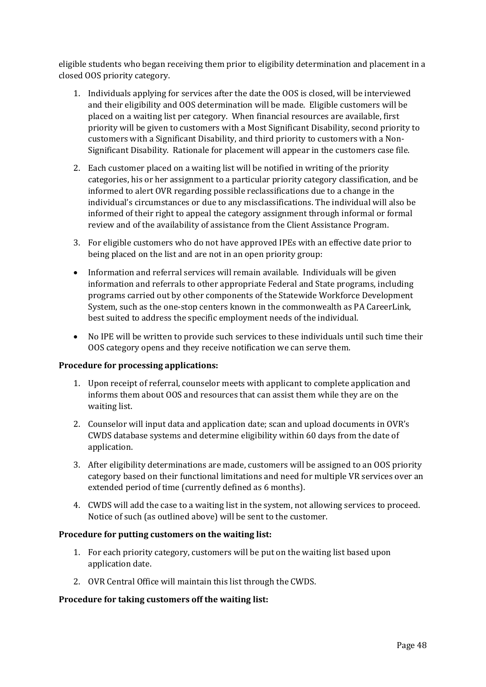eligible students who began receiving them prior to eligibility determination and placement in a closed OOS priority category.

- 1. Individuals applying for services after the date the OOS is closed, will be interviewed and their eligibility and OOS determination will be made. Eligible customers will be placed on a waiting list per category. When financial resources are available, first priority will be given to customers with a Most Significant Disability, second priority to customers with a Significant Disability, and third priority to customers with a Non-Significant Disability. Rationale for placement will appear in the customers case file.
- 2. Each customer placed on a waiting list will be notified in writing of the priority categories, his or her assignment to a particular priority category classification, and be informed to alert OVR regarding possible reclassifications due to a change in the individual's circumstances or due to any misclassifications. The individual will also be informed of their right to appeal the category assignment through informal or formal review and of the availability of assistance from the Client Assistance Program.
- 3. For eligible customers who do not have approved IPEs with an effective date prior to being placed on the list and are not in an open priority group:
- Information and referral services will remain available. Individuals will be given information and referrals to other appropriate Federal and State programs, including programs carried out by other components of the Statewide Workforce Development System, such as the one-stop centers known in the commonwealth as PA CareerLink, best suited to address the specific employment needs of the individual.
- No IPE will be written to provide such services to these individuals until such time their OOS category opens and they receive notification we can serve them.

#### **Procedure for processing applications:**

- 1. Upon receipt of referral, counselor meets with applicant to complete application and informs them about OOS and resources that can assist them while they are on the waiting list.
- 2. Counselor will input data and application date; scan and upload documents in OVR's CWDS database systems and determine eligibility within 60 days from the date of application.
- 3. After eligibility determinations are made, customers will be assigned to an OOS priority category based on their functional limitations and need for multiple VR services over an extended period of time (currently defined as 6 months).
- 4. CWDS will add the case to a waiting list in the system, not allowing services to proceed. Notice of such (as outlined above) will be sent to the customer.

#### **Procedure for putting customers on the waiting list:**

- 1. For each priority category, customers will be put on the waiting list based upon application date.
- 2. OVR Central Office will maintain this list through the CWDS.

#### **Procedure for taking customers off the waiting list:**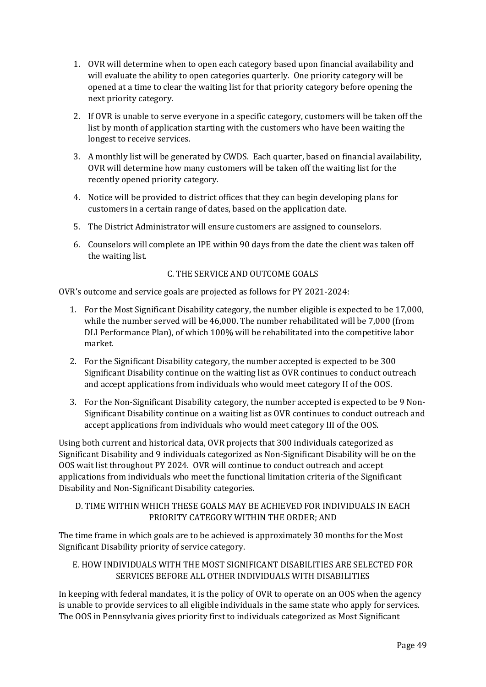- 1. OVR will determine when to open each category based upon financial availability and will evaluate the ability to open categories quarterly. One priority category will be opened at a time to clear the waiting list for that priority category before opening the next priority category.
- 2. If OVR is unable to serve everyone in a specific category, customers will be taken off the list by month of application starting with the customers who have been waiting the longest to receive services.
- 3. A monthly list will be generated by CWDS. Each quarter, based on financial availability, OVR will determine how many customers will be taken off the waiting list for the recently opened priority category.
- 4. Notice will be provided to district offices that they can begin developing plans for customers in a certain range of dates, based on the application date.
- 5. The District Administrator will ensure customers are assigned to counselors.
- 6. Counselors will complete an IPE within 90 days from the date the client was taken off the waiting list.

# C. THE SERVICE AND OUTCOME GOALS

OVR's outcome and service goals are projected as follows for PY 2021-2024:

- 1. For the Most Significant Disability category, the number eligible is expected to be 17,000, while the number served will be 46,000. The number rehabilitated will be 7,000 (from DLI Performance Plan), of which 100% will be rehabilitated into the competitive labor market.
- 2. For the Significant Disability category, the number accepted is expected to be 300 Significant Disability continue on the waiting list as OVR continues to conduct outreach and accept applications from individuals who would meet category II of the OOS.
- 3. For the Non-Significant Disability category, the number accepted is expected to be 9 Non-Significant Disability continue on a waiting list as OVR continues to conduct outreach and accept applications from individuals who would meet category III of the OOS.

Using both current and historical data, OVR projects that 300 individuals categorized as Significant Disability and 9 individuals categorized as Non-Significant Disability will be on the OOS wait list throughout PY 2024. OVR will continue to conduct outreach and accept applications from individuals who meet the functional limitation criteria of the Significant Disability and Non-Significant Disability categories.

# D. TIME WITHIN WHICH THESE GOALS MAY BE ACHIEVED FOR INDIVIDUALS IN EACH PRIORITY CATEGORY WITHIN THE ORDER; AND

The time frame in which goals are to be achieved is approximately 30 months for the Most Significant Disability priority of service category.

# E. HOW INDIVIDUALS WITH THE MOST SIGNIFICANT DISABILITIES ARE SELECTED FOR SERVICES BEFORE ALL OTHER INDIVIDUALS WITH DISABILITIES

In keeping with federal mandates, it is the policy of OVR to operate on an OOS when the agency is unable to provide services to all eligible individuals in the same state who apply for services. The OOS in Pennsylvania gives priority first to individuals categorized as Most Significant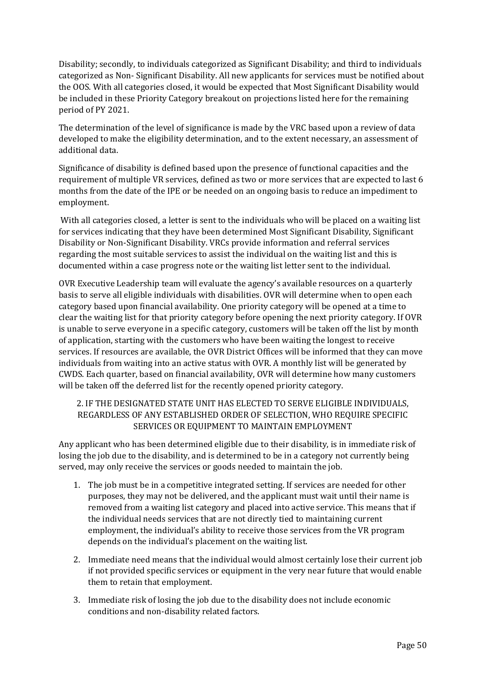Disability; secondly, to individuals categorized as Significant Disability; and third to individuals categorized as Non- Significant Disability. All new applicants for services must be notified about the OOS. With all categories closed, it would be expected that Most Significant Disability would be included in these Priority Category breakout on projections listed here for the remaining period of PY 2021.

The determination of the level of significance is made by the VRC based upon a review of data developed to make the eligibility determination, and to the extent necessary, an assessment of additional data.

Significance of disability is defined based upon the presence of functional capacities and the requirement of multiple VR services, defined as two or more services that are expected to last 6 months from the date of the IPE or be needed on an ongoing basis to reduce an impediment to employment.

With all categories closed, a letter is sent to the individuals who will be placed on a waiting list for services indicating that they have been determined Most Significant Disability, Significant Disability or Non-Significant Disability. VRCs provide information and referral services regarding the most suitable services to assist the individual on the waiting list and this is documented within a case progress note or the waiting list letter sent to the individual.

OVR Executive Leadership team will evaluate the agency's available resources on a quarterly basis to serve all eligible individuals with disabilities. OVR will determine when to open each category based upon financial availability. One priority category will be opened at a time to clear the waiting list for that priority category before opening the next priority category. If OVR is unable to serve everyone in a specific category, customers will be taken off the list by month of application, starting with the customers who have been waiting the longest to receive services. If resources are available, the OVR District Offices will be informed that they can move individuals from waiting into an active status with OVR. A monthly list will be generated by CWDS. Each quarter, based on financial availability, OVR will determine how many customers will be taken off the deferred list for the recently opened priority category.

### 2. IF THE DESIGNATED STATE UNIT HAS ELECTED TO SERVE ELIGIBLE INDIVIDUALS, REGARDLESS OF ANY ESTABLISHED ORDER OF SELECTION, WHO REQUIRE SPECIFIC SERVICES OR EQUIPMENT TO MAINTAIN EMPLOYMENT

Any applicant who has been determined eligible due to their disability, is in immediate risk of losing the job due to the disability, and is determined to be in a category not currently being served, may only receive the services or goods needed to maintain the job.

- 1. The job must be in a competitive integrated setting. If services are needed for other purposes, they may not be delivered, and the applicant must wait until their name is removed from a waiting list category and placed into active service. This means that if the individual needs services that are not directly tied to maintaining current employment, the individual's ability to receive those services from the VR program depends on the individual's placement on the waiting list.
- 2. Immediate need means that the individual would almost certainly lose their current job if not provided specific services or equipment in the very near future that would enable them to retain that employment.
- 3. Immediate risk of losing the job due to the disability does not include economic conditions and non-disability related factors.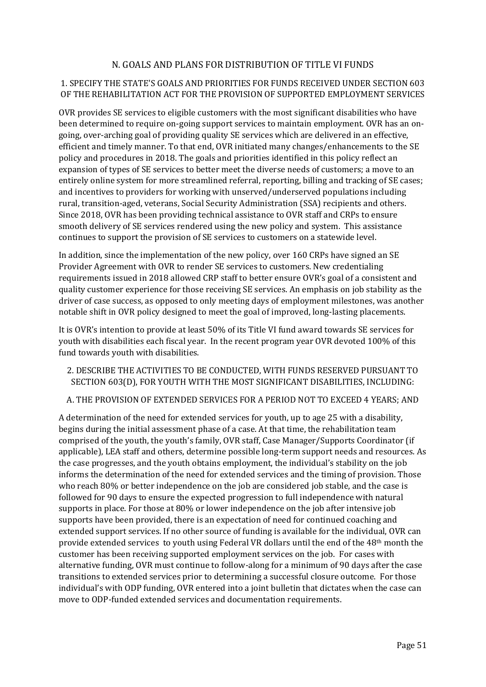# N. GOALS AND PLANS FOR DISTRIBUTION OF TITLE VI FUNDS

### 1. SPECIFY THE STATE'S GOALS AND PRIORITIES FOR FUNDS RECEIVED UNDER SECTION 603 OF THE REHABILITATION ACT FOR THE PROVISION OF SUPPORTED EMPLOYMENT SERVICES

OVR provides SE services to eligible customers with the most significant disabilities who have been determined to require on-going support services to maintain employment. OVR has an ongoing, over-arching goal of providing quality SE services which are delivered in an effective, efficient and timely manner. To that end, OVR initiated many changes/enhancements to the SE policy and procedures in 2018. The goals and priorities identified in this policy reflect an expansion of types of SE services to better meet the diverse needs of customers; a move to an entirely online system for more streamlined referral, reporting, billing and tracking of SE cases; and incentives to providers for working with unserved/underserved populations including rural, transition-aged, veterans, Social Security Administration (SSA) recipients and others. Since 2018, OVR has been providing technical assistance to OVR staff and CRPs to ensure smooth delivery of SE services rendered using the new policy and system. This assistance continues to support the provision of SE services to customers on a statewide level.

In addition, since the implementation of the new policy, over 160 CRPs have signed an SE Provider Agreement with OVR to render SE services to customers. New credentialing requirements issued in 2018 allowed CRP staff to better ensure OVR's goal of a consistent and quality customer experience for those receiving SE services. An emphasis on job stability as the driver of case success, as opposed to only meeting days of employment milestones, was another notable shift in OVR policy designed to meet the goal of improved, long-lasting placements.

It is OVR's intention to provide at least 50% of its Title VI fund award towards SE services for youth with disabilities each fiscal year. In the recent program year OVR devoted 100% of this fund towards youth with disabilities.

# 2. DESCRIBE THE ACTIVITIES TO BE CONDUCTED, WITH FUNDS RESERVED PURSUANT TO SECTION 603(D), FOR YOUTH WITH THE MOST SIGNIFICANT DISABILITIES, INCLUDING:

#### A. THE PROVISION OF EXTENDED SERVICES FOR A PERIOD NOT TO EXCEED 4 YEARS; AND

A determination of the need for extended services for youth, up to age 25 with a disability, begins during the initial assessment phase of a case. At that time, the rehabilitation team comprised of the youth, the youth's family, OVR staff, Case Manager/Supports Coordinator (if applicable), LEA staff and others, determine possible long-term support needs and resources. As the case progresses, and the youth obtains employment, the individual's stability on the job informs the determination of the need for extended services and the timing of provision. Those who reach 80% or better independence on the job are considered job stable, and the case is followed for 90 days to ensure the expected progression to full independence with natural supports in place. For those at 80% or lower independence on the job after intensive job supports have been provided, there is an expectation of need for continued coaching and extended support services. If no other source of funding is available for the individual, OVR can provide extended services to youth using Federal VR dollars until the end of the 48th month the customer has been receiving supported employment services on the job. For cases with alternative funding, OVR must continue to follow-along for a minimum of 90 days after the case transitions to extended services prior to determining a successful closure outcome. For those individual's with ODP funding, OVR entered into a joint bulletin that dictates when the case can move to ODP-funded extended services and documentation requirements.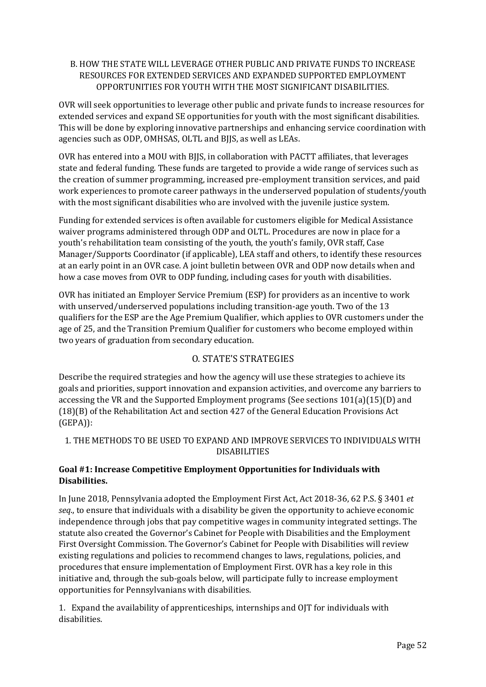# B. HOW THE STATE WILL LEVERAGE OTHER PUBLIC AND PRIVATE FUNDS TO INCREASE RESOURCES FOR EXTENDED SERVICES AND EXPANDED SUPPORTED EMPLOYMENT OPPORTUNITIES FOR YOUTH WITH THE MOST SIGNIFICANT DISABILITIES.

OVR will seek opportunities to leverage other public and private funds to increase resources for extended services and expand SE opportunities for youth with the most significant disabilities. This will be done by exploring innovative partnerships and enhancing service coordination with agencies such as ODP, OMHSAS, OLTL and BJJS, as well as LEAs.

OVR has entered into a MOU with BJJS, in collaboration with PACTT affiliates, that leverages state and federal funding. These funds are targeted to provide a wide range of services such as the creation of summer programming, increased pre-employment transition services, and paid work experiences to promote career pathways in the underserved population of students/youth with the most significant disabilities who are involved with the juvenile justice system.

Funding for extended services is often available for customers eligible for Medical Assistance waiver programs administered through ODP and OLTL. Procedures are now in place for a youth's rehabilitation team consisting of the youth, the youth's family, OVR staff, Case Manager/Supports Coordinator (if applicable), LEA staff and others, to identify these resources at an early point in an OVR case. A joint bulletin between OVR and ODP now details when and how a case moves from OVR to ODP funding, including cases for youth with disabilities.

OVR has initiated an Employer Service Premium (ESP) for providers as an incentive to work with unserved/underserved populations including transition-age youth. Two of the 13 qualifiers for the ESP are the Age Premium Qualifier, which applies to OVR customers under the age of 25, and the Transition Premium Qualifier for customers who become employed within two years of graduation from secondary education.

# O. STATE'S STRATEGIES

Describe the required strategies and how the agency will use these strategies to achieve its goals and priorities, support innovation and expansion activities, and overcome any barriers to accessing the VR and the Supported Employment programs (See sections 101(a)(15)(D) and (18)(B) of the Rehabilitation Act and section 427 of the General Education Provisions Act (GEPA)):

# 1. THE METHODS TO BE USED TO EXPAND AND IMPROVE SERVICES TO INDIVIDUALS WITH DISABILITIES

# **Goal #1: Increase Competitive Employment Opportunities for Individuals with Disabilities.**

In June 2018, Pennsylvania adopted the Employment First Act, Act 2018-36, 62 P.S. § 3401 *et seq*., to ensure that individuals with a disability be given the opportunity to achieve economic independence through jobs that pay competitive wages in community integrated settings. The statute also created the Governor's Cabinet for People with Disabilities and the Employment First Oversight Commission. The Governor's Cabinet for People with Disabilities will review existing regulations and policies to recommend changes to laws, regulations, policies, and procedures that ensure implementation of Employment First. OVR has a key role in this initiative and, through the sub-goals below, will participate fully to increase employment opportunities for Pennsylvanians with disabilities.

1. Expand the availability of apprenticeships, internships and OJT for individuals with disabilities.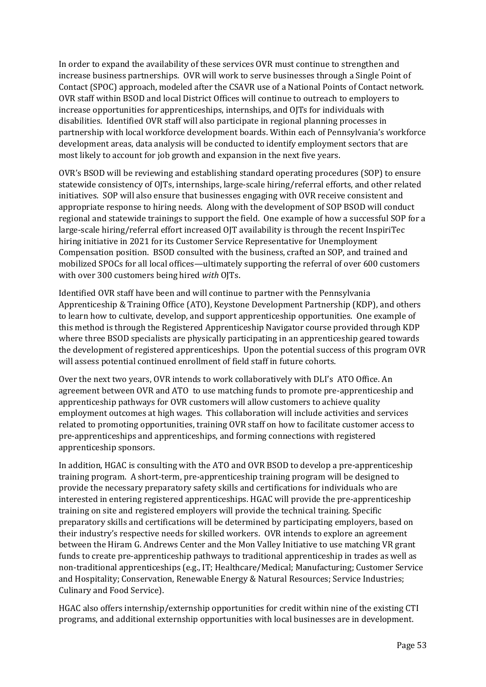In order to expand the availability of these services OVR must continue to strengthen and increase business partnerships. OVR will work to serve businesses through a Single Point of Contact (SPOC) approach, modeled after the CSAVR use of a National Points of Contact network. OVR staff within BSOD and local District Offices will continue to outreach to employers to increase opportunities for apprenticeships, internships, and OJTs for individuals with disabilities. Identified OVR staff will also participate in regional planning processes in partnership with local workforce development boards. Within each of Pennsylvania's workforce development areas, data analysis will be conducted to identify employment sectors that are most likely to account for job growth and expansion in the next five years.

OVR's BSOD will be reviewing and establishing standard operating procedures (SOP) to ensure statewide consistency of OJTs, internships, large-scale hiring/referral efforts, and other related initiatives. SOP will also ensure that businesses engaging with OVR receive consistent and appropriate response to hiring needs. Along with the development of SOP BSOD will conduct regional and statewide trainings to support the field. One example of how a successful SOP for a large-scale hiring/referral effort increased OJT availability is through the recent InspiriTec hiring initiative in 2021 for its Customer Service Representative for Unemployment Compensation position. BSOD consulted with the business, crafted an SOP, and trained and mobilized SPOCs for all local offices—ultimately supporting the referral of over 600 customers with over 300 customers being hired *with* OJTs.

Identified OVR staff have been and will continue to partner with the Pennsylvania Apprenticeship & Training Office (ATO), Keystone Development Partnership (KDP), and others to learn how to cultivate, develop, and support apprenticeship opportunities. One example of this method is through the Registered Apprenticeship Navigator course provided through KDP where three BSOD specialists are physically participating in an apprenticeship geared towards the development of registered apprenticeships. Upon the potential success of this program OVR will assess potential continued enrollment of field staff in future cohorts.

Over the next two years, OVR intends to work collaboratively with DLI's ATO Office. An agreement between OVR and ATO to use matching funds to promote pre-apprenticeship and apprenticeship pathways for OVR customers will allow customers to achieve quality employment outcomes at high wages. This collaboration will include activities and services related to promoting opportunities, training OVR staff on how to facilitate customer access to pre-apprenticeships and apprenticeships, and forming connections with registered apprenticeship sponsors.

In addition, HGAC is consulting with the ATO and OVR BSOD to develop a pre-apprenticeship training program. A short-term, pre-apprenticeship training program will be designed to provide the necessary preparatory safety skills and certifications for individuals who are interested in entering registered apprenticeships. HGAC will provide the pre-apprenticeship training on site and registered employers will provide the technical training. Specific preparatory skills and certifications will be determined by participating employers, based on their industry's respective needs for skilled workers. OVR intends to explore an agreement between the Hiram G. Andrews Center and the Mon Valley Initiative to use matching VR grant funds to create pre-apprenticeship pathways to traditional apprenticeship in trades as well as non-traditional apprenticeships (e.g., IT; Healthcare/Medical; Manufacturing; Customer Service and Hospitality; Conservation, Renewable Energy & Natural Resources; Service Industries; Culinary and Food Service).

HGAC also offers internship/externship opportunities for credit within nine of the existing CTI programs, and additional externship opportunities with local businesses are in development.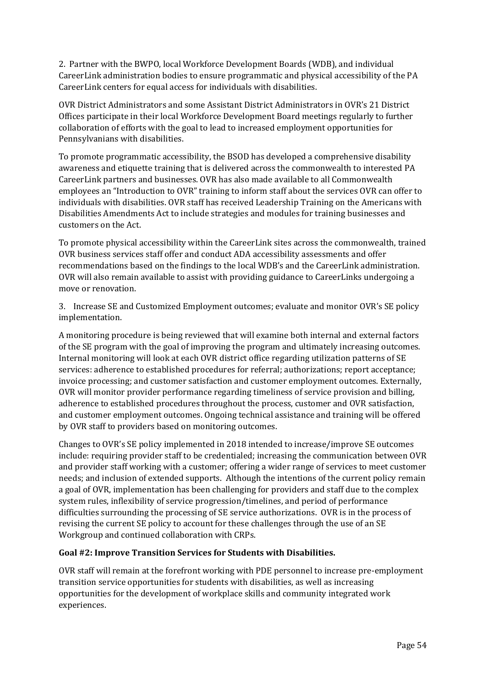2. Partner with the BWPO, local Workforce Development Boards (WDB), and individual CareerLink administration bodies to ensure programmatic and physical accessibility of the PA CareerLink centers for equal access for individuals with disabilities.

OVR District Administrators and some Assistant District Administrators in OVR's 21 District Offices participate in their local Workforce Development Board meetings regularly to further collaboration of efforts with the goal to lead to increased employment opportunities for Pennsylvanians with disabilities.

To promote programmatic accessibility, the BSOD has developed a comprehensive disability awareness and etiquette training that is delivered across the commonwealth to interested PA CareerLink partners and businesses. OVR has also made available to all Commonwealth employees an "Introduction to OVR" training to inform staff about the services OVR can offer to individuals with disabilities. OVR staff has received Leadership Training on the Americans with Disabilities Amendments Act to include strategies and modules for training businesses and customers on the Act.

To promote physical accessibility within the CareerLink sites across the commonwealth, trained OVR business services staff offer and conduct ADA accessibility assessments and offer recommendations based on the findings to the local WDB's and the CareerLink administration. OVR will also remain available to assist with providing guidance to CareerLinks undergoing a move or renovation.

3. Increase SE and Customized Employment outcomes; evaluate and monitor OVR's SE policy implementation.

A monitoring procedure is being reviewed that will examine both internal and external factors of the SE program with the goal of improving the program and ultimately increasing outcomes. Internal monitoring will look at each OVR district office regarding utilization patterns of SE services: adherence to established procedures for referral; authorizations; report acceptance; invoice processing; and customer satisfaction and customer employment outcomes. Externally, OVR will monitor provider performance regarding timeliness of service provision and billing, adherence to established procedures throughout the process, customer and OVR satisfaction, and customer employment outcomes. Ongoing technical assistance and training will be offered by OVR staff to providers based on monitoring outcomes.

Changes to OVR's SE policy implemented in 2018 intended to increase/improve SE outcomes include: requiring provider staff to be credentialed; increasing the communication between OVR and provider staff working with a customer; offering a wider range of services to meet customer needs; and inclusion of extended supports. Although the intentions of the current policy remain a goal of OVR, implementation has been challenging for providers and staff due to the complex system rules, inflexibility of service progression/timelines, and period of performance difficulties surrounding the processing of SE service authorizations. OVR is in the process of revising the current SE policy to account for these challenges through the use of an SE Workgroup and continued collaboration with CRPs.

#### **Goal #2: Improve Transition Services for Students with Disabilities.**

OVR staff will remain at the forefront working with PDE personnel to increase pre-employment transition service opportunities for students with disabilities, as well as increasing opportunities for the development of workplace skills and community integrated work experiences.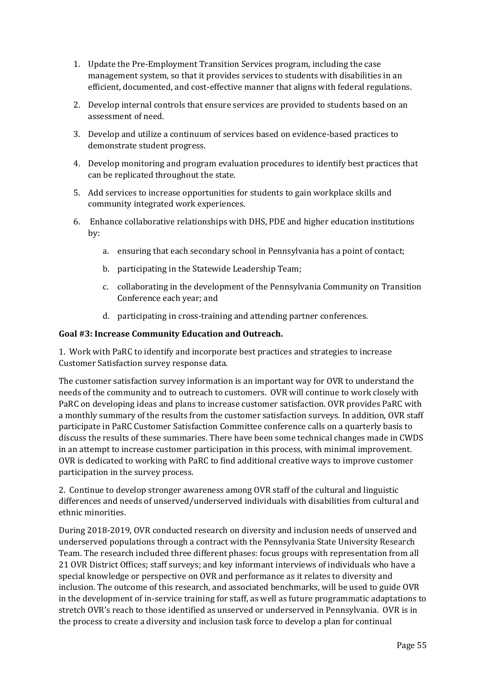- 1. Update the Pre-Employment Transition Services program, including the case management system, so that it provides services to students with disabilities in an efficient, documented, and cost-effective manner that aligns with federal regulations.
- 2. Develop internal controls that ensure services are provided to students based on an assessment of need.
- 3. Develop and utilize a continuum of services based on evidence-based practices to demonstrate student progress.
- 4. Develop monitoring and program evaluation procedures to identify best practices that can be replicated throughout the state.
- 5. Add services to increase opportunities for students to gain workplace skills and community integrated work experiences.
- 6. Enhance collaborative relationships with DHS, PDE and higher education institutions by:
	- a. ensuring that each secondary school in Pennsylvania has a point of contact;
	- b. participating in the Statewide Leadership Team;
	- c. collaborating in the development of the Pennsylvania Community on Transition Conference each year; and
	- d. participating in cross-training and attending partner conferences.

#### **Goal #3: Increase Community Education and Outreach.**

1. Work with PaRC to identify and incorporate best practices and strategies to increase Customer Satisfaction survey response data.

The customer satisfaction survey information is an important way for OVR to understand the needs of the community and to outreach to customers. OVR will continue to work closely with PaRC on developing ideas and plans to increase customer satisfaction. OVR provides PaRC with a monthly summary of the results from the customer satisfaction surveys. In addition, OVR staff participate in PaRC Customer Satisfaction Committee conference calls on a quarterly basis to discuss the results of these summaries. There have been some technical changes made in CWDS in an attempt to increase customer participation in this process, with minimal improvement. OVR is dedicated to working with PaRC to find additional creative ways to improve customer participation in the survey process.

2. Continue to develop stronger awareness among OVR staff of the cultural and linguistic differences and needs of unserved/underserved individuals with disabilities from cultural and ethnic minorities.

During 2018-2019, OVR conducted research on diversity and inclusion needs of unserved and underserved populations through a contract with the Pennsylvania State University Research Team. The research included three different phases: focus groups with representation from all 21 OVR District Offices; staff surveys; and key informant interviews of individuals who have a special knowledge or perspective on OVR and performance as it relates to diversity and inclusion. The outcome of this research, and associated benchmarks, will be used to guide OVR in the development of in-service training for staff, as well as future programmatic adaptations to stretch OVR's reach to those identified as unserved or underserved in Pennsylvania. OVR is in the process to create a diversity and inclusion task force to develop a plan for continual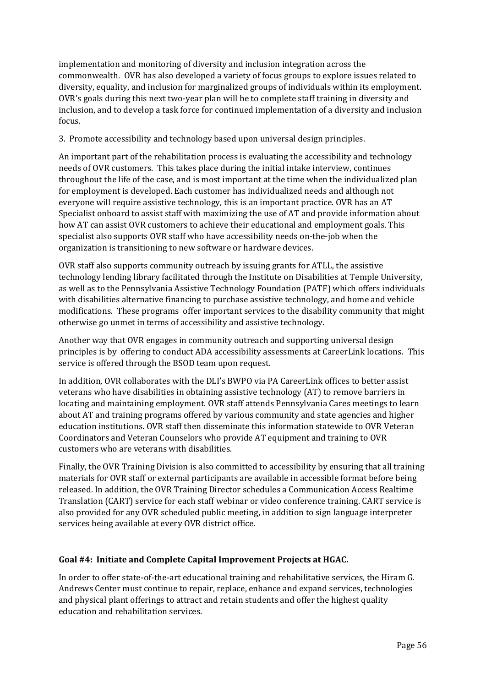implementation and monitoring of diversity and inclusion integration across the commonwealth. OVR has also developed a variety of focus groups to explore issues related to diversity, equality, and inclusion for marginalized groups of individuals within its employment. OVR's goals during this next two-year plan will be to complete staff training in diversity and inclusion, and to develop a task force for continued implementation of a diversity and inclusion focus.

# 3. Promote accessibility and technology based upon universal design principles.

An important part of the rehabilitation process is evaluating the accessibility and technology needs of OVR customers. This takes place during the initial intake interview, continues throughout the life of the case, and is most important at the time when the individualized plan for employment is developed. Each customer has individualized needs and although not everyone will require assistive technology, this is an important practice. OVR has an AT Specialist onboard to assist staff with maximizing the use of AT and provide information about how AT can assist OVR customers to achieve their educational and employment goals. This specialist also supports OVR staff who have accessibility needs on-the-job when the organization is transitioning to new software or hardware devices.

OVR staff also supports community outreach by issuing grants for ATLL, the assistive technology lending library facilitated through the Institute on Disabilities at Temple University, as well as to the Pennsylvania Assistive Technology Foundation (PATF) which offers individuals with disabilities alternative financing to purchase assistive technology, and home and vehicle modifications. These programs offer important services to the disability community that might otherwise go unmet in terms of accessibility and assistive technology.

Another way that OVR engages in community outreach and supporting universal design principles is by offering to conduct ADA accessibility assessments at CareerLink locations. This service is offered through the BSOD team upon request.

In addition, OVR collaborates with the DLI's BWPO via PA CareerLink offices to better assist veterans who have disabilities in obtaining assistive technology (AT) to remove barriers in locating and maintaining employment. OVR staff attends Pennsylvania Cares meetings to learn about AT and training programs offered by various community and state agencies and higher education institutions. OVR staff then disseminate this information statewide to OVR Veteran Coordinators and Veteran Counselors who provide AT equipment and training to OVR customers who are veterans with disabilities.

Finally, the OVR Training Division is also committed to accessibility by ensuring that all training materials for OVR staff or external participants are available in accessible format before being released. In addition, the OVR Training Director schedules a Communication Access Realtime Translation (CART) service for each staff webinar or video conference training. CART service is also provided for any OVR scheduled public meeting, in addition to sign language interpreter services being available at every OVR district office.

#### **Goal #4: Initiate and Complete Capital Improvement Projects at HGAC.**

In order to offer state-of-the-art educational training and rehabilitative services, the Hiram G. Andrews Center must continue to repair, replace, enhance and expand services, technologies and physical plant offerings to attract and retain students and offer the highest quality education and rehabilitation services.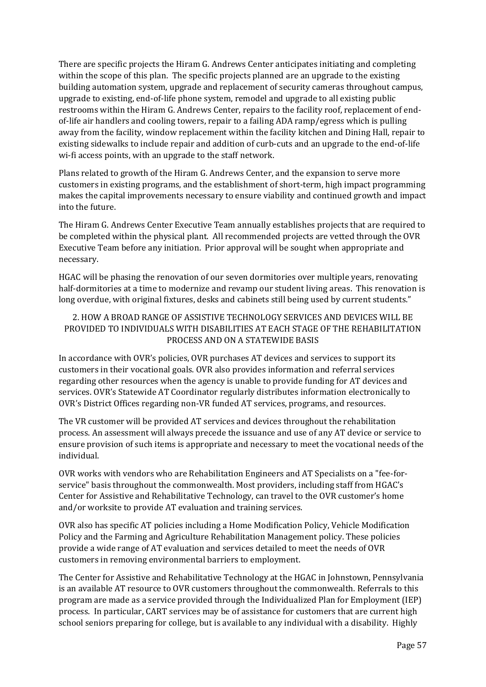There are specific projects the Hiram G. Andrews Center anticipates initiating and completing within the scope of this plan. The specific projects planned are an upgrade to the existing building automation system, upgrade and replacement of security cameras throughout campus, upgrade to existing, end-of-life phone system, remodel and upgrade to all existing public restrooms within the Hiram G. Andrews Center, repairs to the facility roof, replacement of endof-life air handlers and cooling towers, repair to a failing ADA ramp/egress which is pulling away from the facility, window replacement within the facility kitchen and Dining Hall, repair to existing sidewalks to include repair and addition of curb-cuts and an upgrade to the end-of-life wi-fi access points, with an upgrade to the staff network.

Plans related to growth of the Hiram G. Andrews Center, and the expansion to serve more customers in existing programs, and the establishment of short-term, high impact programming makes the capital improvements necessary to ensure viability and continued growth and impact into the future.

The Hiram G. Andrews Center Executive Team annually establishes projects that are required to be completed within the physical plant. All recommended projects are vetted through the OVR Executive Team before any initiation. Prior approval will be sought when appropriate and necessary.

HGAC will be phasing the renovation of our seven dormitories over multiple years, renovating half-dormitories at a time to modernize and revamp our student living areas. This renovation is long overdue, with original fixtures, desks and cabinets still being used by current students."

### 2. HOW A BROAD RANGE OF ASSISTIVE TECHNOLOGY SERVICES AND DEVICES WILL BE PROVIDED TO INDIVIDUALS WITH DISABILITIES AT EACH STAGE OF THE REHABILITATION PROCESS AND ON A STATEWIDE BASIS

In accordance with OVR's policies, OVR purchases AT devices and services to support its customers in their vocational goals. OVR also provides information and referral services regarding other resources when the agency is unable to provide funding for AT devices and services. OVR's Statewide AT Coordinator regularly distributes information electronically to OVR's District Offices regarding non-VR funded AT services, programs, and resources.

The VR customer will be provided AT services and devices throughout the rehabilitation process. An assessment will always precede the issuance and use of any AT device or service to ensure provision of such items is appropriate and necessary to meet the vocational needs of the individual.

OVR works with vendors who are Rehabilitation Engineers and AT Specialists on a "fee-forservice" basis throughout the commonwealth. Most providers, including staff from HGAC's Center for Assistive and Rehabilitative Technology, can travel to the OVR customer's home and/or worksite to provide AT evaluation and training services.

OVR also has specific AT policies including a Home Modification Policy, Vehicle Modification Policy and the Farming and Agriculture Rehabilitation Management policy. These policies provide a wide range of AT evaluation and services detailed to meet the needs of OVR customers in removing environmental barriers to employment.

The Center for Assistive and Rehabilitative Technology at the HGAC in Johnstown, Pennsylvania is an available AT resource to OVR customers throughout the commonwealth. Referrals to this program are made as a service provided through the Individualized Plan for Employment (IEP) process. In particular, CART services may be of assistance for customers that are current high school seniors preparing for college, but is available to any individual with a disability. Highly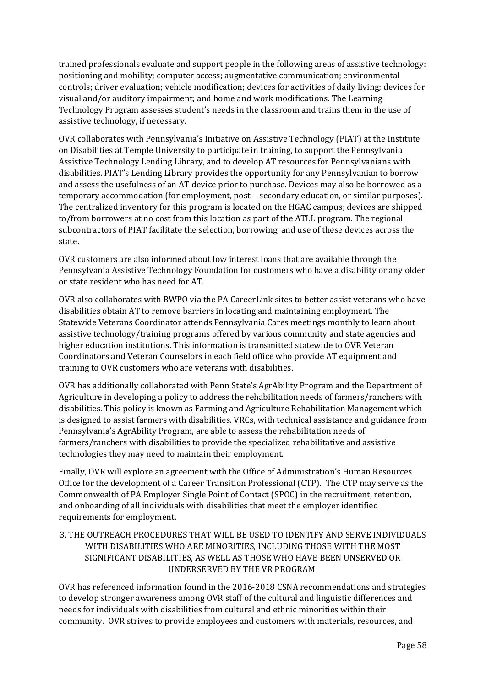trained professionals evaluate and support people in the following areas of assistive technology: positioning and mobility; computer access; augmentative communication; environmental controls; driver evaluation; vehicle modification; devices for activities of daily living; devices for visual and/or auditory impairment; and home and work modifications. The Learning Technology Program assesses student's needs in the classroom and trains them in the use of assistive technology, if necessary.

OVR collaborates with Pennsylvania's Initiative on Assistive Technology (PIAT) at the Institute on Disabilities at Temple University to participate in training, to support the Pennsylvania Assistive Technology Lending Library, and to develop AT resources for Pennsylvanians with disabilities. PIAT's Lending Library provides the opportunity for any Pennsylvanian to borrow and assess the usefulness of an AT device prior to purchase. Devices may also be borrowed as a temporary accommodation (for employment, post—secondary education, or similar purposes). The centralized inventory for this program is located on the HGAC campus; devices are shipped to/from borrowers at no cost from this location as part of the ATLL program. The regional subcontractors of PIAT facilitate the selection, borrowing, and use of these devices across the state.

OVR customers are also informed about low interest loans that are available through the Pennsylvania Assistive Technology Foundation for customers who have a disability or any older or state resident who has need for AT.

OVR also collaborates with BWPO via the PA CareerLink sites to better assist veterans who have disabilities obtain AT to remove barriers in locating and maintaining employment. The Statewide Veterans Coordinator attends Pennsylvania Cares meetings monthly to learn about assistive technology/training programs offered by various community and state agencies and higher education institutions. This information is transmitted statewide to OVR Veteran Coordinators and Veteran Counselors in each field office who provide AT equipment and training to OVR customers who are veterans with disabilities.

OVR has additionally collaborated with Penn State's AgrAbility Program and the Department of Agriculture in developing a policy to address the rehabilitation needs of farmers/ranchers with disabilities. This policy is known as Farming and Agriculture Rehabilitation Management which is designed to assist farmers with disabilities. VRCs, with technical assistance and guidance from Pennsylvania's AgrAbility Program, are able to assess the rehabilitation needs of farmers/ranchers with disabilities to provide the specialized rehabilitative and assistive technologies they may need to maintain their employment.

Finally, OVR will explore an agreement with the Office of Administration's Human Resources Office for the development of a Career Transition Professional (CTP). The CTP may serve as the Commonwealth of PA Employer Single Point of Contact (SPOC) in the recruitment, retention, and onboarding of all individuals with disabilities that meet the employer identified requirements for employment.

# 3. THE OUTREACH PROCEDURES THAT WILL BE USED TO IDENTIFY AND SERVE INDIVIDUALS WITH DISABILITIES WHO ARE MINORITIES, INCLUDING THOSE WITH THE MOST SIGNIFICANT DISABILITIES, AS WELL AS THOSE WHO HAVE BEEN UNSERVED OR UNDERSERVED BY THE VR PROGRAM

OVR has referenced information found in the 2016-2018 CSNA recommendations and strategies to develop stronger awareness among OVR staff of the cultural and linguistic differences and needs for individuals with disabilities from cultural and ethnic minorities within their community. OVR strives to provide employees and customers with materials, resources, and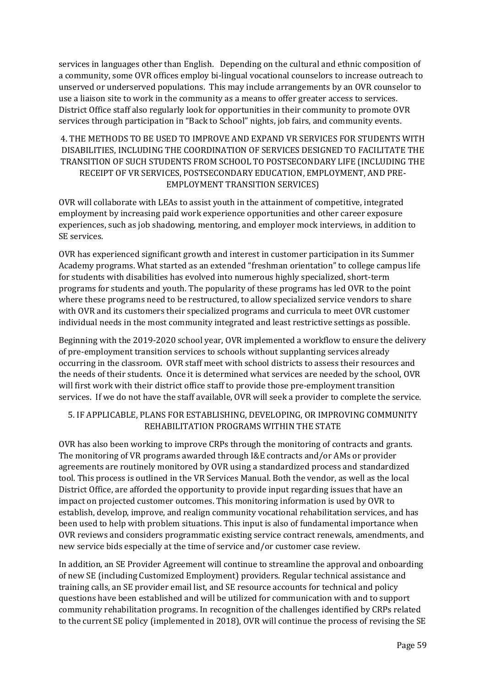services in languages other than English. Depending on the cultural and ethnic composition of a community, some OVR offices employ bi-lingual vocational counselors to increase outreach to unserved or underserved populations. This may include arrangements by an OVR counselor to use a liaison site to work in the community as a means to offer greater access to services. District Office staff also regularly look for opportunities in their community to promote OVR services through participation in "Back to School" nights, job fairs, and community events.

# 4. THE METHODS TO BE USED TO IMPROVE AND EXPAND VR SERVICES FOR STUDENTS WITH DISABILITIES, INCLUDING THE COORDINATION OF SERVICES DESIGNED TO FACILITATE THE TRANSITION OF SUCH STUDENTS FROM SCHOOL TO POSTSECONDARY LIFE (INCLUDING THE RECEIPT OF VR SERVICES, POSTSECONDARY EDUCATION, EMPLOYMENT, AND PRE-EMPLOYMENT TRANSITION SERVICES)

OVR will collaborate with LEAs to assist youth in the attainment of competitive, integrated employment by increasing paid work experience opportunities and other career exposure experiences, such as job shadowing, mentoring, and employer mock interviews, in addition to SE services.

OVR has experienced significant growth and interest in customer participation in its Summer Academy programs. What started as an extended "freshman orientation" to college campus life for students with disabilities has evolved into numerous highly specialized, short-term programs for students and youth. The popularity of these programs has led OVR to the point where these programs need to be restructured, to allow specialized service vendors to share with OVR and its customers their specialized programs and curricula to meet OVR customer individual needs in the most community integrated and least restrictive settings as possible.

Beginning with the 2019-2020 school year, OVR implemented a workflow to ensure the delivery of pre-employment transition services to schools without supplanting services already occurring in the classroom. OVR staff meet with school districts to assess their resources and the needs of their students. Once it is determined what services are needed by the school, OVR will first work with their district office staff to provide those pre-employment transition services. If we do not have the staff available, OVR will seek a provider to complete the service.

# 5. IF APPLICABLE, PLANS FOR ESTABLISHING, DEVELOPING, OR IMPROVING COMMUNITY REHABILITATION PROGRAMS WITHIN THE STATE

OVR has also been working to improve CRPs through the monitoring of contracts and grants. The monitoring of VR programs awarded through I&E contracts and/or AMs or provider agreements are routinely monitored by OVR using a standardized process and standardized tool. This process is outlined in the VR Services Manual. Both the vendor, as well as the local District Office, are afforded the opportunity to provide input regarding issues that have an impact on projected customer outcomes. This monitoring information is used by OVR to establish, develop, improve, and realign community vocational rehabilitation services, and has been used to help with problem situations. This input is also of fundamental importance when OVR reviews and considers programmatic existing service contract renewals, amendments, and new service bids especially at the time of service and/or customer case review.

In addition, an SE Provider Agreement will continue to streamline the approval and onboarding of new SE (including Customized Employment) providers. Regular technical assistance and training calls, an SE provider email list, and SE resource accounts for technical and policy questions have been established and will be utilized for communication with and to support community rehabilitation programs. In recognition of the challenges identified by CRPs related to the current SE policy (implemented in 2018), OVR will continue the process of revising the SE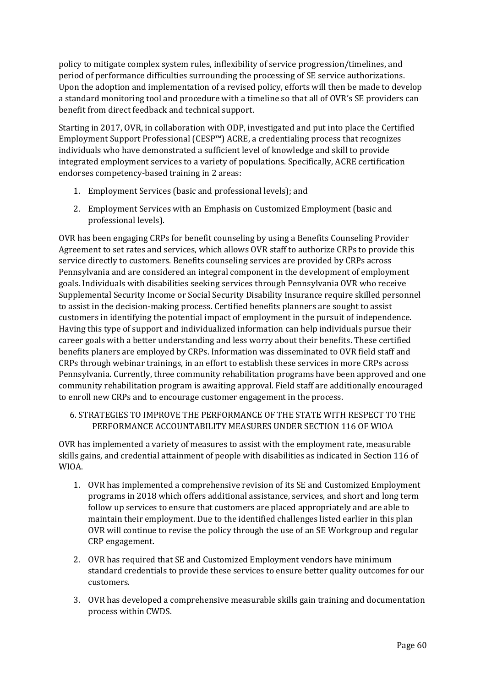policy to mitigate complex system rules, inflexibility of service progression/timelines, and period of performance difficulties surrounding the processing of SE service authorizations. Upon the adoption and implementation of a revised policy, efforts will then be made to develop a standard monitoring tool and procedure with a timeline so that all of OVR's SE providers can benefit from direct feedback and technical support.

Starting in 2017, OVR, in collaboration with ODP, investigated and put into place the Certified Employment Support Professional (CESP™) ACRE, a credentialing process that recognizes individuals who have demonstrated a sufficient level of knowledge and skill to provide integrated employment services to a variety of populations. Specifically, ACRE certification endorses competency-based training in 2 areas:

- 1. Employment Services (basic and professional levels); and
- 2. Employment Services with an Emphasis on Customized Employment (basic and professional levels).

OVR has been engaging CRPs for benefit counseling by using a Benefits Counseling Provider Agreement to set rates and services, which allows OVR staff to authorize CRPs to provide this service directly to customers. Benefits counseling services are provided by CRPs across Pennsylvania and are considered an integral component in the development of employment goals. Individuals with disabilities seeking services through Pennsylvania OVR who receive Supplemental Security Income or Social Security Disability Insurance require skilled personnel to assist in the decision-making process. Certified benefits planners are sought to assist customers in identifying the potential impact of employment in the pursuit of independence. Having this type of support and individualized information can help individuals pursue their career goals with a better understanding and less worry about their benefits. These certified benefits planers are employed by CRPs. Information was disseminated to OVR field staff and CRPs through webinar trainings, in an effort to establish these services in more CRPs across Pennsylvania. Currently, three community rehabilitation programs have been approved and one community rehabilitation program is awaiting approval. Field staff are additionally encouraged to enroll new CRPs and to encourage customer engagement in the process.

# 6. STRATEGIES TO IMPROVE THE PERFORMANCE OF THE STATE WITH RESPECT TO THE PERFORMANCE ACCOUNTABILITY MEASURES UNDER SECTION 116 OF WIOA

OVR has implemented a variety of measures to assist with the employment rate, measurable skills gains, and credential attainment of people with disabilities as indicated in Section 116 of WIOA.

- 1. OVR has implemented a comprehensive revision of its SE and Customized Employment programs in 2018 which offers additional assistance, services, and short and long term follow up services to ensure that customers are placed appropriately and are able to maintain their employment. Due to the identified challenges listed earlier in this plan OVR will continue to revise the policy through the use of an SE Workgroup and regular CRP engagement.
- 2. OVR has required that SE and Customized Employment vendors have minimum standard credentials to provide these services to ensure better quality outcomes for our customers.
- 3. OVR has developed a comprehensive measurable skills gain training and documentation process within CWDS.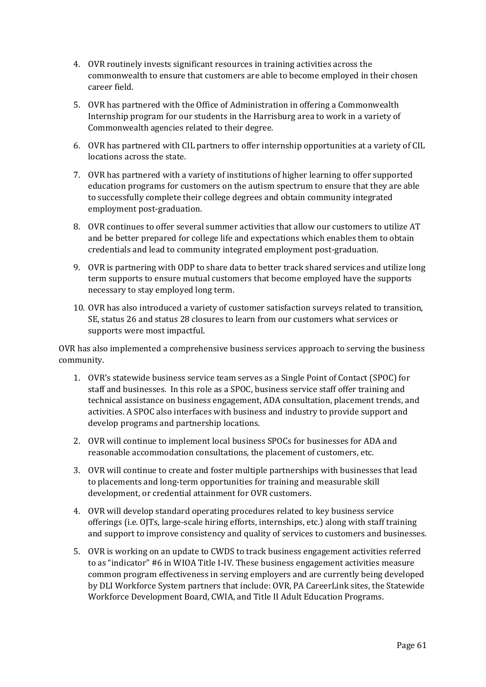- 4. OVR routinely invests significant resources in training activities across the commonwealth to ensure that customers are able to become employed in their chosen career field.
- 5. OVR has partnered with the Office of Administration in offering a Commonwealth Internship program for our students in the Harrisburg area to work in a variety of Commonwealth agencies related to their degree.
- 6. OVR has partnered with CIL partners to offer internship opportunities at a variety of CIL locations across the state.
- 7. OVR has partnered with a variety of institutions of higher learning to offer supported education programs for customers on the autism spectrum to ensure that they are able to successfully complete their college degrees and obtain community integrated employment post-graduation.
- 8. OVR continues to offer several summer activities that allow our customers to utilize AT and be better prepared for college life and expectations which enables them to obtain credentials and lead to community integrated employment post-graduation.
- 9. OVR is partnering with ODP to share data to better track shared services and utilize long term supports to ensure mutual customers that become employed have the supports necessary to stay employed long term.
- 10. OVR has also introduced a variety of customer satisfaction surveys related to transition, SE, status 26 and status 28 closures to learn from our customers what services or supports were most impactful.

OVR has also implemented a comprehensive business services approach to serving the business community.

- 1. OVR's statewide business service team serves as a Single Point of Contact (SPOC) for staff and businesses. In this role as a SPOC, business service staff offer training and technical assistance on business engagement, ADA consultation, placement trends, and activities. A SPOC also interfaces with business and industry to provide support and develop programs and partnership locations.
- 2. OVR will continue to implement local business SPOCs for businesses for ADA and reasonable accommodation consultations, the placement of customers, etc.
- 3. OVR will continue to create and foster multiple partnerships with businesses that lead to placements and long-term opportunities for training and measurable skill development, or credential attainment for OVR customers.
- 4. OVR will develop standard operating procedures related to key business service offerings (i.e. OJTs, large-scale hiring efforts, internships, etc.) along with staff training and support to improve consistency and quality of services to customers and businesses.
- 5. OVR is working on an update to CWDS to track business engagement activities referred to as "indicator" #6 in WIOA Title I-IV. These business engagement activities measure common program effectiveness in serving employers and are currently being developed by DLI Workforce System partners that include: OVR, PA CareerLink sites, the Statewide Workforce Development Board, CWIA, and Title II Adult Education Programs.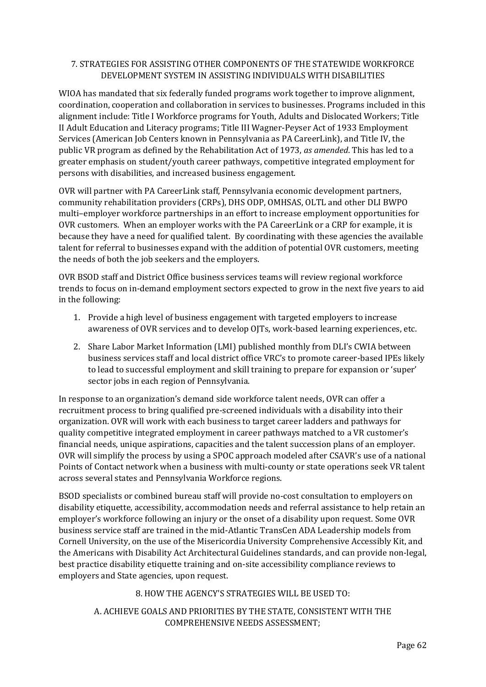### 7. STRATEGIES FOR ASSISTING OTHER COMPONENTS OF THE STATEWIDE WORKFORCE DEVELOPMENT SYSTEM IN ASSISTING INDIVIDUALS WITH DISABILITIES

WIOA has mandated that six federally funded programs work together to improve alignment, coordination, cooperation and collaboration in services to businesses. Programs included in this alignment include: Title I Workforce programs for Youth, Adults and Dislocated Workers; Title II Adult Education and Literacy programs; Title III Wagner-Peyser Act of 1933 Employment Services (American Job Centers known in Pennsylvania as PA CareerLink), and Title IV, the public VR program as defined by the Rehabilitation Act of 1973, *as amended*. This has led to a greater emphasis on student/youth career pathways, competitive integrated employment for persons with disabilities, and increased business engagement.

OVR will partner with PA CareerLink staff, Pennsylvania economic development partners, community rehabilitation providers (CRPs), DHS ODP, OMHSAS, OLTL and other DLI BWPO multi–employer workforce partnerships in an effort to increase employment opportunities for OVR customers. When an employer works with the PA CareerLink or a CRP for example, it is because they have a need for qualified talent. By coordinating with these agencies the available talent for referral to businesses expand with the addition of potential OVR customers, meeting the needs of both the job seekers and the employers.

OVR BSOD staff and District Office business services teams will review regional workforce trends to focus on in-demand employment sectors expected to grow in the next five years to aid in the following:

- 1. Provide a high level of business engagement with targeted employers to increase awareness of OVR services and to develop OJTs, work-based learning experiences, etc.
- 2. Share Labor Market Information (LMI) published monthly from DLI's CWIA between business services staff and local district office VRC's to promote career-based IPEs likely to lead to successful employment and skill training to prepare for expansion or 'super' sector jobs in each region of Pennsylvania.

In response to an organization's demand side workforce talent needs, OVR can offer a recruitment process to bring qualified pre-screened individuals with a disability into their organization. OVR will work with each business to target career ladders and pathways for quality competitive integrated employment in career pathways matched to a VR customer's financial needs, unique aspirations, capacities and the talent succession plans of an employer. OVR will simplify the process by using a SPOC approach modeled after CSAVR's use of a national Points of Contact network when a business with multi-county or state operations seek VR talent across several states and Pennsylvania Workforce regions.

BSOD specialists or combined bureau staff will provide no-cost consultation to employers on disability etiquette, accessibility, accommodation needs and referral assistance to help retain an employer's workforce following an injury or the onset of a disability upon request. Some OVR business service staff are trained in the mid-Atlantic TransCen ADA Leadership models from Cornell University, on the use of the Misericordia University Comprehensive Accessibly Kit, and the Americans with Disability Act Architectural Guidelines standards, and can provide non-legal, best practice disability etiquette training and on-site accessibility compliance reviews to employers and State agencies, upon request.

#### 8. HOW THE AGENCY'S STRATEGIES WILL BE USED TO:

# A. ACHIEVE GOALS AND PRIORITIES BY THE STATE, CONSISTENT WITH THE COMPREHENSIVE NEEDS ASSESSMENT;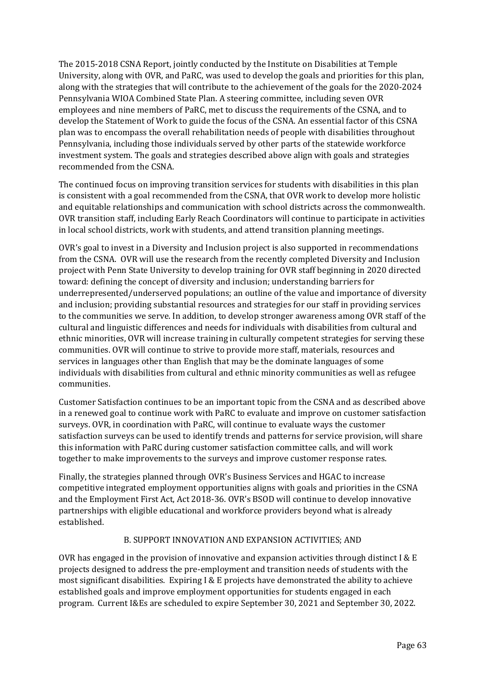The 2015-2018 CSNA Report, jointly conducted by the Institute on Disabilities at Temple University, along with OVR, and PaRC, was used to develop the goals and priorities for this plan, along with the strategies that will contribute to the achievement of the goals for the 2020-2024 Pennsylvania WIOA Combined State Plan. A steering committee, including seven OVR employees and nine members of PaRC, met to discuss the requirements of the CSNA, and to develop the Statement of Work to guide the focus of the CSNA. An essential factor of this CSNA plan was to encompass the overall rehabilitation needs of people with disabilities throughout Pennsylvania, including those individuals served by other parts of the statewide workforce investment system. The goals and strategies described above align with goals and strategies recommended from the CSNA.

The continued focus on improving transition services for students with disabilities in this plan is consistent with a goal recommended from the CSNA, that OVR work to develop more holistic and equitable relationships and communication with school districts across the commonwealth. OVR transition staff, including Early Reach Coordinators will continue to participate in activities in local school districts, work with students, and attend transition planning meetings.

OVR's goal to invest in a Diversity and Inclusion project is also supported in recommendations from the CSNA. OVR will use the research from the recently completed Diversity and Inclusion project with Penn State University to develop training for OVR staff beginning in 2020 directed toward: defining the concept of diversity and inclusion; understanding barriers for underrepresented/underserved populations; an outline of the value and importance of diversity and inclusion; providing substantial resources and strategies for our staff in providing services to the communities we serve. In addition, to develop stronger awareness among OVR staff of the cultural and linguistic differences and needs for individuals with disabilities from cultural and ethnic minorities, OVR will increase training in culturally competent strategies for serving these communities. OVR will continue to strive to provide more staff, materials, resources and services in languages other than English that may be the dominate languages of some individuals with disabilities from cultural and ethnic minority communities as well as refugee communities.

Customer Satisfaction continues to be an important topic from the CSNA and as described above in a renewed goal to continue work with PaRC to evaluate and improve on customer satisfaction surveys. OVR, in coordination with PaRC, will continue to evaluate ways the customer satisfaction surveys can be used to identify trends and patterns for service provision, will share this information with PaRC during customer satisfaction committee calls, and will work together to make improvements to the surveys and improve customer response rates.

Finally, the strategies planned through OVR's Business Services and HGAC to increase competitive integrated employment opportunities aligns with goals and priorities in the CSNA and the Employment First Act, Act 2018-36. OVR's BSOD will continue to develop innovative partnerships with eligible educational and workforce providers beyond what is already established.

#### B. SUPPORT INNOVATION AND EXPANSION ACTIVITIES; AND

OVR has engaged in the provision of innovative and expansion activities through distinct  $I \& E$ projects designed to address the pre-employment and transition needs of students with the most significant disabilities. Expiring I & E projects have demonstrated the ability to achieve established goals and improve employment opportunities for students engaged in each program. Current I&Es are scheduled to expire September 30, 2021 and September 30, 2022.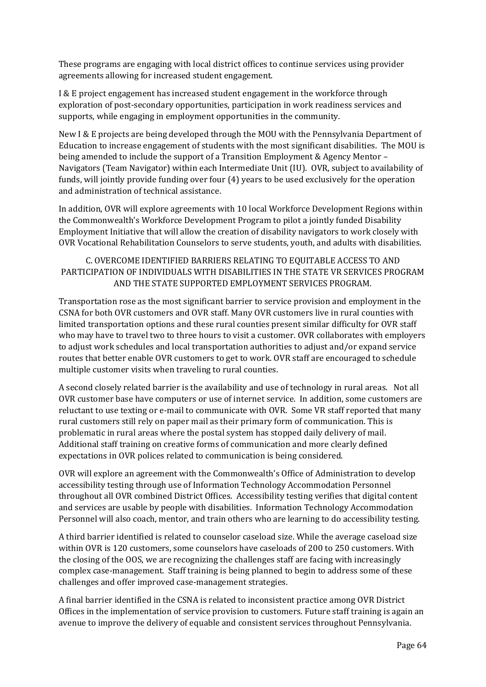These programs are engaging with local district offices to continue services using provider agreements allowing for increased student engagement.

I & E project engagement has increased student engagement in the workforce through exploration of post-secondary opportunities, participation in work readiness services and supports, while engaging in employment opportunities in the community.

New I & E projects are being developed through the MOU with the Pennsylvania Department of Education to increase engagement of students with the most significant disabilities. The MOU is being amended to include the support of a Transition Employment & Agency Mentor – Navigators (Team Navigator) within each Intermediate Unit (IU). OVR, subject to availability of funds, will jointly provide funding over four (4) years to be used exclusively for the operation and administration of technical assistance.

In addition, OVR will explore agreements with 10 local Workforce Development Regions within the Commonwealth's Workforce Development Program to pilot a jointly funded Disability Employment Initiative that will allow the creation of disability navigators to work closely with OVR Vocational Rehabilitation Counselors to serve students, youth, and adults with disabilities.

### C. OVERCOME IDENTIFIED BARRIERS RELATING TO EQUITABLE ACCESS TO AND PARTICIPATION OF INDIVIDUALS WITH DISABILITIES IN THE STATE VR SERVICES PROGRAM AND THE STATE SUPPORTED EMPLOYMENT SERVICES PROGRAM.

Transportation rose as the most significant barrier to service provision and employment in the CSNA for both OVR customers and OVR staff. Many OVR customers live in rural counties with limited transportation options and these rural counties present similar difficulty for OVR staff who may have to travel two to three hours to visit a customer. OVR collaborates with employers to adjust work schedules and local transportation authorities to adjust and/or expand service routes that better enable OVR customers to get to work. OVR staff are encouraged to schedule multiple customer visits when traveling to rural counties.

A second closely related barrier is the availability and use of technology in rural areas. Not all OVR customer base have computers or use of internet service. In addition, some customers are reluctant to use texting or e-mail to communicate with OVR. Some VR staff reported that many rural customers still rely on paper mail as their primary form of communication. This is problematic in rural areas where the postal system has stopped daily delivery of mail. Additional staff training on creative forms of communication and more clearly defined expectations in OVR polices related to communication is being considered.

OVR will explore an agreement with the Commonwealth's Office of Administration to develop accessibility testing through use of Information Technology Accommodation Personnel throughout all OVR combined District Offices. Accessibility testing verifies that digital content and services are usable by people with disabilities. Information Technology Accommodation Personnel will also coach, mentor, and train others who are learning to do accessibility testing.

A third barrier identified is related to counselor caseload size. While the average caseload size within OVR is 120 customers, some counselors have caseloads of 200 to 250 customers. With the closing of the OOS, we are recognizing the challenges staff are facing with increasingly complex case-management. Staff training is being planned to begin to address some of these challenges and offer improved case-management strategies.

A final barrier identified in the CSNA is related to inconsistent practice among OVR District Offices in the implementation of service provision to customers. Future staff training is again an avenue to improve the delivery of equable and consistent services throughout Pennsylvania.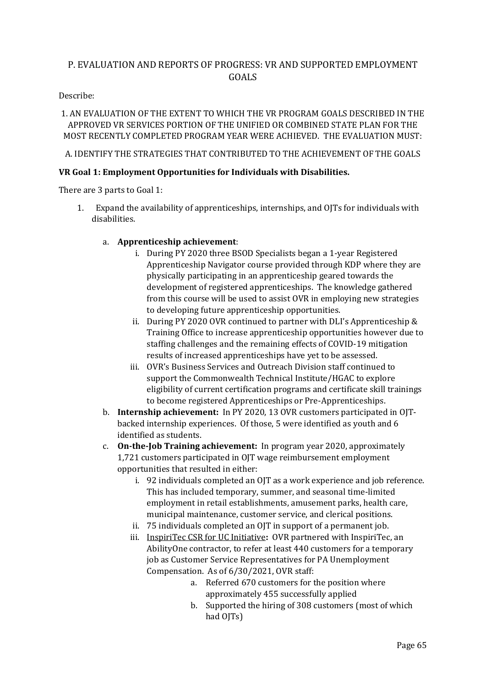# P. EVALUATION AND REPORTS OF PROGRESS: VR AND SUPPORTED EMPLOYMENT GOALS

#### Describe:

# 1. AN EVALUATION OF THE EXTENT TO WHICH THE VR PROGRAM GOALS DESCRIBED IN THE APPROVED VR SERVICES PORTION OF THE UNIFIED OR COMBINED STATE PLAN FOR THE MOST RECENTLY COMPLETED PROGRAM YEAR WERE ACHIEVED. THE EVALUATION MUST:

# A. IDENTIFY THE STRATEGIES THAT CONTRIBUTED TO THE ACHIEVEMENT OF THE GOALS

# **VR Goal 1: Employment Opportunities for Individuals with Disabilities.**

There are 3 parts to Goal 1:

- 1. Expand the availability of apprenticeships, internships, and OJTs for individuals with disabilities.
	- a. **Apprenticeship achievement**:
		- i. During PY 2020 three BSOD Specialists began a 1-year Registered Apprenticeship Navigator course provided through KDP where they are physically participating in an apprenticeship geared towards the development of registered apprenticeships. The knowledge gathered from this course will be used to assist OVR in employing new strategies to developing future apprenticeship opportunities.
		- ii. During PY 2020 OVR continued to partner with DLI's Apprenticeship & Training Office to increase apprenticeship opportunities however due to staffing challenges and the remaining effects of COVID-19 mitigation results of increased apprenticeships have yet to be assessed.
		- iii. OVR's Business Services and Outreach Division staff continued to support the Commonwealth Technical Institute/HGAC to explore eligibility of current certification programs and certificate skill trainings to become registered Apprenticeships or Pre-Apprenticeships.
	- b. **Internship achievement:** In PY 2020, 13 OVR customers participated in OJTbacked internship experiences. Of those, 5 were identified as youth and 6 identified as students.
	- c. **On-the-Job Training achievement:** In program year 2020, approximately 1,721 customers participated in OJT wage reimbursement employment opportunities that resulted in either:
		- i. 92 individuals completed an OJT as a work experience and job reference. This has included temporary, summer, and seasonal time-limited employment in retail establishments, amusement parks, health care, municipal maintenance, customer service, and clerical positions.
		- ii. 75 individuals completed an OJT in support of a permanent job.
		- iii. InspiriTec CSR for UC Initiative**:** OVR partnered with InspiriTec, an AbilityOne contractor, to refer at least 440 customers for a temporary job as Customer Service Representatives for PA Unemployment Compensation. As of 6/30/2021, OVR staff:
			- a. Referred 670 customers for the position where approximately 455 successfully applied
			- b. Supported the hiring of 308 customers (most of which had OJTs)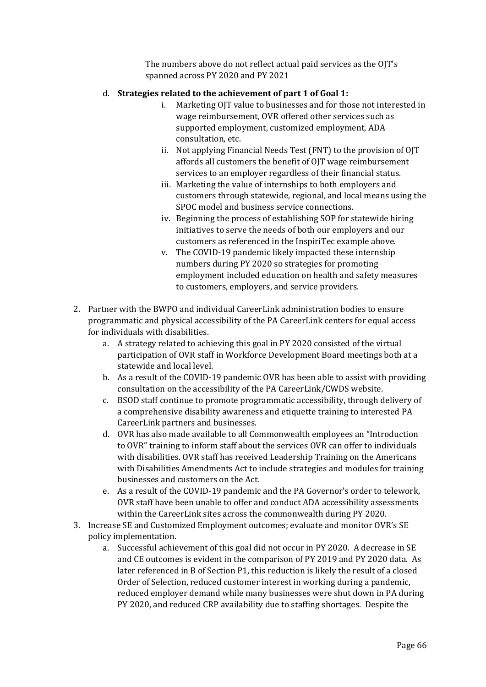The numbers above do not reflect actual paid services as the OJT's spanned across PY 2020 and PY 2021

#### d. **Strategies related to the achievement of part 1 of Goal 1:**

- i. Marketing OJT value to businesses and for those not interested in wage reimbursement, OVR offered other services such as supported employment, customized employment, ADA consultation, etc.
- ii. Not applying Financial Needs Test (FNT) to the provision of OJT affords all customers the benefit of OJT wage reimbursement services to an employer regardless of their financial status.
- iii. Marketing the value of internships to both employers and customers through statewide, regional, and local means using the SPOC model and business service connections.
- iv. Beginning the process of establishing SOP for statewide hiring initiatives to serve the needs of both our employers and our customers as referenced in the InspiriTec example above.
- v. The COVID-19 pandemic likely impacted these internship numbers during PY 2020 so strategies for promoting employment included education on health and safety measures to customers, employers, and service providers.
- 2. Partner with the BWPO and individual CareerLink administration bodies to ensure programmatic and physical accessibility of the PA CareerLink centers for equal access for individuals with disabilities.
	- a. A strategy related to achieving this goal in PY 2020 consisted of the virtual participation of OVR staff in Workforce Development Board meetings both at a statewide and local level.
	- b. As a result of the COVID-19 pandemic OVR has been able to assist with providing consultation on the accessibility of the PA CareerLink/CWDS website.
	- c. BSOD staff continue to promote programmatic accessibility, through delivery of a comprehensive disability awareness and etiquette training to interested PA CareerLink partners and businesses.
	- d. OVR has also made available to all Commonwealth employees an "Introduction to OVR" training to inform staff about the services OVR can offer to individuals with disabilities. OVR staff has received Leadership Training on the Americans with Disabilities Amendments Act to include strategies and modules for training businesses and customers on the Act.
	- e. As a result of the COVID-19 pandemic and the PA Governor's order to telework, OVR staff have been unable to offer and conduct ADA accessibility assessments within the CareerLink sites across the commonwealth during PY 2020.
- 3. Increase SE and Customized Employment outcomes; evaluate and monitor OVR's SE policy implementation.
	- a. Successful achievement of this goal did not occur in PY 2020. A decrease in SE and CE outcomes is evident in the comparison of PY 2019 and PY 2020 data. As later referenced in B of Section P1, this reduction is likely the result of a closed Order of Selection, reduced customer interest in working during a pandemic, reduced employer demand while many businesses were shut down in PA during PY 2020, and reduced CRP availability due to staffing shortages. Despite the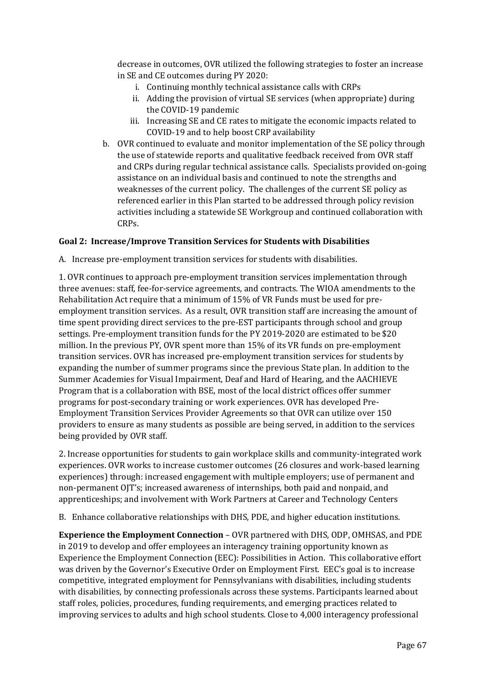decrease in outcomes, OVR utilized the following strategies to foster an increase in SE and CE outcomes during PY 2020:

- i. Continuing monthly technical assistance calls with CRPs
- ii. Adding the provision of virtual SE services (when appropriate) during the COVID-19 pandemic
- iii. Increasing SE and CE rates to mitigate the economic impacts related to COVID-19 and to help boost CRP availability
- b. OVR continued to evaluate and monitor implementation of the SE policy through the use of statewide reports and qualitative feedback received from OVR staff and CRPs during regular technical assistance calls. Specialists provided on-going assistance on an individual basis and continued to note the strengths and weaknesses of the current policy. The challenges of the current SE policy as referenced earlier in this Plan started to be addressed through policy revision activities including a statewide SE Workgroup and continued collaboration with CRPs.

# **Goal 2: Increase/Improve Transition Services for Students with Disabilities**

A. Increase pre-employment transition services for students with disabilities.

1. OVR continues to approach pre-employment transition services implementation through three avenues: staff, fee-for-service agreements, and contracts. The WIOA amendments to the Rehabilitation Act require that a minimum of 15% of VR Funds must be used for preemployment transition services. As a result, OVR transition staff are increasing the amount of time spent providing direct services to the pre-EST participants through school and group settings. Pre-employment transition funds for the PY 2019-2020 are estimated to be \$20 million. In the previous PY, OVR spent more than 15% of its VR funds on pre-employment transition services. OVR has increased pre-employment transition services for students by expanding the number of summer programs since the previous State plan. In addition to the Summer Academies for Visual Impairment, Deaf and Hard of Hearing, and the AACHIEVE Program that is a collaboration with BSE, most of the local district offices offer summer programs for post-secondary training or work experiences. OVR has developed Pre-Employment Transition Services Provider Agreements so that OVR can utilize over 150 providers to ensure as many students as possible are being served, in addition to the services being provided by OVR staff.

2. Increase opportunities for students to gain workplace skills and community-integrated work experiences. OVR works to increase customer outcomes (26 closures and work-based learning experiences) through: increased engagement with multiple employers; use of permanent and non-permanent OJT's; increased awareness of internships, both paid and nonpaid, and apprenticeships; and involvement with Work Partners at Career and Technology Centers

B. Enhance collaborative relationships with DHS, PDE, and higher education institutions.

**Experience the Employment Connection** – OVR partnered with DHS, ODP, OMHSAS, and PDE in 2019 to develop and offer employees an interagency training opportunity known as Experience the Employment Connection (EEC): Possibilities in Action. This collaborative effort was driven by the Governor's Executive Order on Employment First. EEC's goal is to increase competitive, integrated employment for Pennsylvanians with disabilities, including students with disabilities, by connecting professionals across these systems. Participants learned about staff roles, policies, procedures, funding requirements, and emerging practices related to improving services to adults and high school students. Close to 4,000 interagency professional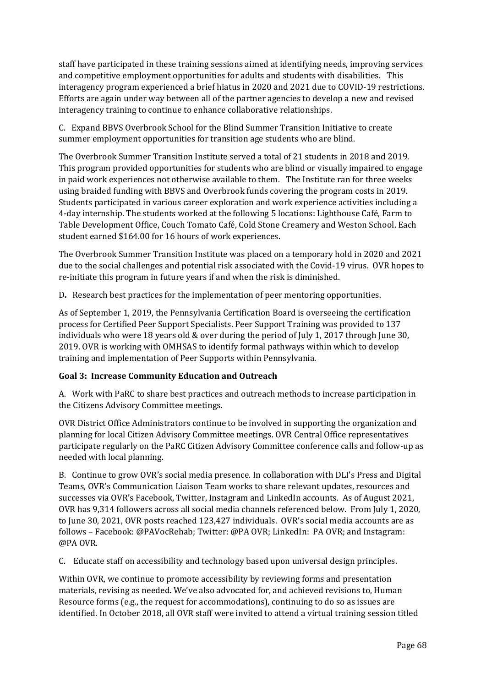staff have participated in these training sessions aimed at identifying needs, improving services and competitive employment opportunities for adults and students with disabilities. This interagency program experienced a brief hiatus in 2020 and 2021 due to COVID-19 restrictions. Efforts are again under way between all of the partner agencies to develop a new and revised interagency training to continue to enhance collaborative relationships.

C. Expand BBVS Overbrook School for the Blind Summer Transition Initiative to create summer employment opportunities for transition age students who are blind.

The Overbrook Summer Transition Institute served a total of 21 students in 2018 and 2019. This program provided opportunities for students who are blind or visually impaired to engage in paid work experiences not otherwise available to them. The Institute ran for three weeks using braided funding with BBVS and Overbrook funds covering the program costs in 2019. Students participated in various career exploration and work experience activities including a 4-day internship. The students worked at the following 5 locations: Lighthouse Café, Farm to Table Development Office, Couch Tomato Café, Cold Stone Creamery and Weston School. Each student earned \$164.00 for 16 hours of work experiences.

The Overbrook Summer Transition Institute was placed on a temporary hold in 2020 and 2021 due to the social challenges and potential risk associated with the Covid-19 virus. OVR hopes to re-initiate this program in future years if and when the risk is diminished.

D**.** Research best practices for the implementation of peer mentoring opportunities.

As of September 1, 2019, the Pennsylvania Certification Board is overseeing the certification process for Certified Peer Support Specialists. Peer Support Training was provided to 137 individuals who were 18 years old & over during the period of July 1, 2017 through June 30, 2019. OVR is working with OMHSAS to identify formal pathways within which to develop training and implementation of Peer Supports within Pennsylvania.

# **Goal 3: Increase Community Education and Outreach**

A. Work with PaRC to share best practices and outreach methods to increase participation in the Citizens Advisory Committee meetings.

OVR District Office Administrators continue to be involved in supporting the organization and planning for local Citizen Advisory Committee meetings. OVR Central Office representatives participate regularly on the PaRC Citizen Advisory Committee conference calls and follow-up as needed with local planning.

B. Continue to grow OVR's social media presence. In collaboration with DLI's Press and Digital Teams, OVR's Communication Liaison Team works to share relevant updates, resources and successes via OVR's Facebook, Twitter, Instagram and LinkedIn accounts. As of August 2021, OVR has 9,314 followers across all social media channels referenced below. From July 1, 2020, to June 30, 2021, OVR posts reached 123,427 individuals. OVR's social media accounts are as follows – Facebook: @PAVocRehab; Twitter: @PA OVR; LinkedIn: PA OVR; and Instagram: @PA OVR.

C. Educate staff on accessibility and technology based upon universal design principles.

Within OVR, we continue to promote accessibility by reviewing forms and presentation materials, revising as needed. We've also advocated for, and achieved revisions to, Human Resource forms (e.g., the request for accommodations), continuing to do so as issues are identified. In October 2018, all OVR staff were invited to attend a virtual training session titled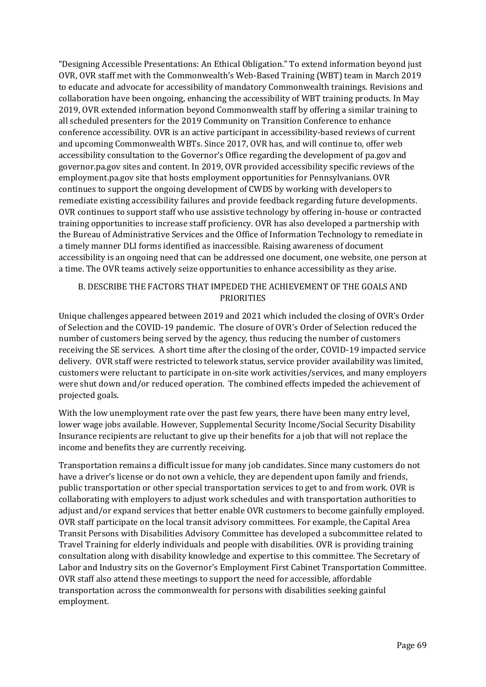"Designing Accessible Presentations: An Ethical Obligation." To extend information beyond just OVR, OVR staff met with the Commonwealth's Web-Based Training (WBT) team in March 2019 to educate and advocate for accessibility of mandatory Commonwealth trainings. Revisions and collaboration have been ongoing, enhancing the accessibility of WBT training products. In May 2019, OVR extended information beyond Commonwealth staff by offering a similar training to all scheduled presenters for the 2019 Community on Transition Conference to enhance conference accessibility. OVR is an active participant in accessibility-based reviews of current and upcoming Commonwealth WBTs. Since 2017, OVR has, and will continue to, offer web accessibility consultation to the Governor's Office regarding the development of pa.gov and governor.pa.gov sites and content. In 2019, OVR provided accessibility specific reviews of the employment.pa.gov site that hosts employment opportunities for Pennsylvanians. OVR continues to support the ongoing development of CWDS by working with developers to remediate existing accessibility failures and provide feedback regarding future developments. OVR continues to support staff who use assistive technology by offering in-house or contracted training opportunities to increase staff proficiency. OVR has also developed a partnership with the Bureau of Administrative Services and the Office of Information Technology to remediate in a timely manner DLI forms identified as inaccessible. Raising awareness of document accessibility is an ongoing need that can be addressed one document, one website, one person at a time. The OVR teams actively seize opportunities to enhance accessibility as they arise.

# B. DESCRIBE THE FACTORS THAT IMPEDED THE ACHIEVEMENT OF THE GOALS AND PRIORITIES

Unique challenges appeared between 2019 and 2021 which included the closing of OVR's Order of Selection and the COVID-19 pandemic. The closure of OVR's Order of Selection reduced the number of customers being served by the agency, thus reducing the number of customers receiving the SE services. A short time after the closing of the order, COVID-19 impacted service delivery. OVR staff were restricted to telework status, service provider availability was limited, customers were reluctant to participate in on-site work activities/services, and many employers were shut down and/or reduced operation. The combined effects impeded the achievement of projected goals.

With the low unemployment rate over the past few years, there have been many entry level, lower wage jobs available. However, Supplemental Security Income/Social Security Disability Insurance recipients are reluctant to give up their benefits for a job that will not replace the income and benefits they are currently receiving.

Transportation remains a difficult issue for many job candidates. Since many customers do not have a driver's license or do not own a vehicle, they are dependent upon family and friends, public transportation or other special transportation services to get to and from work. OVR is collaborating with employers to adjust work schedules and with transportation authorities to adjust and/or expand services that better enable OVR customers to become gainfully employed. OVR staff participate on the local transit advisory committees. For example, the Capital Area Transit Persons with Disabilities Advisory Committee has developed a subcommittee related to Travel Training for elderly individuals and people with disabilities. OVR is providing training consultation along with disability knowledge and expertise to this committee. The Secretary of Labor and Industry sits on the Governor's Employment First Cabinet Transportation Committee. OVR staff also attend these meetings to support the need for accessible, affordable transportation across the commonwealth for persons with disabilities seeking gainful employment.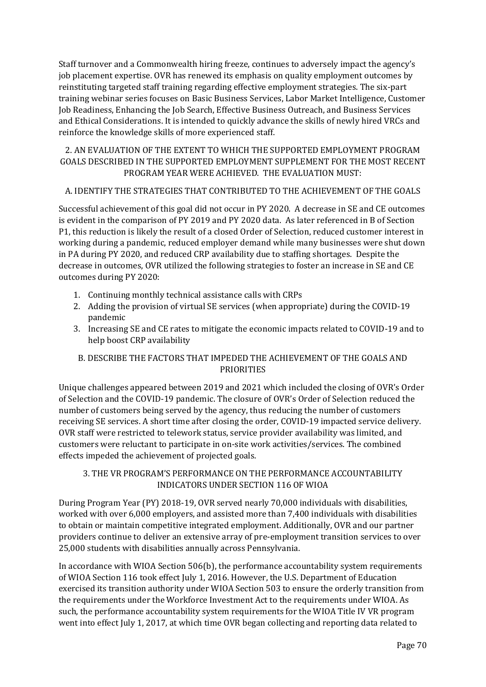Staff turnover and a Commonwealth hiring freeze, continues to adversely impact the agency's job placement expertise. OVR has renewed its emphasis on quality employment outcomes by reinstituting targeted staff training regarding effective employment strategies. The six-part training webinar series focuses on Basic Business Services, Labor Market Intelligence, Customer Job Readiness, Enhancing the Job Search, Effective Business Outreach, and Business Services and Ethical Considerations. It is intended to quickly advance the skills of newly hired VRCs and reinforce the knowledge skills of more experienced staff.

# 2. AN EVALUATION OF THE EXTENT TO WHICH THE SUPPORTED EMPLOYMENT PROGRAM GOALS DESCRIBED IN THE SUPPORTED EMPLOYMENT SUPPLEMENT FOR THE MOST RECENT PROGRAM YEAR WERE ACHIEVED. THE EVALUATION MUST:

# A. IDENTIFY THE STRATEGIES THAT CONTRIBUTED TO THE ACHIEVEMENT OF THE GOALS

Successful achievement of this goal did not occur in PY 2020. A decrease in SE and CE outcomes is evident in the comparison of PY 2019 and PY 2020 data. As later referenced in B of Section P1, this reduction is likely the result of a closed Order of Selection, reduced customer interest in working during a pandemic, reduced employer demand while many businesses were shut down in PA during PY 2020, and reduced CRP availability due to staffing shortages. Despite the decrease in outcomes, OVR utilized the following strategies to foster an increase in SE and CE outcomes during PY 2020:

- 1. Continuing monthly technical assistance calls with CRPs
- 2. Adding the provision of virtual SE services (when appropriate) during the COVID-19 pandemic
- 3. Increasing SE and CE rates to mitigate the economic impacts related to COVID-19 and to help boost CRP availability

# B. DESCRIBE THE FACTORS THAT IMPEDED THE ACHIEVEMENT OF THE GOALS AND PRIORITIES

Unique challenges appeared between 2019 and 2021 which included the closing of OVR's Order of Selection and the COVID-19 pandemic. The closure of OVR's Order of Selection reduced the number of customers being served by the agency, thus reducing the number of customers receiving SE services. A short time after closing the order, COVID-19 impacted service delivery. OVR staff were restricted to telework status, service provider availability was limited, and customers were reluctant to participate in on-site work activities/services. The combined effects impeded the achievement of projected goals.

# 3. THE VR PROGRAM'S PERFORMANCE ON THE PERFORMANCE ACCOUNTABILITY INDICATORS UNDER SECTION 116 OF WIOA

During Program Year (PY) 2018-19, OVR served nearly 70,000 individuals with disabilities, worked with over 6,000 employers, and assisted more than 7,400 individuals with disabilities to obtain or maintain competitive integrated employment. Additionally, OVR and our partner providers continue to deliver an extensive array of pre-employment transition services to over 25,000 students with disabilities annually across Pennsylvania.

In accordance with WIOA Section 506(b), the performance accountability system requirements of WIOA Section 116 took effect July 1, 2016. However, the U.S. Department of Education exercised its transition authority under WIOA Section 503 to ensure the orderly transition from the requirements under the Workforce Investment Act to the requirements under WIOA. As such, the performance accountability system requirements for the WIOA Title IV VR program went into effect July 1, 2017, at which time OVR began collecting and reporting data related to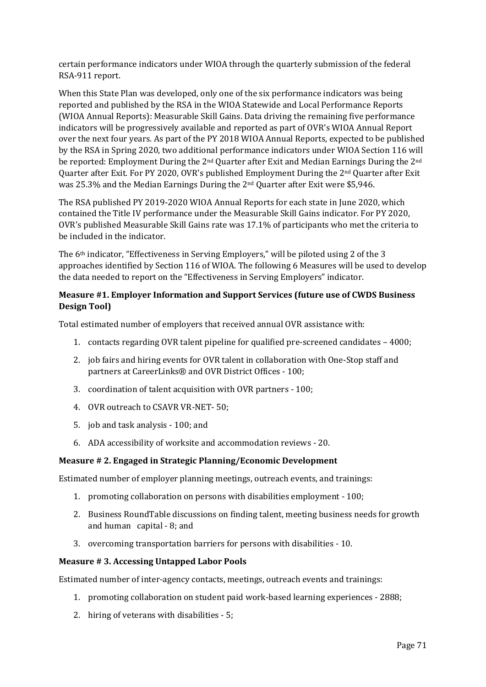certain performance indicators under WIOA through the quarterly submission of the federal RSA-911 report.

When this State Plan was developed, only one of the six performance indicators was being reported and published by the RSA in the WIOA Statewide and Local Performance Reports (WIOA Annual Reports): Measurable Skill Gains. Data driving the remaining five performance indicators will be progressively available and reported as part of OVR's WIOA Annual Report over the next four years. As part of the PY 2018 WIOA Annual Reports, expected to be published by the RSA in Spring 2020, two additional performance indicators under WIOA Section 116 will be reported: Employment During the 2<sup>nd</sup> Quarter after Exit and Median Earnings During the 2<sup>nd</sup> Quarter after Exit. For PY 2020, OVR's published Employment During the 2nd Quarter after Exit was 25.3% and the Median Earnings During the 2nd Quarter after Exit were \$5,946.

The RSA published PY 2019-2020 WIOA Annual Reports for each state in June 2020, which contained the Title IV performance under the Measurable Skill Gains indicator. For PY 2020, OVR's published Measurable Skill Gains rate was 17.1% of participants who met the criteria to be included in the indicator.

The 6th indicator, "Effectiveness in Serving Employers," will be piloted using 2 of the 3 approaches identified by Section 116 of WIOA. The following 6 Measures will be used to develop the data needed to report on the "Effectiveness in Serving Employers" indicator.

# **Measure #1. Employer Information and Support Services (future use of CWDS Business Design Tool)**

Total estimated number of employers that received annual OVR assistance with:

- 1. contacts regarding OVR talent pipeline for qualified pre-screened candidates 4000;
- 2. job fairs and hiring events for OVR talent in collaboration with One-Stop staff and partners at CareerLinks® and OVR District Offices - 100;
- 3. coordination of talent acquisition with OVR partners 100;
- 4. OVR outreach to CSAVR VR-NET- 50;
- 5. job and task analysis 100; and
- 6. ADA accessibility of worksite and accommodation reviews 20.

#### **Measure # 2. Engaged in Strategic Planning/Economic Development**

Estimated number of employer planning meetings, outreach events, and trainings:

- 1. promoting collaboration on persons with disabilities employment 100;
- 2. Business RoundTable discussions on finding talent, meeting business needs for growth and human capital - 8; and
- 3. overcoming transportation barriers for persons with disabilities 10.

#### **Measure # 3. Accessing Untapped Labor Pools**

Estimated number of inter-agency contacts, meetings, outreach events and trainings:

- 1. promoting collaboration on student paid work-based learning experiences 2888;
- 2. hiring of veterans with disabilities 5;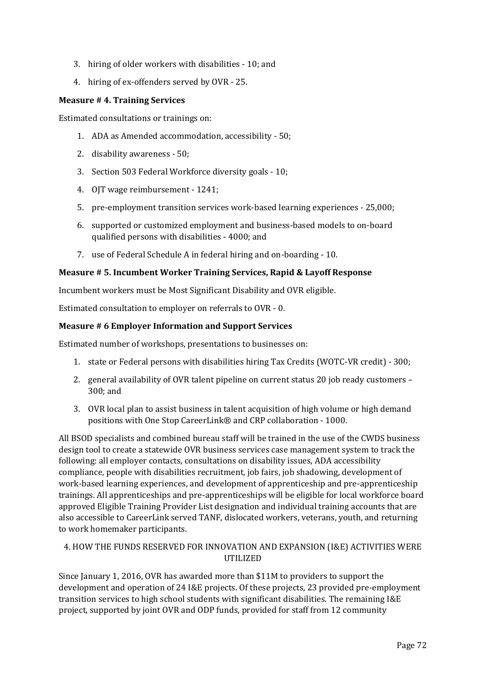- 3. hiring of older workers with disabilities 10; and
- 4. hiring of ex-offenders served by OVR 25.

#### **Measure # 4. Training Services**

Estimated consultations or trainings on:

- 1. ADA as Amended accommodation, accessibility 50;
- 2. disability awareness 50;
- 3. Section 503 Federal Workforce diversity goals 10;
- 4. OJT wage reimbursement 1241;
- 5. pre-employment transition services work-based learning experiences 25,000;
- 6. supported or customized employment and business-based models to on-board qualified persons with disabilities - 4000; and
- 7. use of Federal Schedule A in federal hiring and on-boarding 10.

# **Measure # 5. Incumbent Worker Training Services, Rapid & Layoff Response**

Incumbent workers must be Most Significant Disability and OVR eligible.

Estimated consultation to employer on referrals to OVR - 0.

# **Measure # 6 Employer Information and Support Services**

Estimated number of workshops, presentations to businesses on:

- 1. state or Federal persons with disabilities hiring Tax Credits (WOTC-VR credit) 300;
- 2. general availability of OVR talent pipeline on current status 20 job ready customers 300; and
- 3. OVR local plan to assist business in talent acquisition of high volume or high demand positions with One Stop CareerLink® and CRP collaboration - 1000.

All BSOD specialists and combined bureau staff will be trained in the use of the CWDS business design tool to create a statewide OVR business services case management system to track the following: all employer contacts, consultations on disability issues, ADA accessibility compliance, people with disabilities recruitment, job fairs, job shadowing, development of work-based learning experiences, and development of apprenticeship and pre-apprenticeship trainings. All apprenticeships and pre-apprenticeships will be eligible for local workforce board approved Eligible Training Provider List designation and individual training accounts that are also accessible to CareerLink served TANF, dislocated workers, veterans, youth, and returning to work homemaker participants.

# 4. HOW THE FUNDS RESERVED FOR INNOVATION AND EXPANSION (I&E) ACTIVITIES WERE UTILIZED

Since January 1, 2016, OVR has awarded more than \$11M to providers to support the development and operation of 24 I&E projects. Of these projects, 23 provided pre-employment transition services to high school students with significant disabilities. The remaining I&E project, supported by joint OVR and ODP funds, provided for staff from 12 community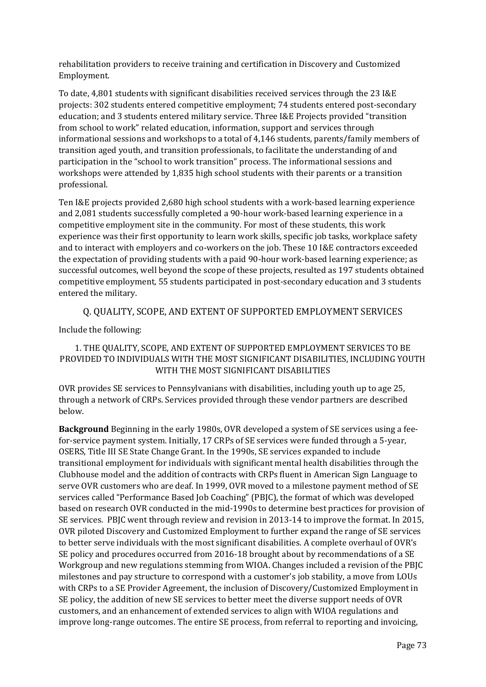rehabilitation providers to receive training and certification in Discovery and Customized Employment.

To date, 4,801 students with significant disabilities received services through the 23 I&E projects: 302 students entered competitive employment; 74 students entered post-secondary education; and 3 students entered military service. Three I&E Projects provided "transition from school to work" related education, information, support and services through informational sessions and workshops to a total of 4,146 students, parents/family members of transition aged youth, and transition professionals, to facilitate the understanding of and participation in the "school to work transition" process. The informational sessions and workshops were attended by 1,835 high school students with their parents or a transition professional.

Ten I&E projects provided 2,680 high school students with a work-based learning experience and 2,081 students successfully completed a 90-hour work-based learning experience in a competitive employment site in the community. For most of these students, this work experience was their first opportunity to learn work skills, specific job tasks, workplace safety and to interact with employers and co-workers on the job. These 10 I&E contractors exceeded the expectation of providing students with a paid 90-hour work-based learning experience; as successful outcomes, well beyond the scope of these projects, resulted as 197 students obtained competitive employment, 55 students participated in post-secondary education and 3 students entered the military.

# Q. QUALITY, SCOPE, AND EXTENT OF SUPPORTED EMPLOYMENT SERVICES

Include the following:

# 1. THE QUALITY, SCOPE, AND EXTENT OF SUPPORTED EMPLOYMENT SERVICES TO BE PROVIDED TO INDIVIDUALS WITH THE MOST SIGNIFICANT DISABILITIES, INCLUDING YOUTH WITH THE MOST SIGNIFICANT DISABILITIES

OVR provides SE services to Pennsylvanians with disabilities, including youth up to age 25, through a network of CRPs. Services provided through these vendor partners are described below.

**Background** Beginning in the early 1980s, OVR developed a system of SE services using a feefor-service payment system. Initially, 17 CRPs of SE services were funded through a 5-year, OSERS, Title III SE State Change Grant. In the 1990s, SE services expanded to include transitional employment for individuals with significant mental health disabilities through the Clubhouse model and the addition of contracts with CRPs fluent in American Sign Language to serve OVR customers who are deaf. In 1999, OVR moved to a milestone payment method of SE services called "Performance Based Job Coaching" (PBJC), the format of which was developed based on research OVR conducted in the mid-1990s to determine best practices for provision of SE services. PBJC went through review and revision in 2013-14 to improve the format. In 2015, OVR piloted Discovery and Customized Employment to further expand the range of SE services to better serve individuals with the most significant disabilities. A complete overhaul of OVR's SE policy and procedures occurred from 2016-18 brought about by recommendations of a SE Workgroup and new regulations stemming from WIOA. Changes included a revision of the PBJC milestones and pay structure to correspond with a customer's job stability, a move from LOUs with CRPs to a SE Provider Agreement, the inclusion of Discovery/Customized Employment in SE policy, the addition of new SE services to better meet the diverse support needs of OVR customers, and an enhancement of extended services to align with WIOA regulations and improve long-range outcomes. The entire SE process, from referral to reporting and invoicing,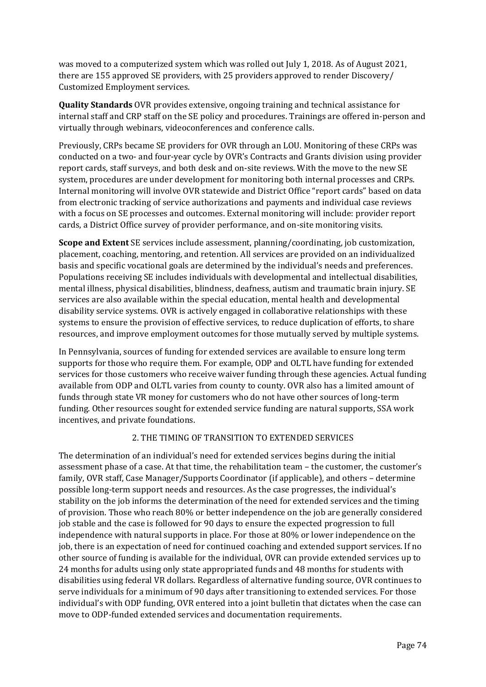was moved to a computerized system which was rolled out July 1, 2018. As of August 2021, there are 155 approved SE providers, with 25 providers approved to render Discovery/ Customized Employment services.

**Quality Standards** OVR provides extensive, ongoing training and technical assistance for internal staff and CRP staff on the SE policy and procedures. Trainings are offered in-person and virtually through webinars, videoconferences and conference calls.

Previously, CRPs became SE providers for OVR through an LOU. Monitoring of these CRPs was conducted on a two- and four-year cycle by OVR's Contracts and Grants division using provider report cards, staff surveys, and both desk and on-site reviews. With the move to the new SE system, procedures are under development for monitoring both internal processes and CRPs. Internal monitoring will involve OVR statewide and District Office "report cards" based on data from electronic tracking of service authorizations and payments and individual case reviews with a focus on SE processes and outcomes. External monitoring will include: provider report cards, a District Office survey of provider performance, and on-site monitoring visits.

**Scope and Extent** SE services include assessment, planning/coordinating, job customization, placement, coaching, mentoring, and retention. All services are provided on an individualized basis and specific vocational goals are determined by the individual's needs and preferences. Populations receiving SE includes individuals with developmental and intellectual disabilities, mental illness, physical disabilities, blindness, deafness, autism and traumatic brain injury. SE services are also available within the special education, mental health and developmental disability service systems. OVR is actively engaged in collaborative relationships with these systems to ensure the provision of effective services, to reduce duplication of efforts, to share resources, and improve employment outcomes for those mutually served by multiple systems.

In Pennsylvania, sources of funding for extended services are available to ensure long term supports for those who require them. For example, ODP and OLTL have funding for extended services for those customers who receive waiver funding through these agencies. Actual funding available from ODP and OLTL varies from county to county. OVR also has a limited amount of funds through state VR money for customers who do not have other sources of long-term funding. Other resources sought for extended service funding are natural supports, SSA work incentives, and private foundations.

### 2. THE TIMING OF TRANSITION TO EXTENDED SERVICES

The determination of an individual's need for extended services begins during the initial assessment phase of a case. At that time, the rehabilitation team – the customer, the customer's family, OVR staff, Case Manager/Supports Coordinator (if applicable), and others – determine possible long-term support needs and resources. As the case progresses, the individual's stability on the job informs the determination of the need for extended services and the timing of provision. Those who reach 80% or better independence on the job are generally considered job stable and the case is followed for 90 days to ensure the expected progression to full independence with natural supports in place. For those at 80% or lower independence on the job, there is an expectation of need for continued coaching and extended support services. If no other source of funding is available for the individual, OVR can provide extended services up to 24 months for adults using only state appropriated funds and 48 months for students with disabilities using federal VR dollars. Regardless of alternative funding source, OVR continues to serve individuals for a minimum of 90 days after transitioning to extended services. For those individual's with ODP funding, OVR entered into a joint bulletin that dictates when the case can move to ODP-funded extended services and documentation requirements.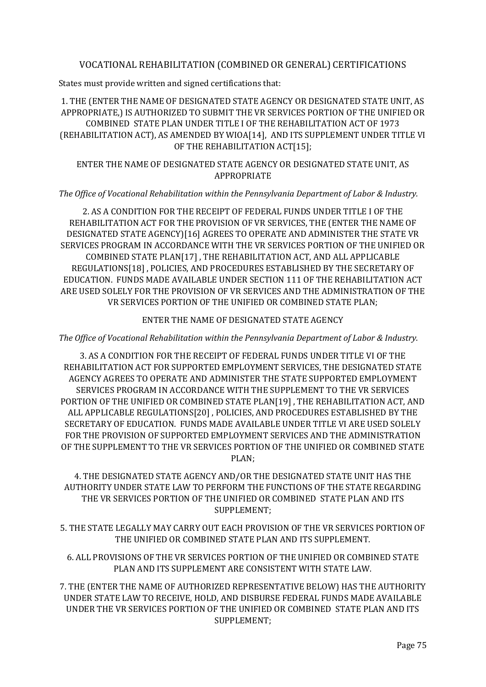# VOCATIONAL REHABILITATION (COMBINED OR GENERAL) CERTIFICATIONS

States must provide written and signed certifications that:

# 1. THE (ENTER THE NAME OF DESIGNATED STATE AGENCY OR DESIGNATED STATE UNIT, AS APPROPRIATE,) IS AUTHORIZED TO SUBMIT THE VR SERVICES PORTION OF THE UNIFIED OR COMBINED STATE PLAN UNDER TITLE I OF THE REHABILITATION ACT OF 1973 (REHABILITATION ACT), AS AMENDED BY WIOA[14], AND ITS SUPPLEMENT UNDER TITLE VI OF THE REHABILITATION ACT[15];

## ENTER THE NAME OF DESIGNATED STATE AGENCY OR DESIGNATED STATE UNIT, AS APPROPRIATE

#### *The Office of Vocational Rehabilitation within the Pennsylvania Department of Labor & Industry.*

2. AS A CONDITION FOR THE RECEIPT OF FEDERAL FUNDS UNDER TITLE I OF THE REHABILITATION ACT FOR THE PROVISION OF VR SERVICES, THE (ENTER THE NAME OF DESIGNATED STATE AGENCY)[16] AGREES TO OPERATE AND ADMINISTER THE STATE VR SERVICES PROGRAM IN ACCORDANCE WITH THE VR SERVICES PORTION OF THE UNIFIED OR COMBINED STATE PLAN[17] , THE REHABILITATION ACT, AND ALL APPLICABLE REGULATIONS[18] , POLICIES, AND PROCEDURES ESTABLISHED BY THE SECRETARY OF EDUCATION. FUNDS MADE AVAILABLE UNDER SECTION 111 OF THE REHABILITATION ACT ARE USED SOLELY FOR THE PROVISION OF VR SERVICES AND THE ADMINISTRATION OF THE VR SERVICES PORTION OF THE UNIFIED OR COMBINED STATE PLAN;

#### ENTER THE NAME OF DESIGNATED STATE AGENCY

#### *The Office of Vocational Rehabilitation within the Pennsylvania Department of Labor & Industry.*

3. AS A CONDITION FOR THE RECEIPT OF FEDERAL FUNDS UNDER TITLE VI OF THE REHABILITATION ACT FOR SUPPORTED EMPLOYMENT SERVICES, THE DESIGNATED STATE AGENCY AGREES TO OPERATE AND ADMINISTER THE STATE SUPPORTED EMPLOYMENT SERVICES PROGRAM IN ACCORDANCE WITH THE SUPPLEMENT TO THE VR SERVICES PORTION OF THE UNIFIED OR COMBINED STATE PLAN[19] , THE REHABILITATION ACT, AND ALL APPLICABLE REGULATIONS[20] , POLICIES, AND PROCEDURES ESTABLISHED BY THE SECRETARY OF EDUCATION. FUNDS MADE AVAILABLE UNDER TITLE VI ARE USED SOLELY FOR THE PROVISION OF SUPPORTED EMPLOYMENT SERVICES AND THE ADMINISTRATION OF THE SUPPLEMENT TO THE VR SERVICES PORTION OF THE UNIFIED OR COMBINED STATE PLAN;

4. THE DESIGNATED STATE AGENCY AND/OR THE DESIGNATED STATE UNIT HAS THE AUTHORITY UNDER STATE LAW TO PERFORM THE FUNCTIONS OF THE STATE REGARDING THE VR SERVICES PORTION OF THE UNIFIED OR COMBINED STATE PLAN AND ITS SUPPLEMENT;

5. THE STATE LEGALLY MAY CARRY OUT EACH PROVISION OF THE VR SERVICES PORTION OF THE UNIFIED OR COMBINED STATE PLAN AND ITS SUPPLEMENT.

6. ALL PROVISIONS OF THE VR SERVICES PORTION OF THE UNIFIED OR COMBINED STATE PLAN AND ITS SUPPLEMENT ARE CONSISTENT WITH STATE LAW.

7. THE (ENTER THE NAME OF AUTHORIZED REPRESENTATIVE BELOW) HAS THE AUTHORITY UNDER STATE LAW TO RECEIVE, HOLD, AND DISBURSE FEDERAL FUNDS MADE AVAILABLE UNDER THE VR SERVICES PORTION OF THE UNIFIED OR COMBINED STATE PLAN AND ITS SUPPLEMENT;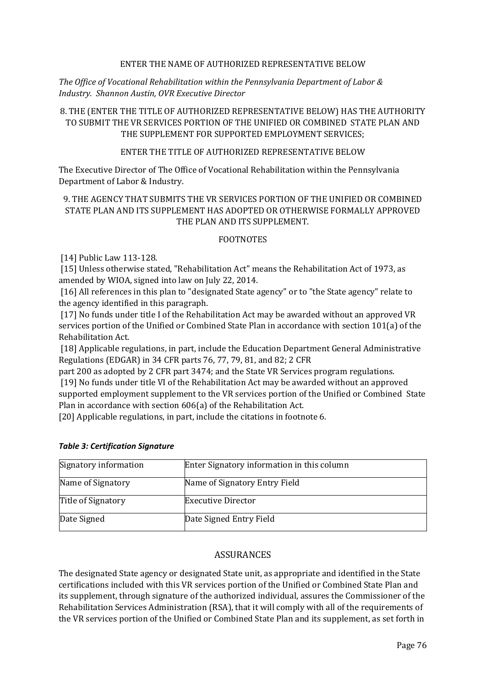#### ENTER THE NAME OF AUTHORIZED REPRESENTATIVE BELOW

*The Office of Vocational Rehabilitation within the Pennsylvania Department of Labor & Industry. Shannon Austin, OVR Executive Director*

## 8. THE (ENTER THE TITLE OF AUTHORIZED REPRESENTATIVE BELOW) HAS THE AUTHORITY TO SUBMIT THE VR SERVICES PORTION OF THE UNIFIED OR COMBINED STATE PLAN AND THE SUPPLEMENT FOR SUPPORTED EMPLOYMENT SERVICES;

#### ENTER THE TITLE OF AUTHORIZED REPRESENTATIVE BELOW

The Executive Director of The Office of Vocational Rehabilitation within the Pennsylvania Department of Labor & Industry.

# 9. THE AGENCY THAT SUBMITS THE VR SERVICES PORTION OF THE UNIFIED OR COMBINED STATE PLAN AND ITS SUPPLEMENT HAS ADOPTED OR OTHERWISE FORMALLY APPROVED THE PLAN AND ITS SUPPLEMENT.

#### FOOTNOTES

[14] Public Law 113-128.

[15] Unless otherwise stated, "Rehabilitation Act" means the Rehabilitation Act of 1973, as amended by WIOA, signed into law on July 22, 2014.

[16] All references in this plan to "designated State agency" or to "the State agency" relate to the agency identified in this paragraph.

[17] No funds under title I of the Rehabilitation Act may be awarded without an approved VR services portion of the Unified or Combined State Plan in accordance with section 101(a) of the Rehabilitation Act.

[18] Applicable regulations, in part, include the Education Department General Administrative Regulations (EDGAR) in 34 CFR parts 76, 77, 79, 81, and 82; 2 CFR

part 200 as adopted by 2 CFR part 3474; and the State VR Services program regulations. [19] No funds under title VI of the Rehabilitation Act may be awarded without an approved supported employment supplement to the VR services portion of the Unified or Combined State Plan in accordance with section 606(a) of the Rehabilitation Act.

[20] Applicable regulations, in part, include the citations in footnote 6.

| Signatory information | Enter Signatory information in this column |
|-----------------------|--------------------------------------------|
| Name of Signatory     | Name of Signatory Entry Field              |
| Title of Signatory    | <b>Executive Director</b>                  |
| Date Signed           | Date Signed Entry Field                    |

#### *Table 3: Certification Signature*

### **ASSURANCES**

The designated State agency or designated State unit, as appropriate and identified in the State certifications included with this VR services portion of the Unified or Combined State Plan and its supplement, through signature of the authorized individual, assures the Commissioner of the Rehabilitation Services Administration (RSA), that it will comply with all of the requirements of the VR services portion of the Unified or Combined State Plan and its supplement, as set forth in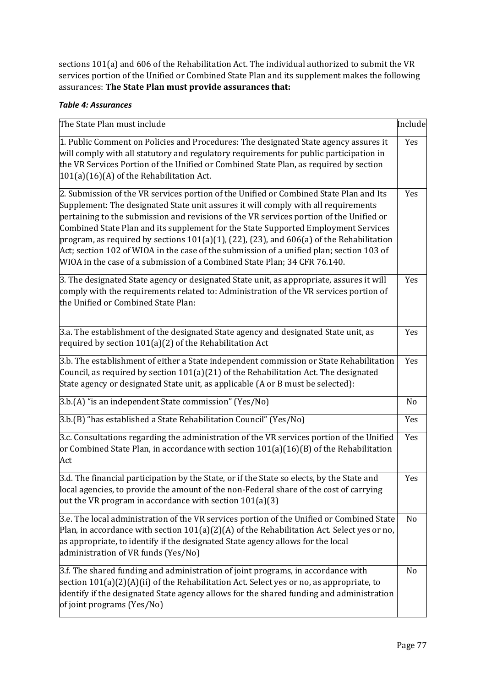sections 101(a) and 606 of the Rehabilitation Act. The individual authorized to submit the VR services portion of the Unified or Combined State Plan and its supplement makes the following assurances: **The State Plan must provide assurances that:**

## *Table 4: Assurances*

| The State Plan must include                                                                                                                                                                                                                                                                                                                                                                                                                                                                                                                                                                                                                   | Include |
|-----------------------------------------------------------------------------------------------------------------------------------------------------------------------------------------------------------------------------------------------------------------------------------------------------------------------------------------------------------------------------------------------------------------------------------------------------------------------------------------------------------------------------------------------------------------------------------------------------------------------------------------------|---------|
| 1. Public Comment on Policies and Procedures: The designated State agency assures it<br>will comply with all statutory and regulatory requirements for public participation in<br>the VR Services Portion of the Unified or Combined State Plan, as required by section<br>101(a)(16)(A) of the Rehabilitation Act.                                                                                                                                                                                                                                                                                                                           | Yes     |
| 2. Submission of the VR services portion of the Unified or Combined State Plan and Its<br>Supplement: The designated State unit assures it will comply with all requirements<br>pertaining to the submission and revisions of the VR services portion of the Unified or<br>Combined State Plan and its supplement for the State Supported Employment Services<br>program, as required by sections $101(a)(1)$ , $(22)$ , $(23)$ , and $606(a)$ of the Rehabilitation<br>Act; section 102 of WIOA in the case of the submission of a unified plan; section 103 of<br>WIOA in the case of a submission of a Combined State Plan; 34 CFR 76.140. | Yes     |
| 3. The designated State agency or designated State unit, as appropriate, assures it will<br>comply with the requirements related to: Administration of the VR services portion of<br>the Unified or Combined State Plan:                                                                                                                                                                                                                                                                                                                                                                                                                      | Yes     |
| 3.a. The establishment of the designated State agency and designated State unit, as<br>required by section 101(a)(2) of the Rehabilitation Act                                                                                                                                                                                                                                                                                                                                                                                                                                                                                                | Yes     |
| 3.b. The establishment of either a State independent commission or State Rehabilitation<br>Council, as required by section 101(a)(21) of the Rehabilitation Act. The designated<br>State agency or designated State unit, as applicable (A or B must be selected):                                                                                                                                                                                                                                                                                                                                                                            | Yes     |
| 3.b.(A) "is an independent State commission" (Yes/No)                                                                                                                                                                                                                                                                                                                                                                                                                                                                                                                                                                                         | No      |
| 3.b.(B) "has established a State Rehabilitation Council" (Yes/No)                                                                                                                                                                                                                                                                                                                                                                                                                                                                                                                                                                             | Yes     |
| 3.c. Consultations regarding the administration of the VR services portion of the Unified<br>or Combined State Plan, in accordance with section 101(a)(16)(B) of the Rehabilitation<br>Act                                                                                                                                                                                                                                                                                                                                                                                                                                                    | Yes     |
| 3.d. The financial participation by the State, or if the State so elects, by the State and<br>local agencies, to provide the amount of the non-Federal share of the cost of carrying<br>out the VR program in accordance with section 101(a)(3)                                                                                                                                                                                                                                                                                                                                                                                               | Yes     |
| 3.e. The local administration of the VR services portion of the Unified or Combined State<br>Plan, in accordance with section $101(a)(2)(A)$ of the Rehabilitation Act. Select yes or no,<br>as appropriate, to identify if the designated State agency allows for the local<br>administration of VR funds (Yes/No)                                                                                                                                                                                                                                                                                                                           | No      |
| 3.f. The shared funding and administration of joint programs, in accordance with<br>section 101(a)(2)(A)(ii) of the Rehabilitation Act. Select yes or no, as appropriate, to<br>identify if the designated State agency allows for the shared funding and administration<br>of joint programs (Yes/No)                                                                                                                                                                                                                                                                                                                                        | No      |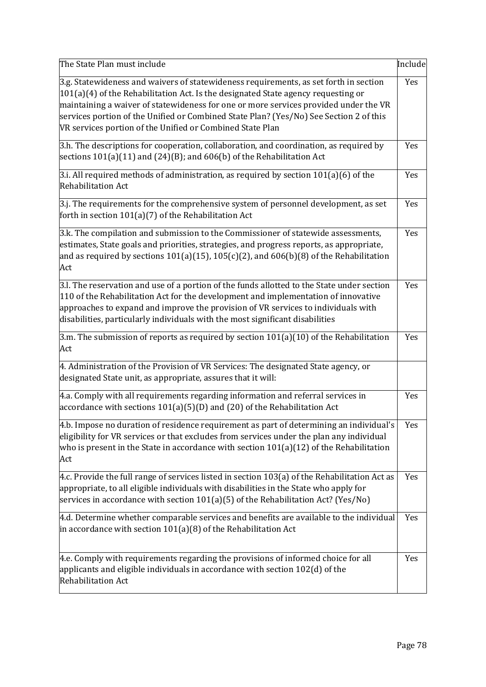| The State Plan must include                                                                                                                                                                                                                                                                                                                                                                                               | Include |
|---------------------------------------------------------------------------------------------------------------------------------------------------------------------------------------------------------------------------------------------------------------------------------------------------------------------------------------------------------------------------------------------------------------------------|---------|
| 3.g. Statewideness and waivers of statewideness requirements, as set forth in section<br>101(a)(4) of the Rehabilitation Act. Is the designated State agency requesting or<br>maintaining a waiver of statewideness for one or more services provided under the VR<br>services portion of the Unified or Combined State Plan? (Yes/No) See Section 2 of this<br>VR services portion of the Unified or Combined State Plan | Yes     |
| 3.h. The descriptions for cooperation, collaboration, and coordination, as required by<br>sections $101(a)(11)$ and $(24)(B)$ ; and $606(b)$ of the Rehabilitation Act                                                                                                                                                                                                                                                    | Yes     |
| 3.i. All required methods of administration, as required by section $101(a)(6)$ of the<br><b>Rehabilitation Act</b>                                                                                                                                                                                                                                                                                                       | Yes     |
| $3$ .j. The requirements for the comprehensive system of personnel development, as set<br>forth in section $101(a)(7)$ of the Rehabilitation Act                                                                                                                                                                                                                                                                          | Yes     |
| 3.k. The compilation and submission to the Commissioner of statewide assessments,<br>estimates, State goals and priorities, strategies, and progress reports, as appropriate,<br>and as required by sections $101(a)(15)$ , $105(c)(2)$ , and $606(b)(8)$ of the Rehabilitation<br>Act                                                                                                                                    | Yes     |
| 3.l. The reservation and use of a portion of the funds allotted to the State under section<br>110 of the Rehabilitation Act for the development and implementation of innovative<br>approaches to expand and improve the provision of VR services to individuals with<br>disabilities, particularly individuals with the most significant disabilities                                                                    | Yes     |
| 3.m. The submission of reports as required by section $101(a)(10)$ of the Rehabilitation<br>Act                                                                                                                                                                                                                                                                                                                           | Yes     |
| 4. Administration of the Provision of VR Services: The designated State agency, or<br>designated State unit, as appropriate, assures that it will:                                                                                                                                                                                                                                                                        |         |
| 4.a. Comply with all requirements regarding information and referral services in<br>accordance with sections $101(a)(5)(D)$ and $(20)$ of the Rehabilitation Act                                                                                                                                                                                                                                                          | Yes     |
| 4.b. Impose no duration of residence requirement as part of determining an individual's<br>eligibility for VR services or that excludes from services under the plan any individual<br>who is present in the State in accordance with section $101(a)(12)$ of the Rehabilitation<br>Act                                                                                                                                   | Yes     |
| 4.c. Provide the full range of services listed in section $103(a)$ of the Rehabilitation Act as<br>appropriate, to all eligible individuals with disabilities in the State who apply for<br>services in accordance with section $101(a)(5)$ of the Rehabilitation Act? (Yes/No)                                                                                                                                           | Yes     |
| 4.d. Determine whether comparable services and benefits are available to the individual<br>in accordance with section $101(a)(8)$ of the Rehabilitation Act                                                                                                                                                                                                                                                               | Yes     |
| 4.e. Comply with requirements regarding the provisions of informed choice for all<br>applicants and eligible individuals in accordance with section $102(d)$ of the<br><b>Rehabilitation Act</b>                                                                                                                                                                                                                          | Yes     |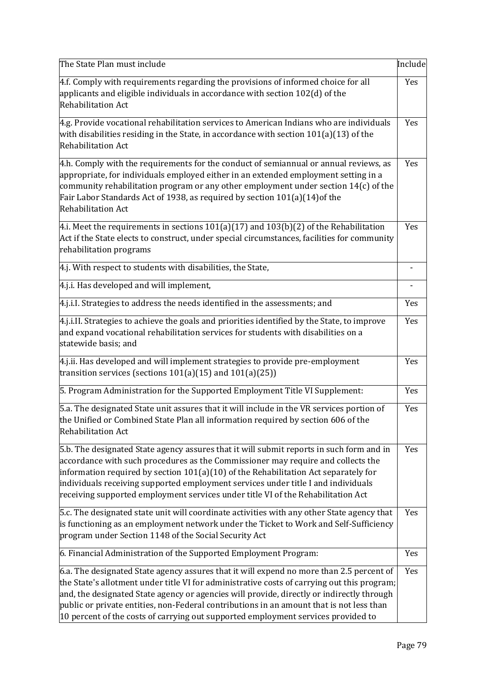| The State Plan must include                                                                                                                                                                                                                                                                                                                                                                                                                                           | Include |
|-----------------------------------------------------------------------------------------------------------------------------------------------------------------------------------------------------------------------------------------------------------------------------------------------------------------------------------------------------------------------------------------------------------------------------------------------------------------------|---------|
| 4.f. Comply with requirements regarding the provisions of informed choice for all<br>applicants and eligible individuals in accordance with section 102(d) of the<br><b>Rehabilitation Act</b>                                                                                                                                                                                                                                                                        | Yes     |
| 4.g. Provide vocational rehabilitation services to American Indians who are individuals<br>with disabilities residing in the State, in accordance with section $101(a)(13)$ of the<br><b>Rehabilitation Act</b>                                                                                                                                                                                                                                                       | Yes     |
| 4.h. Comply with the requirements for the conduct of semiannual or annual reviews, as<br>appropriate, for individuals employed either in an extended employment setting in a<br>community rehabilitation program or any other employment under section $14(c)$ of the<br>Fair Labor Standards Act of 1938, as required by section 101(a)(14) of the<br><b>Rehabilitation Act</b>                                                                                      | Yes     |
| 4.i. Meet the requirements in sections $101(a)(17)$ and $103(b)(2)$ of the Rehabilitation<br>Act if the State elects to construct, under special circumstances, facilities for community<br>rehabilitation programs                                                                                                                                                                                                                                                   | Yes     |
| 4.j. With respect to students with disabilities, the State,                                                                                                                                                                                                                                                                                                                                                                                                           |         |
| 4.j.i. Has developed and will implement,                                                                                                                                                                                                                                                                                                                                                                                                                              |         |
| 4.j.i.I. Strategies to address the needs identified in the assessments; and                                                                                                                                                                                                                                                                                                                                                                                           | Yes     |
| 4.j.i.II. Strategies to achieve the goals and priorities identified by the State, to improve<br>and expand vocational rehabilitation services for students with disabilities on a<br>statewide basis; and                                                                                                                                                                                                                                                             | Yes     |
| 4.j.ii. Has developed and will implement strategies to provide pre-employment<br>transition services (sections $101(a)(15)$ and $101(a)(25)$ )                                                                                                                                                                                                                                                                                                                        | Yes     |
| 5. Program Administration for the Supported Employment Title VI Supplement:                                                                                                                                                                                                                                                                                                                                                                                           | Yes     |
| 5.a. The designated State unit assures that it will include in the VR services portion of<br>the Unified or Combined State Plan all information required by section 606 of the<br><b>Rehabilitation Act</b>                                                                                                                                                                                                                                                           | Yes     |
| 5.b. The designated State agency assures that it will submit reports in such form and in<br>accordance with such procedures as the Commissioner may require and collects the<br>information required by section $101(a)(10)$ of the Rehabilitation Act separately for<br>individuals receiving supported employment services under title I and individuals<br>receiving supported employment services under title VI of the Rehabilitation Act                        |         |
| 5.c. The designated state unit will coordinate activities with any other State agency that<br>is functioning as an employment network under the Ticket to Work and Self-Sufficiency<br>program under Section 1148 of the Social Security Act                                                                                                                                                                                                                          | Yes     |
| 6. Financial Administration of the Supported Employment Program:                                                                                                                                                                                                                                                                                                                                                                                                      | Yes     |
| 6.a. The designated State agency assures that it will expend no more than 2.5 percent of<br>the State's allotment under title VI for administrative costs of carrying out this program;<br>and, the designated State agency or agencies will provide, directly or indirectly through<br>public or private entities, non-Federal contributions in an amount that is not less than<br>10 percent of the costs of carrying out supported employment services provided to | Yes     |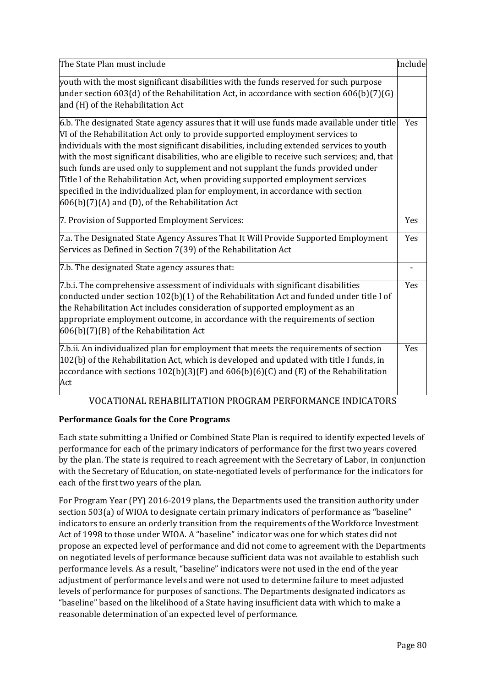| The State Plan must include                                                                                                                                                                                                                                                                                                                                                                                                                                                                                                                                                                                                                                                          | Include |
|--------------------------------------------------------------------------------------------------------------------------------------------------------------------------------------------------------------------------------------------------------------------------------------------------------------------------------------------------------------------------------------------------------------------------------------------------------------------------------------------------------------------------------------------------------------------------------------------------------------------------------------------------------------------------------------|---------|
| youth with the most significant disabilities with the funds reserved for such purpose<br>under section 603(d) of the Rehabilitation Act, in accordance with section 606(b)(7)(G)<br>and (H) of the Rehabilitation Act                                                                                                                                                                                                                                                                                                                                                                                                                                                                |         |
| 6.b. The designated State agency assures that it will use funds made available under title<br>VI of the Rehabilitation Act only to provide supported employment services to<br>individuals with the most significant disabilities, including extended services to youth<br>with the most significant disabilities, who are eligible to receive such services; and, that<br>such funds are used only to supplement and not supplant the funds provided under<br>Title I of the Rehabilitation Act, when providing supported employment services<br>specified in the individualized plan for employment, in accordance with section<br>606(b)(7)(A) and (D), of the Rehabilitation Act | Yes     |
| 7. Provision of Supported Employment Services:                                                                                                                                                                                                                                                                                                                                                                                                                                                                                                                                                                                                                                       | Yes     |
| 7.a. The Designated State Agency Assures That It Will Provide Supported Employment<br>Services as Defined in Section 7(39) of the Rehabilitation Act                                                                                                                                                                                                                                                                                                                                                                                                                                                                                                                                 | Yes     |
| 7.b. The designated State agency assures that:                                                                                                                                                                                                                                                                                                                                                                                                                                                                                                                                                                                                                                       |         |
| 7.b.i. The comprehensive assessment of individuals with significant disabilities<br>conducted under section 102(b)(1) of the Rehabilitation Act and funded under title I of<br>the Rehabilitation Act includes consideration of supported employment as an<br>appropriate employment outcome, in accordance with the requirements of section<br>606(b)(7)(B) of the Rehabilitation Act                                                                                                                                                                                                                                                                                               | Yes     |
| 7.b.ii. An individualized plan for employment that meets the requirements of section<br>102(b) of the Rehabilitation Act, which is developed and updated with title I funds, in<br>accordance with sections $102(b)(3)(F)$ and $606(b)(6)(C)$ and (E) of the Rehabilitation<br>Act                                                                                                                                                                                                                                                                                                                                                                                                   | Yes     |

# VOCATIONAL REHABILITATION PROGRAM PERFORMANCE INDICATORS

# **Performance Goals for the Core Programs**

Each state submitting a Unified or Combined State Plan is required to identify expected levels of performance for each of the primary indicators of performance for the first two years covered by the plan. The state is required to reach agreement with the Secretary of Labor, in conjunction with the Secretary of Education, on state-negotiated levels of performance for the indicators for each of the first two years of the plan.

For Program Year (PY) 2016-2019 plans, the Departments used the transition authority under section 503(a) of WIOA to designate certain primary indicators of performance as "baseline" indicators to ensure an orderly transition from the requirements of the Workforce Investment Act of 1998 to those under WIOA. A "baseline" indicator was one for which states did not propose an expected level of performance and did not come to agreement with the Departments on negotiated levels of performance because sufficient data was not available to establish such performance levels. As a result, "baseline" indicators were not used in the end of the year adjustment of performance levels and were not used to determine failure to meet adjusted levels of performance for purposes of sanctions. The Departments designated indicators as "baseline" based on the likelihood of a State having insufficient data with which to make a reasonable determination of an expected level of performance.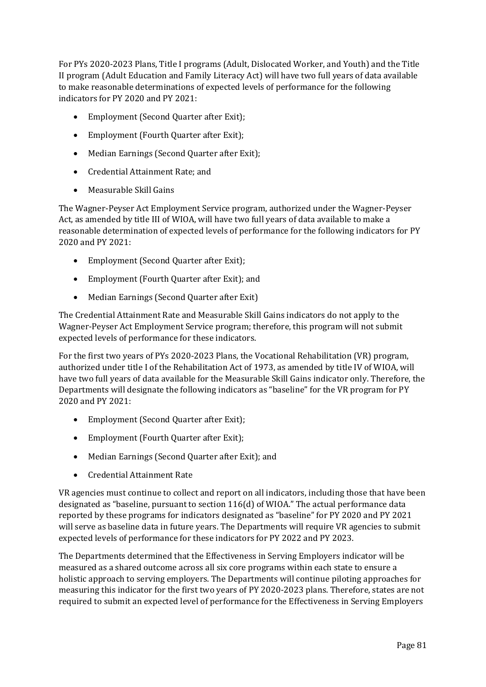For PYs 2020-2023 Plans, Title I programs (Adult, Dislocated Worker, and Youth) and the Title II program (Adult Education and Family Literacy Act) will have two full years of data available to make reasonable determinations of expected levels of performance for the following indicators for PY 2020 and PY 2021:

- Employment (Second Quarter after Exit);
- Employment (Fourth Quarter after Exit);
- Median Earnings (Second Quarter after Exit);
- Credential Attainment Rate; and
- Measurable Skill Gains

The Wagner-Peyser Act Employment Service program, authorized under the Wagner-Peyser Act, as amended by title III of WIOA, will have two full years of data available to make a reasonable determination of expected levels of performance for the following indicators for PY 2020 and PY 2021:

- Employment (Second Quarter after Exit);
- Employment (Fourth Quarter after Exit); and
- Median Earnings (Second Quarter after Exit)

The Credential Attainment Rate and Measurable Skill Gains indicators do not apply to the Wagner-Peyser Act Employment Service program; therefore, this program will not submit expected levels of performance for these indicators.

For the first two years of PYs 2020-2023 Plans, the Vocational Rehabilitation (VR) program, authorized under title I of the Rehabilitation Act of 1973, as amended by title IV of WIOA, will have two full years of data available for the Measurable Skill Gains indicator only. Therefore, the Departments will designate the following indicators as "baseline" for the VR program for PY 2020 and PY 2021:

- Employment (Second Quarter after Exit);
- Employment (Fourth Quarter after Exit);
- Median Earnings (Second Quarter after Exit); and
- Credential Attainment Rate

VR agencies must continue to collect and report on all indicators, including those that have been designated as "baseline, pursuant to section 116(d) of WIOA." The actual performance data reported by these programs for indicators designated as "baseline" for PY 2020 and PY 2021 will serve as baseline data in future years. The Departments will require VR agencies to submit expected levels of performance for these indicators for PY 2022 and PY 2023.

The Departments determined that the Effectiveness in Serving Employers indicator will be measured as a shared outcome across all six core programs within each state to ensure a holistic approach to serving employers. The Departments will continue piloting approaches for measuring this indicator for the first two years of PY 2020-2023 plans. Therefore, states are not required to submit an expected level of performance for the Effectiveness in Serving Employers